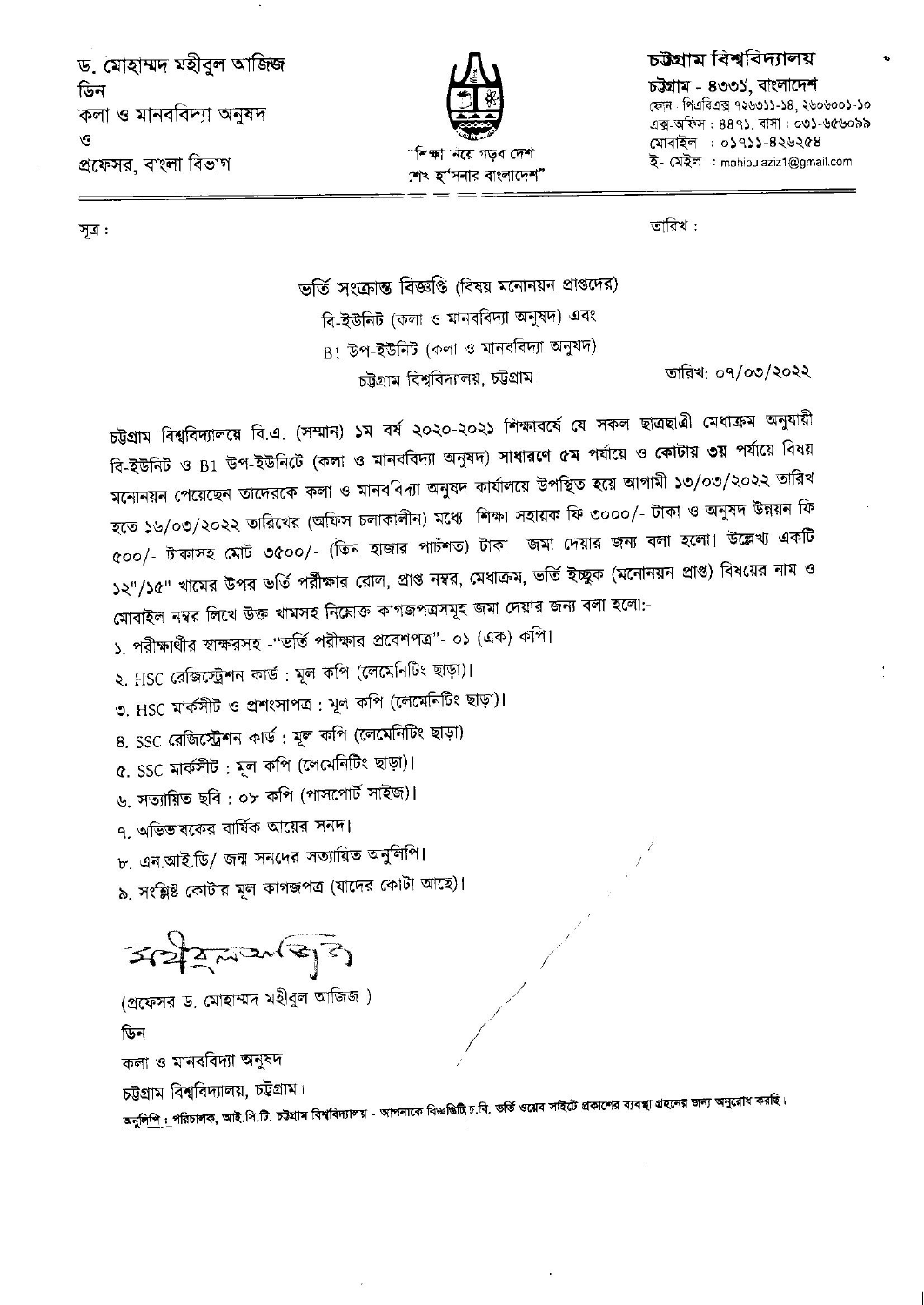ড. মোহাম্মদ মহীবুল আজিজ ডিন কলা ও মানববিদ্যা অনুষদ  $\mathcal{O}$ প্রফেসর, বাংলা বিভাগ



## চউগ্ৰাম বিশ্ববিদ্যালয়

চউষাম - ৪৩৩১, বাংলাদেশ ফোন: পিএবিএক্স ৭২৬৩১১-১৪, ২৬০৬০০১-১০ এক্স-অফিস: ৪৪৭১, বাসা: ০৩১-৬৫৬০৯৯ মোবাইল : ০১৭১১-৪২৬২৫৪ ই- মেইল : mohibulaziz1@gmail.com

সূত্র:

তারিখ :

ভর্তি সংক্রান্ত বিজ্ঞপ্তি (বিষয় মনোনয়ন প্রাপ্তদের) বি-ইউনিট (কলা ও মানববিদ্যা অনুষদ) এবং  $B1$  উপ-ইউনিট (কলা ও মানববিদ্যা অনুষদ) তারিখ: ০৭/০৩/২০২২ চট্টগ্রাম বিশ্ববিদ্যালয়, চট্টগ্রাম।

চট্টগ্রাম বিশ্ববিদ্যালয়ে বি.এ. (সম্মান) ১ম বর্ষ ২০২০-২০২১ শিক্ষাবর্ষে যে সকল ছাত্রছাত্রী মেধাক্রম অনুযায়ী বি-ইউনিট ও B1 উপ-ইউনিটে (কলা ও মানববিদ্যা অনুষদ) সাধারণে ৫ম পর্যায়ে ও কোটায় ৩য় পর্যায়ে বিষয় মনোনয়ন পেয়েছেন তাদেরকে কলা ও মানববিদ্যা অনুষদ কার্যালয়ে উপস্থিত হয়ে আগামী ১৩/০৩/২০২২ তারিখ হতে ১৬/০৩/২০২২ তারিখের (অফিস চলাকালীন) মধ্যে শিক্ষা সহায়ক ফি ৩০০০/- টাকা ও অনুষদ উন্নয়ন ফি ৫০০/- টাকাসহ মোট ৩৫০০/- (তিন হাজার পাচঁশত) টাকা জমা দেয়ার জন্য বলা হলো। উল্লেখ্য একটি ১২"/১৫" খামের উপর ভর্তি পরীক্ষার রোল, প্রাপ্ত নম্বর, মেধাক্রম, ভর্তি ইচ্ছুক (মনোনয়ন প্রাপ্ত) বিষয়ের নাম ও মোবাইল নম্বর লিখে উক্ত খামসহ নিম্নোক্ত কাগজপত্রসমূহ জমা দেয়ার জন্য বলা হলো:-

১. পরীক্ষার্থীর স্বাক্ষরসহ -"ভর্তি পরীক্ষার প্রবেশপত্র"- ০১ (এক) কপি।

২. HSC রেজিস্ট্রেশন কার্ড : মূল কপি (লেমেনিটিং ছাড়া)।

৩. HSC মার্কসীট ও প্রশংসাপত্র : মূল কপি (লেমেনিটিং ছাড়া)।

৪. SSC রেজিস্ট্রেশন কার্ড : মূল কপি (লেমেনিটিং ছাড়া)

৫. SSC মার্কসীট: মূল কপি (লেমেনিটিং ছাড়া)।

৬. সত্যায়িত ছবি : ০৮ কপি (পাসপোর্ট সাইজ)।

৭, অভিভাবকের বার্ষিক আয়ের সনদ।

৮. এন.আই.ডি/ জন্ম সনদের সত্যায়িত অনুলিপি।

৯, সংশ্লিষ্ট কোটার মূল কাগজপত্র (যাদের কোটা আছে)।

 $3222225$ 

(প্রফেসর ড, মোহাম্মদ মহীবুল আজিজ) ডিন কলা ও মানববিদ্যা অনুষদ চট্টগ্রাম বিশ্ববিদ্যালয়, চট্টগ্রাম।

<u>অনুলিপি :</u> পরিচালক, আই.সি.টি. চট্টগ্রাম বিশ্ববিদ্যালয় - আপনাকে বিজ্ঞগুটি<sub>,</sub>চ.বি. ভর্তি ওয়েব সাইটে প্রকালের ব্যবস্থা গ্রহনের জন্য অনুরোধ করছি।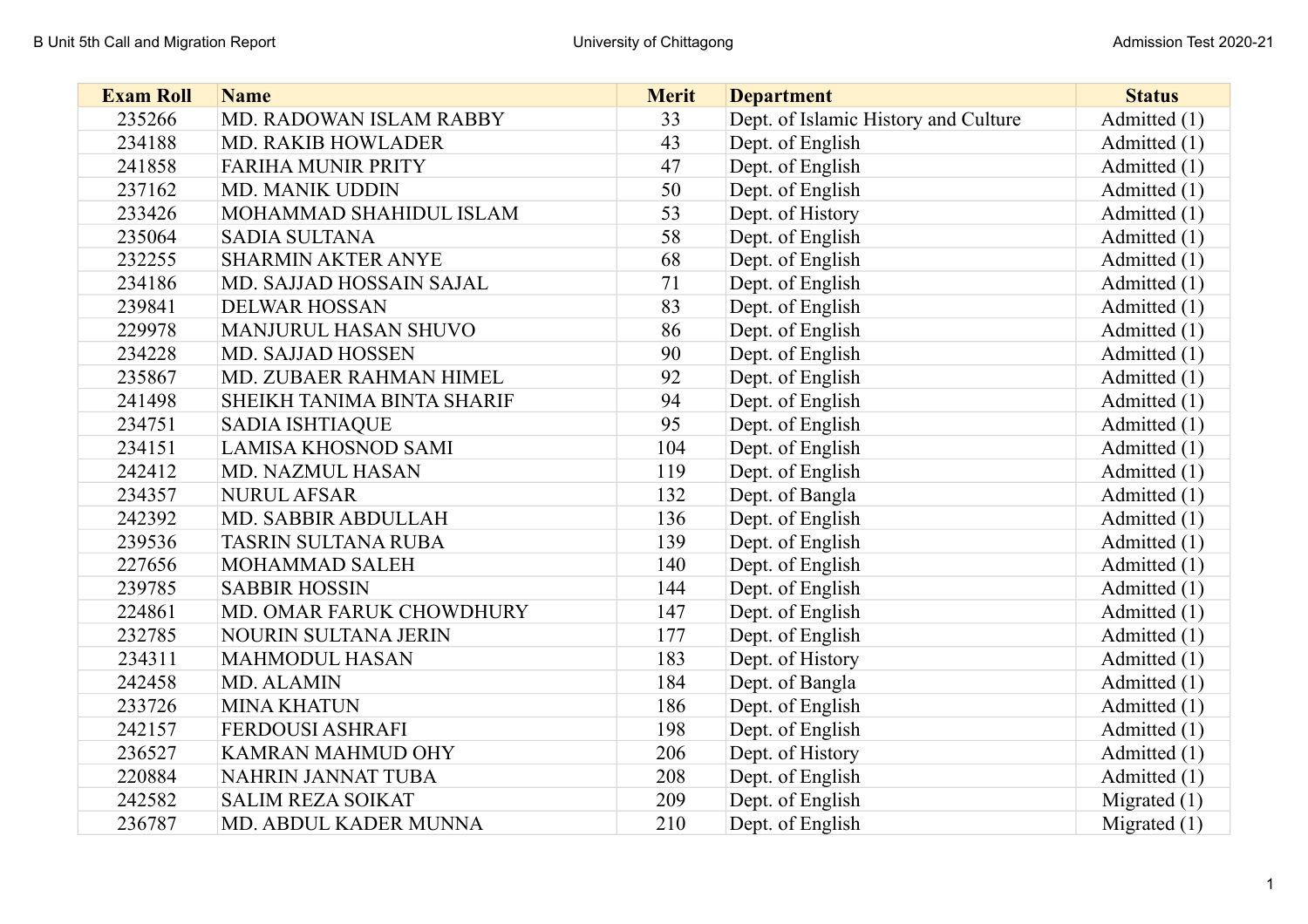| <b>Exam Roll</b> | <b>Name</b>                 | <b>Merit</b> | <b>Department</b>                    | <b>Status</b>  |
|------------------|-----------------------------|--------------|--------------------------------------|----------------|
| 235266           | MD. RADOWAN ISLAM RABBY     | 33           | Dept. of Islamic History and Culture | Admitted (1)   |
| 234188           | <b>MD. RAKIB HOWLADER</b>   | 43           | Dept. of English                     | Admitted (1)   |
| 241858           | <b>FARIHA MUNIR PRITY</b>   | 47           | Dept. of English                     | Admitted (1)   |
| 237162           | MD. MANIK UDDIN             | 50           | Dept. of English                     | Admitted (1)   |
| 233426           | MOHAMMAD SHAHIDUL ISLAM     | 53           | Dept. of History                     | Admitted (1)   |
| 235064           | <b>SADIA SULTANA</b>        | 58           | Dept. of English                     | Admitted (1)   |
| 232255           | <b>SHARMIN AKTER ANYE</b>   | 68           | Dept. of English                     | Admitted (1)   |
| 234186           | MD. SAJJAD HOSSAIN SAJAL    | 71           | Dept. of English                     | Admitted (1)   |
| 239841           | <b>DELWAR HOSSAN</b>        | 83           | Dept. of English                     | Admitted (1)   |
| 229978           | MANJURUL HASAN SHUVO        | 86           | Dept. of English                     | Admitted (1)   |
| 234228           | MD. SAJJAD HOSSEN           | 90           | Dept. of English                     | Admitted (1)   |
| 235867           | MD. ZUBAER RAHMAN HIMEL     | 92           | Dept. of English                     | Admitted (1)   |
| 241498           | SHEIKH TANIMA BINTA SHARIF  | 94           | Dept. of English                     | Admitted (1)   |
| 234751           | <b>SADIA ISHTIAQUE</b>      | 95           | Dept. of English                     | Admitted (1)   |
| 234151           | <b>LAMISA KHOSNOD SAMI</b>  | 104          | Dept. of English                     | Admitted (1)   |
| 242412           | <b>MD. NAZMUL HASAN</b>     | 119          | Dept. of English                     | Admitted (1)   |
| 234357           | <b>NURUL AFSAR</b>          | 132          | Dept. of Bangla                      | Admitted (1)   |
| 242392           | MD. SABBIR ABDULLAH         | 136          | Dept. of English                     | Admitted (1)   |
| 239536           | TASRIN SULTANA RUBA         | 139          | Dept. of English                     | Admitted (1)   |
| 227656           | MOHAMMAD SALEH              | 140          | Dept. of English                     | Admitted (1)   |
| 239785           | <b>SABBIR HOSSIN</b>        | 144          | Dept. of English                     | Admitted (1)   |
| 224861           | MD. OMAR FARUK CHOWDHURY    | 147          | Dept. of English                     | Admitted (1)   |
| 232785           | <b>NOURIN SULTANA JERIN</b> | 177          | Dept. of English                     | Admitted (1)   |
| 234311           | <b>MAHMODUL HASAN</b>       | 183          | Dept. of History                     | Admitted (1)   |
| 242458           | MD. ALAMIN                  | 184          | Dept. of Bangla                      | Admitted (1)   |
| 233726           | <b>MINA KHATUN</b>          | 186          | Dept. of English                     | Admitted (1)   |
| 242157           | FERDOUSI ASHRAFI            | 198          | Dept. of English                     | Admitted (1)   |
| 236527           | KAMRAN MAHMUD OHY           | 206          | Dept. of History                     | Admitted (1)   |
| 220884           | NAHRIN JANNAT TUBA          | 208          | Dept. of English                     | Admitted (1)   |
| 242582           | <b>SALIM REZA SOIKAT</b>    | 209          | Dept. of English                     | Migrated $(1)$ |
| 236787           | MD. ABDUL KADER MUNNA       | 210          | Dept. of English                     | Migrated $(1)$ |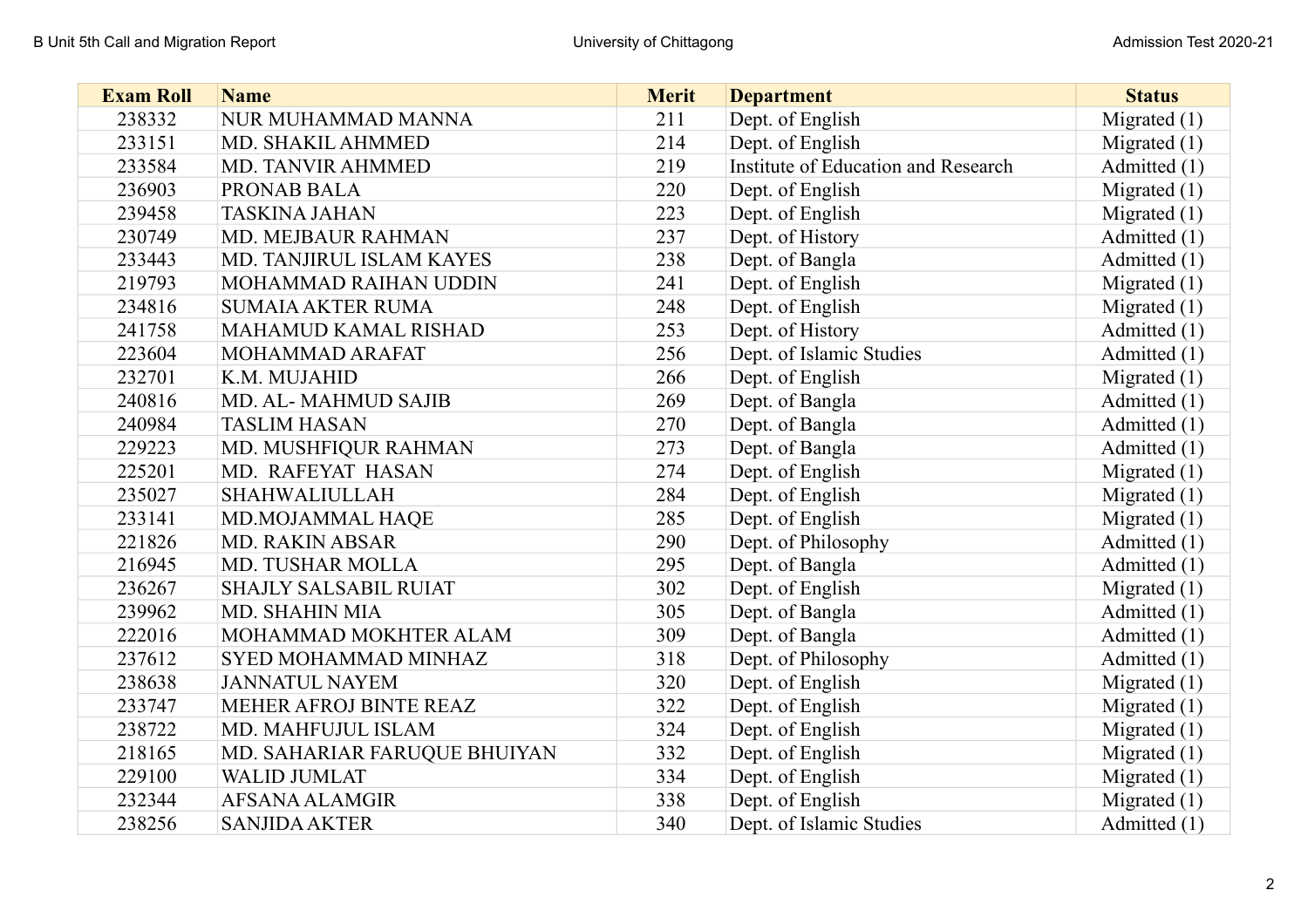| <b>Exam Roll</b> | <b>Name</b>                  | <b>Merit</b> | <b>Department</b>                   | <b>Status</b>  |
|------------------|------------------------------|--------------|-------------------------------------|----------------|
| 238332           | NUR MUHAMMAD MANNA           | 211          | Dept. of English                    | Migrated $(1)$ |
| 233151           | MD. SHAKIL AHMMED            | 214          | Dept. of English                    | Migrated $(1)$ |
| 233584           | MD. TANVIR AHMMED            | 219          | Institute of Education and Research | Admitted (1)   |
| 236903           | PRONAB BALA                  | 220          | Dept. of English                    | Migrated $(1)$ |
| 239458           | <b>TASKINA JAHAN</b>         | 223          | Dept. of English                    | Migrated $(1)$ |
| 230749           | MD. MEJBAUR RAHMAN           | 237          | Dept. of History                    | Admitted (1)   |
| 233443           | MD. TANJIRUL ISLAM KAYES     | 238          | Dept. of Bangla                     | Admitted (1)   |
| 219793           | MOHAMMAD RAIHAN UDDIN        | 241          | Dept. of English                    | Migrated $(1)$ |
| 234816           | <b>SUMAIA AKTER RUMA</b>     | 248          | Dept. of English                    | Migrated $(1)$ |
| 241758           | MAHAMUD KAMAL RISHAD         | 253          | Dept. of History                    | Admitted (1)   |
| 223604           | MOHAMMAD ARAFAT              | 256          | Dept. of Islamic Studies            | Admitted (1)   |
| 232701           | K.M. MUJAHID                 | 266          | Dept. of English                    | Migrated $(1)$ |
| 240816           | MD. AL-MAHMUD SAJIB          | 269          | Dept. of Bangla                     | Admitted (1)   |
| 240984           | <b>TASLIM HASAN</b>          | 270          | Dept. of Bangla                     | Admitted (1)   |
| 229223           | MD. MUSHFIQUR RAHMAN         | 273          | Dept. of Bangla                     | Admitted (1)   |
| 225201           | MD. RAFEYAT HASAN            | 274          | Dept. of English                    | Migrated $(1)$ |
| 235027           | <b>SHAHWALIULLAH</b>         | 284          | Dept. of English                    | Migrated $(1)$ |
| 233141           | MD.MOJAMMAL HAQE             | 285          | Dept. of English                    | Migrated $(1)$ |
| 221826           | <b>MD. RAKIN ABSAR</b>       | 290          | Dept. of Philosophy                 | Admitted (1)   |
| 216945           | MD. TUSHAR MOLLA             | 295          | Dept. of Bangla                     | Admitted (1)   |
| 236267           | <b>SHAJLY SALSABIL RUIAT</b> | 302          | Dept. of English                    | Migrated $(1)$ |
| 239962           | MD. SHAHIN MIA               | 305          | Dept. of Bangla                     | Admitted (1)   |
| 222016           | MOHAMMAD MOKHTER ALAM        | 309          | Dept. of Bangla                     | Admitted (1)   |
| 237612           | SYED MOHAMMAD MINHAZ         | 318          | Dept. of Philosophy                 | Admitted (1)   |
| 238638           | <b>JANNATUL NAYEM</b>        | 320          | Dept. of English                    | Migrated $(1)$ |
| 233747           | MEHER AFROJ BINTE REAZ       | 322          | Dept. of English                    | Migrated $(1)$ |
| 238722           | MD. MAHFUJUL ISLAM           | 324          | Dept. of English                    | Migrated $(1)$ |
| 218165           | MD. SAHARIAR FARUQUE BHUIYAN | 332          | Dept. of English                    | Migrated $(1)$ |
| 229100           | <b>WALID JUMLAT</b>          | 334          | Dept. of English                    | Migrated $(1)$ |
| 232344           | AFSANA ALAMGIR               | 338          | Dept. of English                    | Migrated $(1)$ |
| 238256           | <b>SANJIDA AKTER</b>         | 340          | Dept. of Islamic Studies            | Admitted (1)   |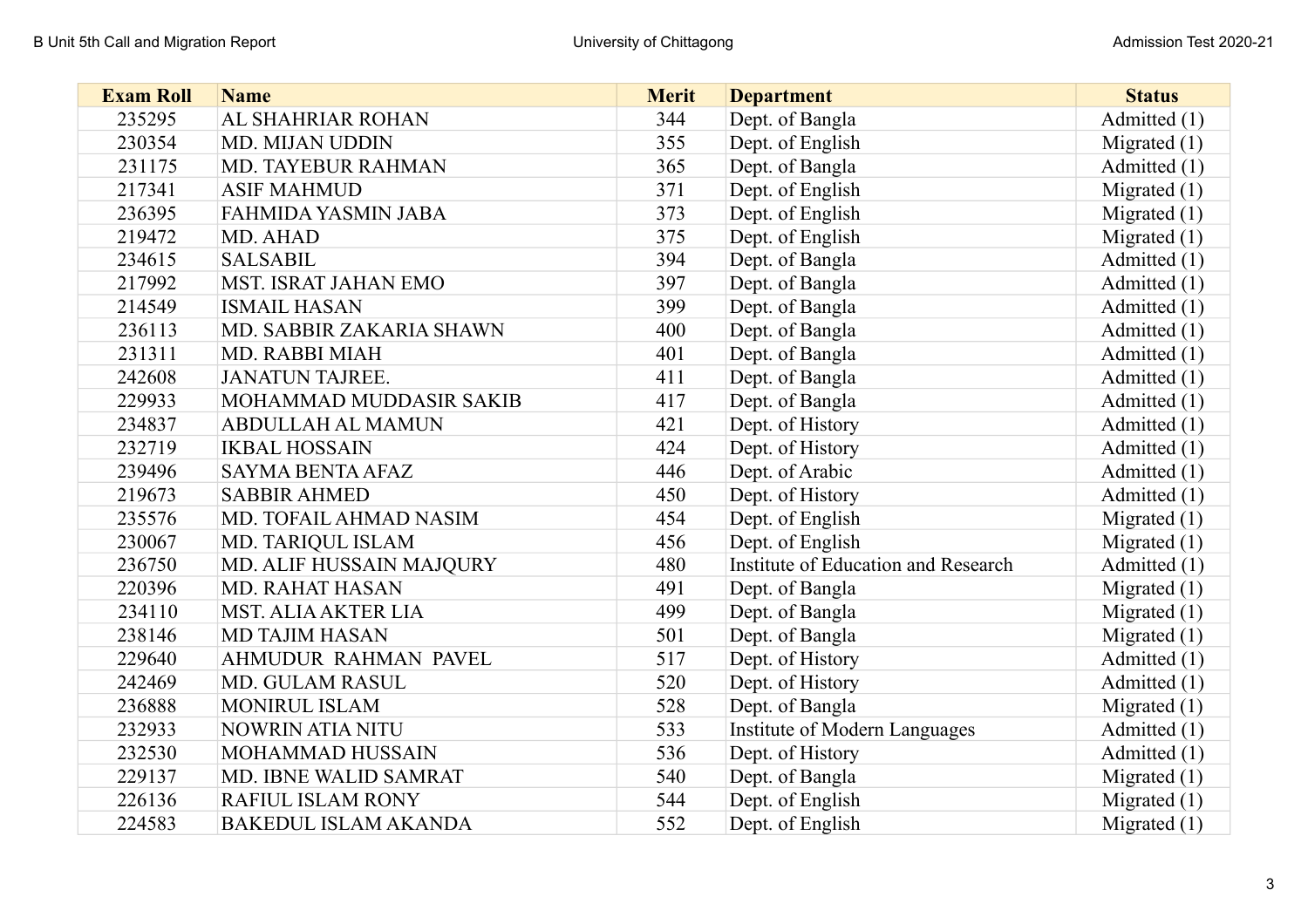| <b>Exam Roll</b> | <b>Name</b>                 | <b>Merit</b> | <b>Department</b>                   | <b>Status</b>  |
|------------------|-----------------------------|--------------|-------------------------------------|----------------|
| 235295           | AL SHAHRIAR ROHAN           | 344          | Dept. of Bangla                     | Admitted (1)   |
| 230354           | MD. MIJAN UDDIN             | 355          | Dept. of English                    | Migrated $(1)$ |
| 231175           | <b>MD. TAYEBUR RAHMAN</b>   | 365          | Dept. of Bangla                     | Admitted (1)   |
| 217341           | <b>ASIF MAHMUD</b>          | 371          | Dept. of English                    | Migrated $(1)$ |
| 236395           | FAHMIDA YASMIN JABA         | 373          | Dept. of English                    | Migrated $(1)$ |
| 219472           | MD. AHAD                    | 375          | Dept. of English                    | Migrated $(1)$ |
| 234615           | <b>SALSABIL</b>             | 394          | Dept. of Bangla                     | Admitted (1)   |
| 217992           | MST. ISRAT JAHAN EMO        | 397          | Dept. of Bangla                     | Admitted (1)   |
| 214549           | <b>ISMAIL HASAN</b>         | 399          | Dept. of Bangla                     | Admitted (1)   |
| 236113           | MD. SABBIR ZAKARIA SHAWN    | 400          | Dept. of Bangla                     | Admitted (1)   |
| 231311           | MD. RABBI MIAH              | 401          | Dept. of Bangla                     | Admitted (1)   |
| 242608           | <b>JANATUN TAJREE.</b>      | 411          | Dept. of Bangla                     | Admitted (1)   |
| 229933           | MOHAMMAD MUDDASIR SAKIB     | 417          | Dept. of Bangla                     | Admitted (1)   |
| 234837           | <b>ABDULLAH AL MAMUN</b>    | 421          | Dept. of History                    | Admitted (1)   |
| 232719           | <b>IKBAL HOSSAIN</b>        | 424          | Dept. of History                    | Admitted (1)   |
| 239496           | <b>SAYMA BENTA AFAZ</b>     | 446          | Dept. of Arabic                     | Admitted (1)   |
| 219673           | <b>SABBIR AHMED</b>         | 450          | Dept. of History                    | Admitted (1)   |
| 235576           | MD. TOFAIL AHMAD NASIM      | 454          | Dept. of English                    | Migrated $(1)$ |
| 230067           | MD. TARIQUL ISLAM           | 456          | Dept. of English                    | Migrated $(1)$ |
| 236750           | MD. ALIF HUSSAIN MAJQURY    | 480          | Institute of Education and Research | Admitted (1)   |
| 220396           | <b>MD. RAHAT HASAN</b>      | 491          | Dept. of Bangla                     | Migrated $(1)$ |
| 234110           | <b>MST. ALIA AKTER LIA</b>  | 499          | Dept. of Bangla                     | Migrated $(1)$ |
| 238146           | <b>MD TAJIM HASAN</b>       | 501          | Dept. of Bangla                     | Migrated $(1)$ |
| 229640           | AHMUDUR RAHMAN PAVEL        | 517          | Dept. of History                    | Admitted (1)   |
| 242469           | MD. GULAM RASUL             | 520          | Dept. of History                    | Admitted (1)   |
| 236888           | MONIRUL ISLAM               | 528          | Dept. of Bangla                     | Migrated $(1)$ |
| 232933           | NOWRIN ATIA NITU            | 533          | Institute of Modern Languages       | Admitted (1)   |
| 232530           | MOHAMMAD HUSSAIN            | 536          | Dept. of History                    | Admitted (1)   |
| 229137           | MD. IBNE WALID SAMRAT       | 540          | Dept. of Bangla                     | Migrated $(1)$ |
| 226136           | RAFIUL ISLAM RONY           | 544          | Dept. of English                    | Migrated $(1)$ |
| 224583           | <b>BAKEDUL ISLAM AKANDA</b> | 552          | Dept. of English                    | Migrated $(1)$ |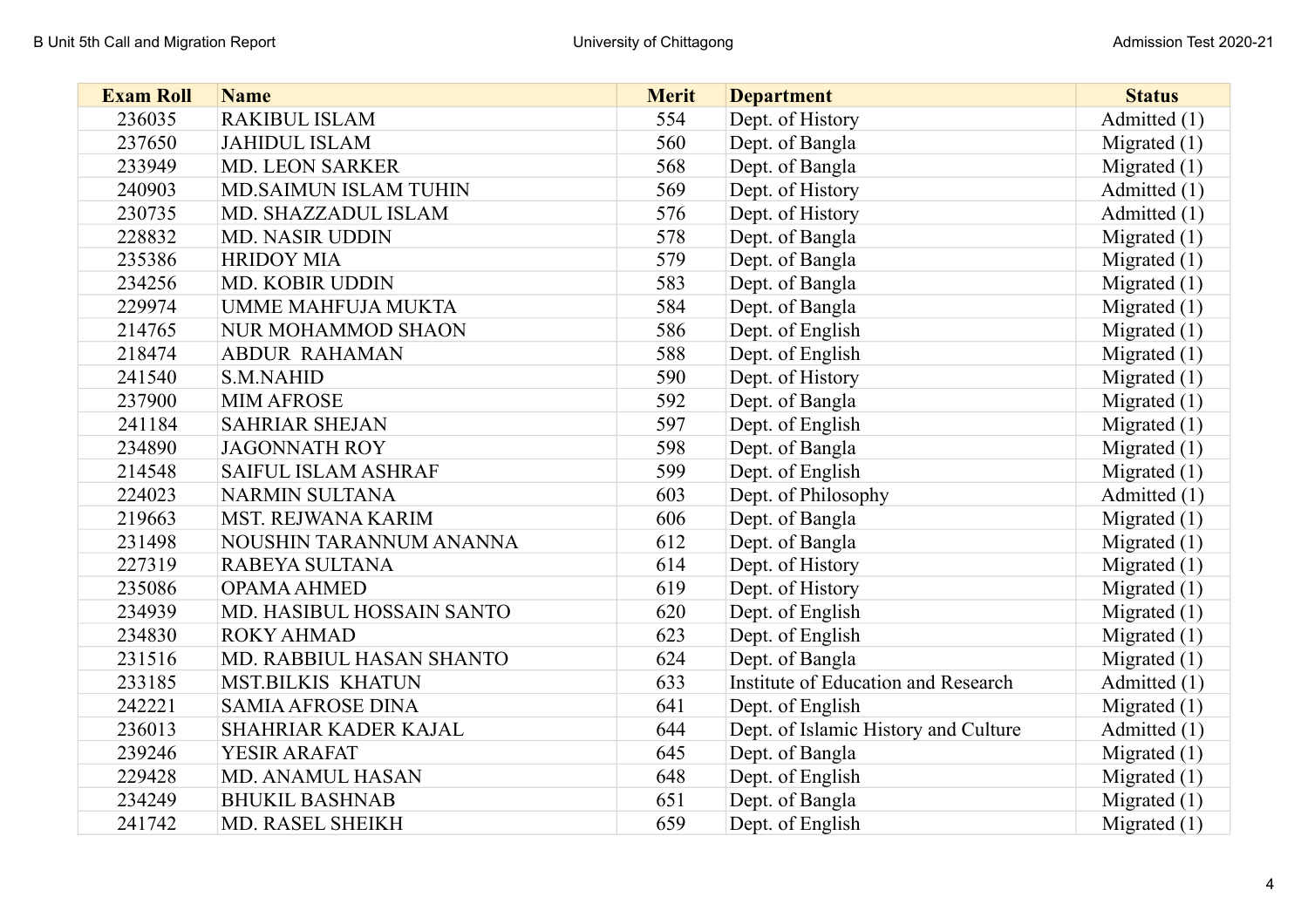| <b>Exam Roll</b> | <b>Name</b>                  | <b>Merit</b> | <b>Department</b>                    | <b>Status</b>  |
|------------------|------------------------------|--------------|--------------------------------------|----------------|
| 236035           | <b>RAKIBUL ISLAM</b>         | 554          | Dept. of History                     | Admitted (1)   |
| 237650           | <b>JAHIDUL ISLAM</b>         | 560          | Dept. of Bangla                      | Migrated $(1)$ |
| 233949           | <b>MD. LEON SARKER</b>       | 568          | Dept. of Bangla                      | Migrated $(1)$ |
| 240903           | <b>MD.SAIMUN ISLAM TUHIN</b> | 569          | Dept. of History                     | Admitted (1)   |
| 230735           | MD. SHAZZADUL ISLAM          | 576          | Dept. of History                     | Admitted (1)   |
| 228832           | <b>MD. NASIR UDDIN</b>       | 578          | Dept. of Bangla                      | Migrated $(1)$ |
| 235386           | <b>HRIDOY MIA</b>            | 579          | Dept. of Bangla                      | Migrated $(1)$ |
| 234256           | MD. KOBIR UDDIN              | 583          | Dept. of Bangla                      | Migrated $(1)$ |
| 229974           | <b>UMME MAHFUJA MUKTA</b>    | 584          | Dept. of Bangla                      | Migrated $(1)$ |
| 214765           | <b>NUR MOHAMMOD SHAON</b>    | 586          | Dept. of English                     | Migrated $(1)$ |
| 218474           | <b>ABDUR RAHAMAN</b>         | 588          | Dept. of English                     | Migrated $(1)$ |
| 241540           | <b>S.M.NAHID</b>             | 590          | Dept. of History                     | Migrated $(1)$ |
| 237900           | <b>MIM AFROSE</b>            | 592          | Dept. of Bangla                      | Migrated $(1)$ |
| 241184           | <b>SAHRIAR SHEJAN</b>        | 597          | Dept. of English                     | Migrated $(1)$ |
| 234890           | <b>JAGONNATH ROY</b>         | 598          | Dept. of Bangla                      | Migrated $(1)$ |
| 214548           | <b>SAIFUL ISLAM ASHRAF</b>   | 599          | Dept. of English                     | Migrated $(1)$ |
| 224023           | <b>NARMIN SULTANA</b>        | 603          | Dept. of Philosophy                  | Admitted (1)   |
| 219663           | MST. REJWANA KARIM           | 606          | Dept. of Bangla                      | Migrated $(1)$ |
| 231498           | NOUSHIN TARANNUM ANANNA      | 612          | Dept. of Bangla                      | Migrated $(1)$ |
| 227319           | RABEYA SULTANA               | 614          | Dept. of History                     | Migrated $(1)$ |
| 235086           | <b>OPAMA AHMED</b>           | 619          | Dept. of History                     | Migrated $(1)$ |
| 234939           | MD. HASIBUL HOSSAIN SANTO    | 620          | Dept. of English                     | Migrated $(1)$ |
| 234830           | <b>ROKY AHMAD</b>            | 623          | Dept. of English                     | Migrated $(1)$ |
| 231516           | MD. RABBIUL HASAN SHANTO     | 624          | Dept. of Bangla                      | Migrated $(1)$ |
| 233185           | <b>MST.BILKIS KHATUN</b>     | 633          | Institute of Education and Research  | Admitted (1)   |
| 242221           | <b>SAMIA AFROSE DINA</b>     | 641          | Dept. of English                     | Migrated $(1)$ |
| 236013           | SHAHRIAR KADER KAJAL         | 644          | Dept. of Islamic History and Culture | Admitted (1)   |
| 239246           | YESIR ARAFAT                 | 645          | Dept. of Bangla                      | Migrated $(1)$ |
| 229428           | MD. ANAMUL HASAN             | 648          | Dept. of English                     | Migrated $(1)$ |
| 234249           | <b>BHUKIL BASHNAB</b>        | 651          | Dept. of Bangla                      | Migrated $(1)$ |
| 241742           | MD. RASEL SHEIKH             | 659          | Dept. of English                     | Migrated $(1)$ |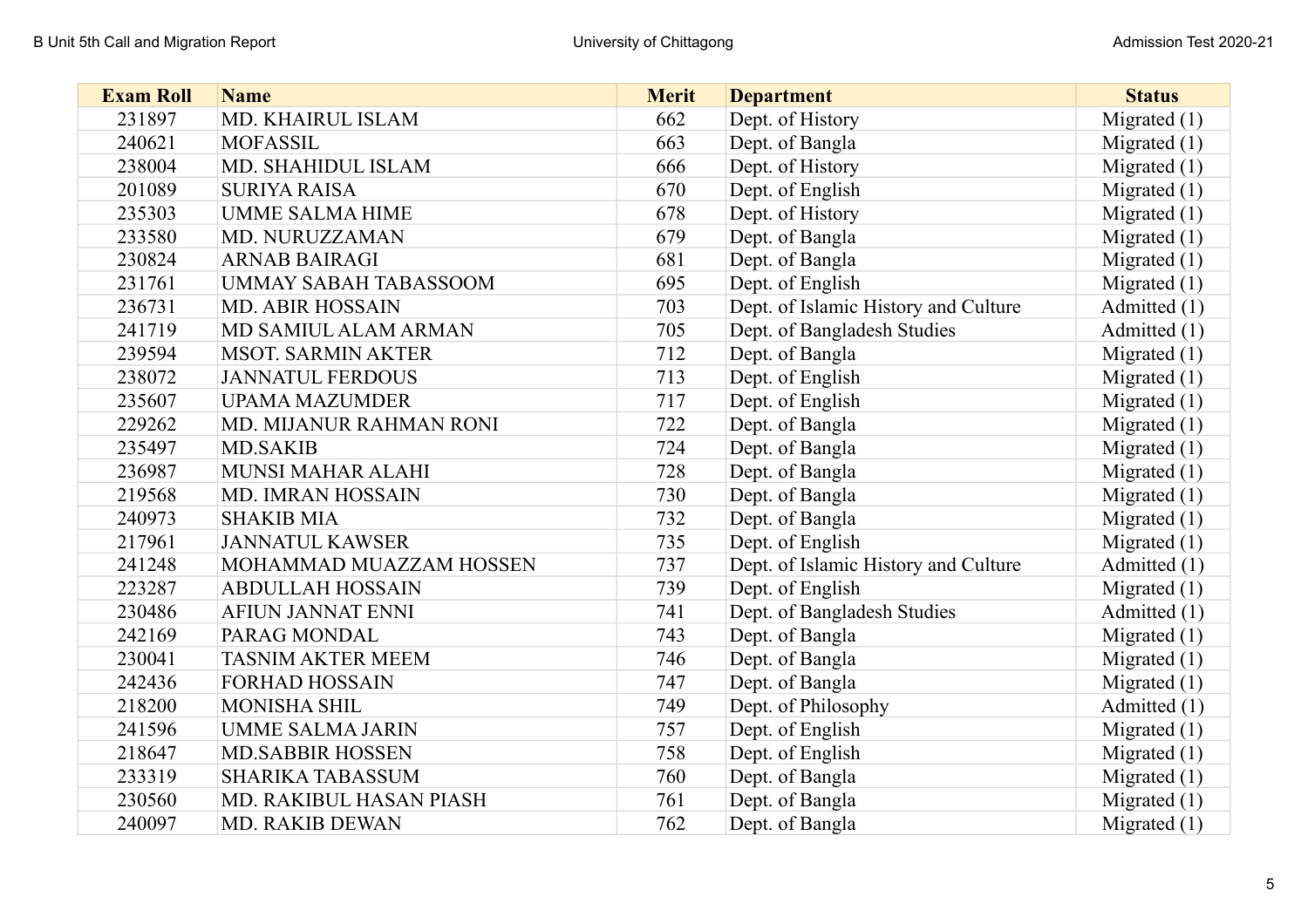| <b>Exam Roll</b> | <b>Name</b>                  | <b>Merit</b> | <b>Department</b>                    | <b>Status</b>  |
|------------------|------------------------------|--------------|--------------------------------------|----------------|
| 231897           | <b>MD. KHAIRUL ISLAM</b>     | 662          | Dept. of History                     | Migrated $(1)$ |
| 240621           | <b>MOFASSIL</b>              | 663          | Dept. of Bangla                      | Migrated $(1)$ |
| 238004           | MD. SHAHIDUL ISLAM           | 666          | Dept. of History                     | Migrated $(1)$ |
| 201089           | <b>SURIYA RAISA</b>          | 670          | Dept. of English                     | Migrated $(1)$ |
| 235303           | <b>UMME SALMA HIME</b>       | 678          | Dept. of History                     | Migrated $(1)$ |
| 233580           | MD. NURUZZAMAN               | 679          | Dept. of Bangla                      | Migrated $(1)$ |
| 230824           | <b>ARNAB BAIRAGI</b>         | 681          | Dept. of Bangla                      | Migrated $(1)$ |
| 231761           | <b>UMMAY SABAH TABASSOOM</b> | 695          | Dept. of English                     | Migrated $(1)$ |
| 236731           | <b>MD. ABIR HOSSAIN</b>      | 703          | Dept. of Islamic History and Culture | Admitted (1)   |
| 241719           | MD SAMIUL ALAM ARMAN         | 705          | Dept. of Bangladesh Studies          | Admitted (1)   |
| 239594           | <b>MSOT. SARMIN AKTER</b>    | 712          | Dept. of Bangla                      | Migrated $(1)$ |
| 238072           | <b>JANNATUL FERDOUS</b>      | 713          | Dept. of English                     | Migrated $(1)$ |
| 235607           | <b>UPAMA MAZUMDER</b>        | 717          | Dept. of English                     | Migrated $(1)$ |
| 229262           | MD. MIJANUR RAHMAN RONI      | 722          | Dept. of Bangla                      | Migrated $(1)$ |
| 235497           | <b>MD.SAKIB</b>              | 724          | Dept. of Bangla                      | Migrated $(1)$ |
| 236987           | <b>MUNSI MAHAR ALAHI</b>     | 728          | Dept. of Bangla                      | Migrated $(1)$ |
| 219568           | MD. IMRAN HOSSAIN            | 730          | Dept. of Bangla                      | Migrated $(1)$ |
| 240973           | <b>SHAKIB MIA</b>            | 732          | Dept. of Bangla                      | Migrated $(1)$ |
| 217961           | <b>JANNATUL KAWSER</b>       | 735          | Dept. of English                     | Migrated $(1)$ |
| 241248           | MOHAMMAD MUAZZAM HOSSEN      | 737          | Dept. of Islamic History and Culture | Admitted (1)   |
| 223287           | <b>ABDULLAH HOSSAIN</b>      | 739          | Dept. of English                     | Migrated $(1)$ |
| 230486           | <b>AFIUN JANNAT ENNI</b>     | 741          | Dept. of Bangladesh Studies          | Admitted (1)   |
| 242169           | PARAG MONDAL                 | 743          | Dept. of Bangla                      | Migrated $(1)$ |
| 230041           | <b>TASNIM AKTER MEEM</b>     | 746          | Dept. of Bangla                      | Migrated $(1)$ |
| 242436           | <b>FORHAD HOSSAIN</b>        | 747          | Dept. of Bangla                      | Migrated $(1)$ |
| 218200           | <b>MONISHA SHIL</b>          | 749          | Dept. of Philosophy                  | Admitted (1)   |
| 241596           | <b>UMME SALMA JARIN</b>      | 757          | Dept. of English                     | Migrated $(1)$ |
| 218647           | <b>MD.SABBIR HOSSEN</b>      | 758          | Dept. of English                     | Migrated $(1)$ |
| 233319           | <b>SHARIKA TABASSUM</b>      | 760          | Dept. of Bangla                      | Migrated $(1)$ |
| 230560           | MD. RAKIBUL HASAN PIASH      | 761          | Dept. of Bangla                      | Migrated $(1)$ |
| 240097           | <b>MD. RAKIB DEWAN</b>       | 762          | Dept. of Bangla                      | Migrated $(1)$ |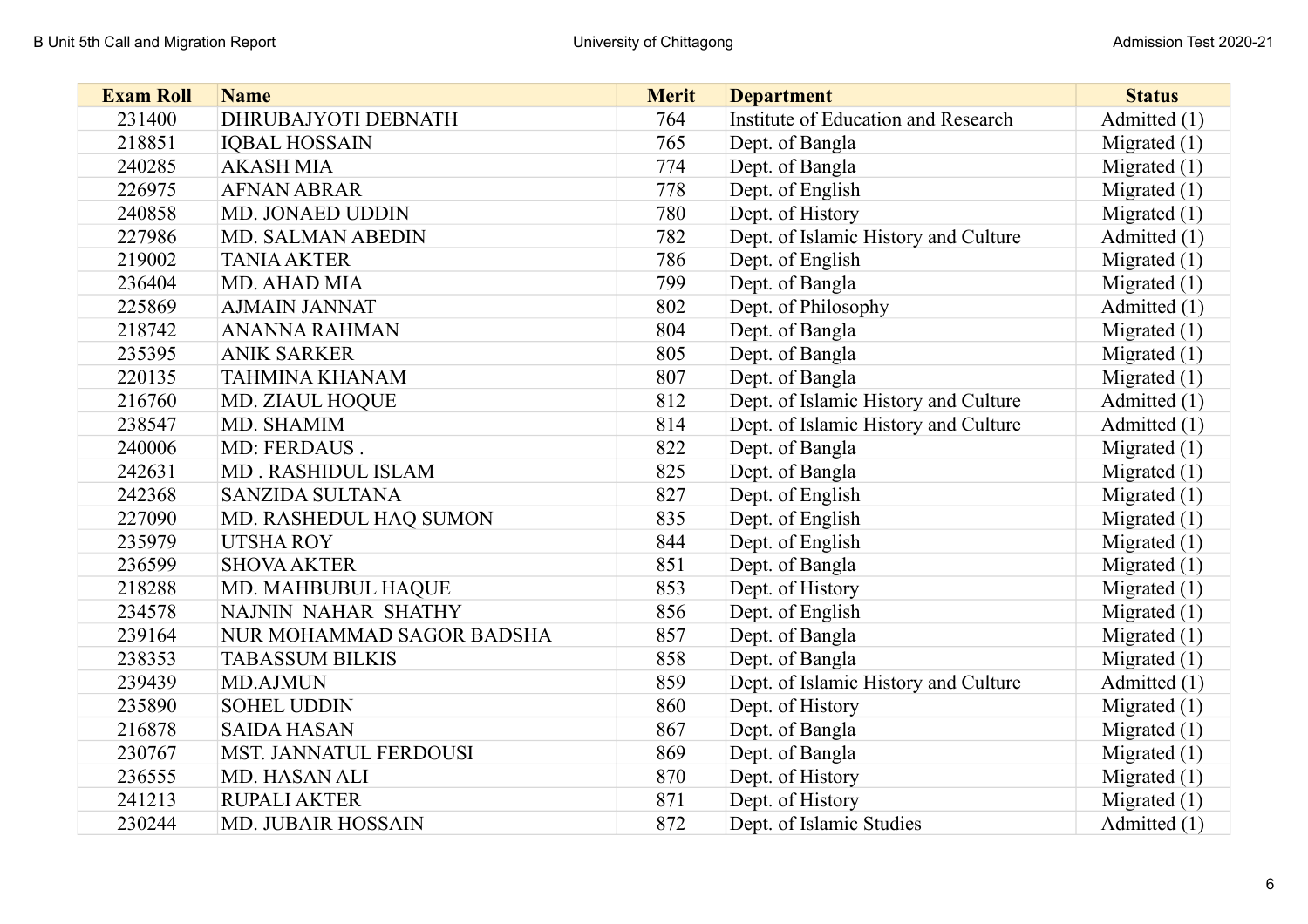| <b>Exam Roll</b> | <b>Name</b>               | <b>Merit</b> | <b>Department</b>                    | <b>Status</b>  |
|------------------|---------------------------|--------------|--------------------------------------|----------------|
| 231400           | DHRUBAJYOTI DEBNATH       | 764          | Institute of Education and Research  | Admitted (1)   |
| 218851           | <b>IQBAL HOSSAIN</b>      | 765          | Dept. of Bangla                      | Migrated $(1)$ |
| 240285           | <b>AKASH MIA</b>          | 774          | Dept. of Bangla                      | Migrated $(1)$ |
| 226975           | <b>AFNAN ABRAR</b>        | 778          | Dept. of English                     | Migrated $(1)$ |
| 240858           | MD. JONAED UDDIN          | 780          | Dept. of History                     | Migrated $(1)$ |
| 227986           | MD. SALMAN ABEDIN         | 782          | Dept. of Islamic History and Culture | Admitted (1)   |
| 219002           | <b>TANIA AKTER</b>        | 786          | Dept. of English                     | Migrated $(1)$ |
| 236404           | MD. AHAD MIA              | 799          | Dept. of Bangla                      | Migrated $(1)$ |
| 225869           | <b>AJMAIN JANNAT</b>      | 802          | Dept. of Philosophy                  | Admitted (1)   |
| 218742           | <b>ANANNA RAHMAN</b>      | 804          | Dept. of Bangla                      | Migrated $(1)$ |
| 235395           | <b>ANIK SARKER</b>        | 805          | Dept. of Bangla                      | Migrated $(1)$ |
| 220135           | <b>TAHMINA KHANAM</b>     | 807          | Dept. of Bangla                      | Migrated $(1)$ |
| 216760           | MD. ZIAUL HOQUE           | 812          | Dept. of Islamic History and Culture | Admitted (1)   |
| 238547           | MD. SHAMIM                | 814          | Dept. of Islamic History and Culture | Admitted (1)   |
| 240006           | MD: FERDAUS.              | 822          | Dept. of Bangla                      | Migrated $(1)$ |
| 242631           | MD. RASHIDUL ISLAM        | 825          | Dept. of Bangla                      | Migrated $(1)$ |
| 242368           | <b>SANZIDA SULTANA</b>    | 827          | Dept. of English                     | Migrated $(1)$ |
| 227090           | MD. RASHEDUL HAQ SUMON    | 835          | Dept. of English                     | Migrated $(1)$ |
| 235979           | <b>UTSHA ROY</b>          | 844          | Dept. of English                     | Migrated $(1)$ |
| 236599           | <b>SHOVA AKTER</b>        | 851          | Dept. of Bangla                      | Migrated $(1)$ |
| 218288           | MD. MAHBUBUL HAQUE        | 853          | Dept. of History                     | Migrated $(1)$ |
| 234578           | NAJNIN NAHAR SHATHY       | 856          | Dept. of English                     | Migrated $(1)$ |
| 239164           | NUR MOHAMMAD SAGOR BADSHA | 857          | Dept. of Bangla                      | Migrated $(1)$ |
| 238353           | <b>TABASSUM BILKIS</b>    | 858          | Dept. of Bangla                      | Migrated $(1)$ |
| 239439           | <b>MD.AJMUN</b>           | 859          | Dept. of Islamic History and Culture | Admitted (1)   |
| 235890           | <b>SOHEL UDDIN</b>        | 860          | Dept. of History                     | Migrated $(1)$ |
| 216878           | <b>SAIDA HASAN</b>        | 867          | Dept. of Bangla                      | Migrated $(1)$ |
| 230767           | MST. JANNATUL FERDOUSI    | 869          | Dept. of Bangla                      | Migrated $(1)$ |
| 236555           | MD. HASAN ALI             | 870          | Dept. of History                     | Migrated $(1)$ |
| 241213           | <b>RUPALI AKTER</b>       | 871          | Dept. of History                     | Migrated $(1)$ |
| 230244           | <b>MD. JUBAIR HOSSAIN</b> | 872          | Dept. of Islamic Studies             | Admitted (1)   |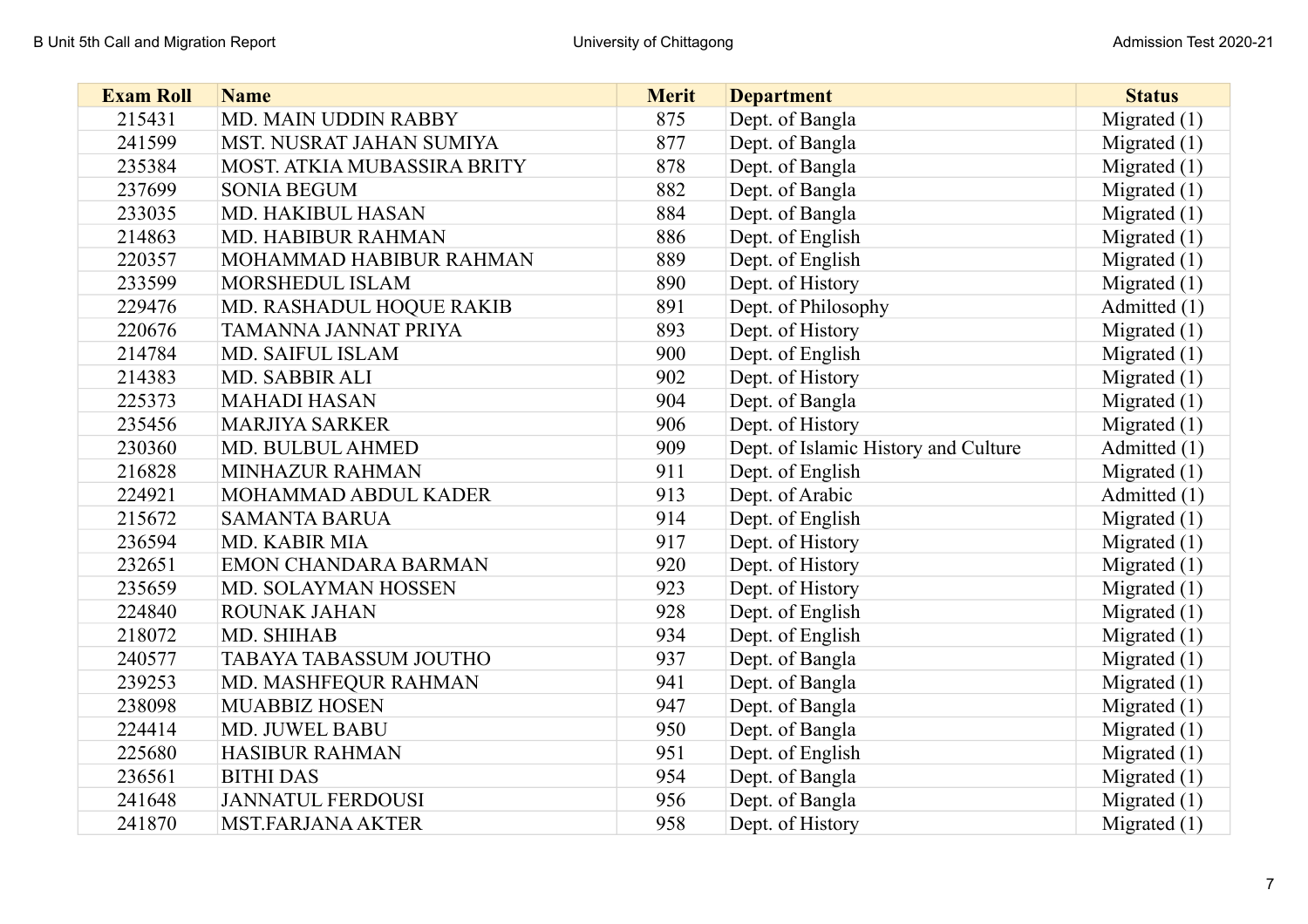| <b>Exam Roll</b> | <b>Name</b>                 | <b>Merit</b> | <b>Department</b>                    | <b>Status</b>  |
|------------------|-----------------------------|--------------|--------------------------------------|----------------|
| 215431           | <b>MD. MAIN UDDIN RABBY</b> | 875          | Dept. of Bangla                      | Migrated $(1)$ |
| 241599           | MST. NUSRAT JAHAN SUMIYA    | 877          | Dept. of Bangla                      | Migrated $(1)$ |
| 235384           | MOST. ATKIA MUBASSIRA BRITY | 878          | Dept. of Bangla                      | Migrated $(1)$ |
| 237699           | <b>SONIA BEGUM</b>          | 882          | Dept. of Bangla                      | Migrated $(1)$ |
| 233035           | <b>MD. HAKIBUL HASAN</b>    | 884          | Dept. of Bangla                      | Migrated $(1)$ |
| 214863           | MD. HABIBUR RAHMAN          | 886          | Dept. of English                     | Migrated $(1)$ |
| 220357           | MOHAMMAD HABIBUR RAHMAN     | 889          | Dept. of English                     | Migrated $(1)$ |
| 233599           | MORSHEDUL ISLAM             | 890          | Dept. of History                     | Migrated $(1)$ |
| 229476           | MD. RASHADUL HOQUE RAKIB    | 891          | Dept. of Philosophy                  | Admitted (1)   |
| 220676           | TAMANNA JANNAT PRIYA        | 893          | Dept. of History                     | Migrated $(1)$ |
| 214784           | MD. SAIFUL ISLAM            | 900          | Dept. of English                     | Migrated $(1)$ |
| 214383           | MD. SABBIR ALI              | 902          | Dept. of History                     | Migrated $(1)$ |
| 225373           | <b>MAHADI HASAN</b>         | 904          | Dept. of Bangla                      | Migrated $(1)$ |
| 235456           | <b>MARJIYA SARKER</b>       | 906          | Dept. of History                     | Migrated $(1)$ |
| 230360           | MD. BULBUL AHMED            | 909          | Dept. of Islamic History and Culture | Admitted (1)   |
| 216828           | MINHAZUR RAHMAN             | 911          | Dept. of English                     | Migrated $(1)$ |
| 224921           | MOHAMMAD ABDUL KADER        | 913          | Dept. of Arabic                      | Admitted (1)   |
| 215672           | <b>SAMANTA BARUA</b>        | 914          | Dept. of English                     | Migrated $(1)$ |
| 236594           | MD. KABIR MIA               | 917          | Dept. of History                     | Migrated $(1)$ |
| 232651           | EMON CHANDARA BARMAN        | 920          | Dept. of History                     | Migrated $(1)$ |
| 235659           | MD. SOLAYMAN HOSSEN         | 923          | Dept. of History                     | Migrated $(1)$ |
| 224840           | ROUNAK JAHAN                | 928          | Dept. of English                     | Migrated $(1)$ |
| 218072           | MD. SHIHAB                  | 934          | Dept. of English                     | Migrated $(1)$ |
| 240577           | TABAYA TABASSUM JOUTHO      | 937          | Dept. of Bangla                      | Migrated $(1)$ |
| 239253           | MD. MASHFEQUR RAHMAN        | 941          | Dept. of Bangla                      | Migrated $(1)$ |
| 238098           | <b>MUABBIZ HOSEN</b>        | 947          | Dept. of Bangla                      | Migrated $(1)$ |
| 224414           | MD. JUWEL BABU              | 950          | Dept. of Bangla                      | Migrated $(1)$ |
| 225680           | <b>HASIBUR RAHMAN</b>       | 951          | Dept. of English                     | Migrated $(1)$ |
| 236561           | <b>BITHI DAS</b>            | 954          | Dept. of Bangla                      | Migrated $(1)$ |
| 241648           | <b>JANNATUL FERDOUSI</b>    | 956          | Dept. of Bangla                      | Migrated $(1)$ |
| 241870           | <b>MST.FARJANA AKTER</b>    | 958          | Dept. of History                     | Migrated $(1)$ |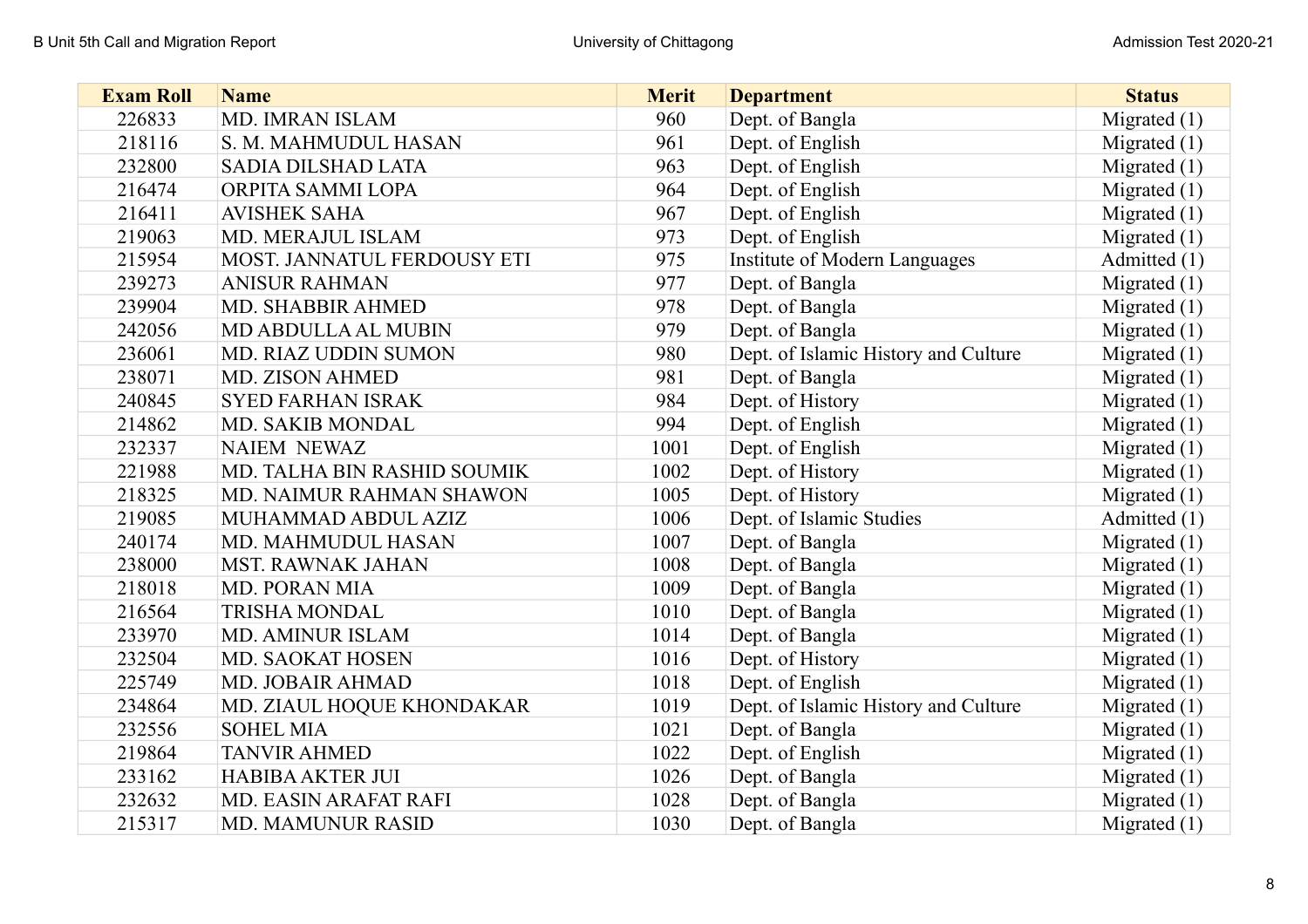| <b>Exam Roll</b> | <b>Name</b>                 | <b>Merit</b> | <b>Department</b>                    | <b>Status</b>  |
|------------------|-----------------------------|--------------|--------------------------------------|----------------|
| 226833           | <b>MD. IMRAN ISLAM</b>      | 960          | Dept. of Bangla                      | Migrated $(1)$ |
| 218116           | S. M. MAHMUDUL HASAN        | 961          | Dept. of English                     | Migrated $(1)$ |
| 232800           | SADIA DILSHAD LATA          | 963          | Dept. of English                     | Migrated $(1)$ |
| 216474           | ORPITA SAMMI LOPA           | 964          | Dept. of English                     | Migrated $(1)$ |
| 216411           | <b>AVISHEK SAHA</b>         | 967          | Dept. of English                     | Migrated $(1)$ |
| 219063           | MD. MERAJUL ISLAM           | 973          | Dept. of English                     | Migrated $(1)$ |
| 215954           | MOST. JANNATUL FERDOUSY ETI | 975          | Institute of Modern Languages        | Admitted (1)   |
| 239273           | <b>ANISUR RAHMAN</b>        | 977          | Dept. of Bangla                      | Migrated $(1)$ |
| 239904           | MD. SHABBIR AHMED           | 978          | Dept. of Bangla                      | Migrated $(1)$ |
| 242056           | MD ABDULLA AL MUBIN         | 979          | Dept. of Bangla                      | Migrated $(1)$ |
| 236061           | <b>MD. RIAZ UDDIN SUMON</b> | 980          | Dept. of Islamic History and Culture | Migrated $(1)$ |
| 238071           | <b>MD. ZISON AHMED</b>      | 981          | Dept. of Bangla                      | Migrated $(1)$ |
| 240845           | <b>SYED FARHAN ISRAK</b>    | 984          | Dept. of History                     | Migrated $(1)$ |
| 214862           | MD. SAKIB MONDAL            | 994          | Dept. of English                     | Migrated $(1)$ |
| 232337           | <b>NAIEM NEWAZ</b>          | 1001         | Dept. of English                     | Migrated $(1)$ |
| 221988           | MD. TALHA BIN RASHID SOUMIK | 1002         | Dept. of History                     | Migrated $(1)$ |
| 218325           | MD. NAIMUR RAHMAN SHAWON    | 1005         | Dept. of History                     | Migrated $(1)$ |
| 219085           | MUHAMMAD ABDUL AZIZ         | 1006         | Dept. of Islamic Studies             | Admitted (1)   |
| 240174           | MD. MAHMUDUL HASAN          | 1007         | Dept. of Bangla                      | Migrated $(1)$ |
| 238000           | <b>MST. RAWNAK JAHAN</b>    | 1008         | Dept. of Bangla                      | Migrated $(1)$ |
| 218018           | <b>MD. PORAN MIA</b>        | 1009         | Dept. of Bangla                      | Migrated $(1)$ |
| 216564           | <b>TRISHA MONDAL</b>        | 1010         | Dept. of Bangla                      | Migrated $(1)$ |
| 233970           | <b>MD. AMINUR ISLAM</b>     | 1014         | Dept. of Bangla                      | Migrated $(1)$ |
| 232504           | MD. SAOKAT HOSEN            | 1016         | Dept. of History                     | Migrated $(1)$ |
| 225749           | <b>MD. JOBAIR AHMAD</b>     | 1018         | Dept. of English                     | Migrated $(1)$ |
| 234864           | MD. ZIAUL HOQUE KHONDAKAR   | 1019         | Dept. of Islamic History and Culture | Migrated $(1)$ |
| 232556           | <b>SOHEL MIA</b>            | 1021         | Dept. of Bangla                      | Migrated $(1)$ |
| 219864           | <b>TANVIR AHMED</b>         | 1022         | Dept. of English                     | Migrated $(1)$ |
| 233162           | <b>HABIBA AKTER JUI</b>     | 1026         | Dept. of Bangla                      | Migrated $(1)$ |
| 232632           | MD. EASIN ARAFAT RAFI       | 1028         | Dept. of Bangla                      | Migrated $(1)$ |
| 215317           | <b>MD. MAMUNUR RASID</b>    | 1030         | Dept. of Bangla                      | Migrated $(1)$ |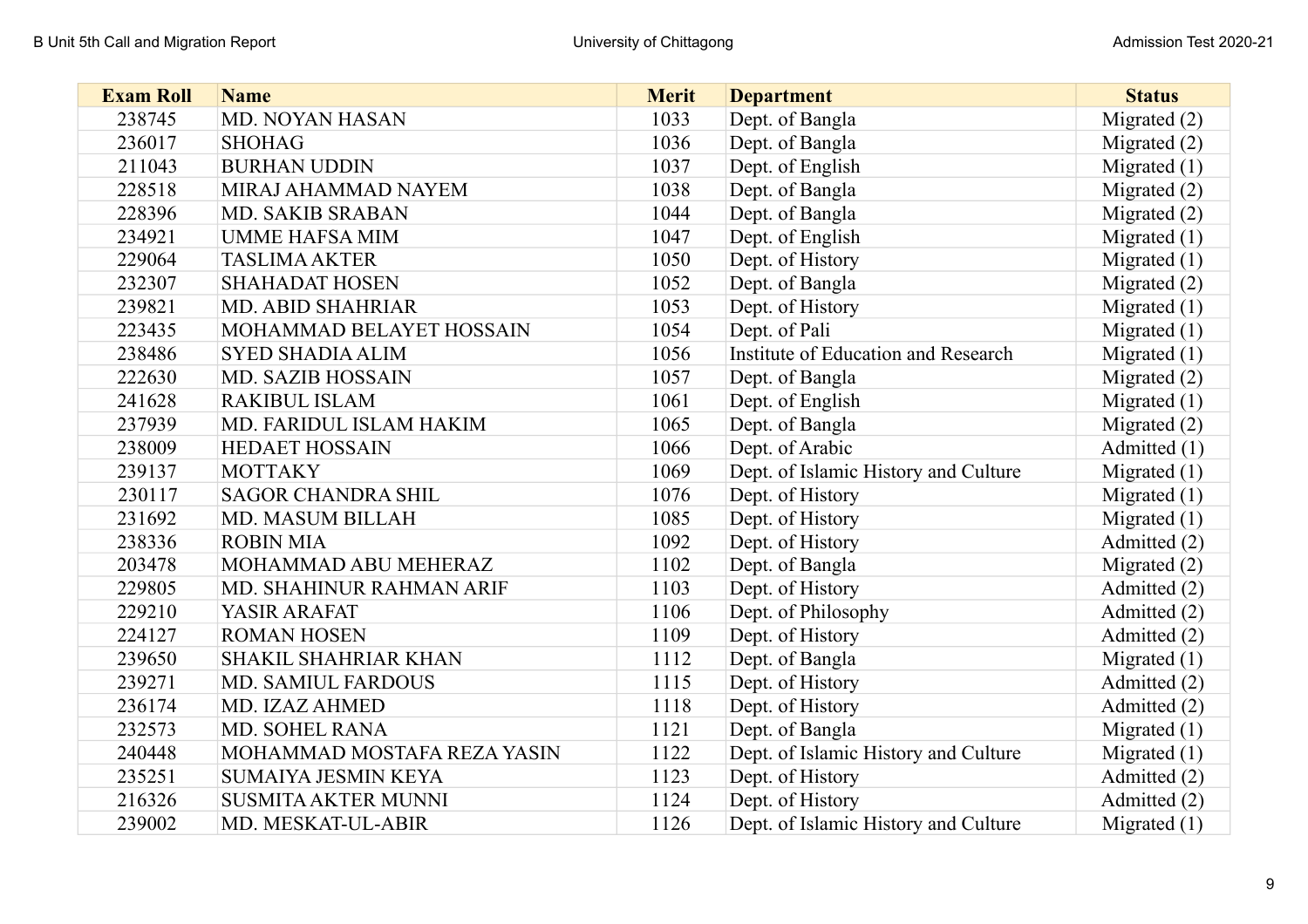| <b>Exam Roll</b> | <b>Name</b>                 | <b>Merit</b> | <b>Department</b>                    | <b>Status</b>  |
|------------------|-----------------------------|--------------|--------------------------------------|----------------|
| 238745           | MD. NOYAN HASAN             | 1033         | Dept. of Bangla                      | Migrated $(2)$ |
| 236017           | <b>SHOHAG</b>               | 1036         | Dept. of Bangla                      | Migrated $(2)$ |
| 211043           | <b>BURHAN UDDIN</b>         | 1037         | Dept. of English                     | Migrated $(1)$ |
| 228518           | MIRAJ AHAMMAD NAYEM         | 1038         | Dept. of Bangla                      | Migrated $(2)$ |
| 228396           | <b>MD. SAKIB SRABAN</b>     | 1044         | Dept. of Bangla                      | Migrated $(2)$ |
| 234921           | <b>UMME HAFSA MIM</b>       | 1047         | Dept. of English                     | Migrated $(1)$ |
| 229064           | <b>TASLIMA AKTER</b>        | 1050         | Dept. of History                     | Migrated $(1)$ |
| 232307           | <b>SHAHADAT HOSEN</b>       | 1052         | Dept. of Bangla                      | Migrated $(2)$ |
| 239821           | <b>MD. ABID SHAHRIAR</b>    | 1053         | Dept. of History                     | Migrated $(1)$ |
| 223435           | MOHAMMAD BELAYET HOSSAIN    | 1054         | Dept. of Pali                        | Migrated $(1)$ |
| 238486           | <b>SYED SHADIA ALIM</b>     | 1056         | Institute of Education and Research  | Migrated $(1)$ |
| 222630           | <b>MD. SAZIB HOSSAIN</b>    | 1057         | Dept. of Bangla                      | Migrated $(2)$ |
| 241628           | <b>RAKIBUL ISLAM</b>        | 1061         | Dept. of English                     | Migrated $(1)$ |
| 237939           | MD. FARIDUL ISLAM HAKIM     | 1065         | Dept. of Bangla                      | Migrated $(2)$ |
| 238009           | <b>HEDAET HOSSAIN</b>       | 1066         | Dept. of Arabic                      | Admitted (1)   |
| 239137           | <b>MOTTAKY</b>              | 1069         | Dept. of Islamic History and Culture | Migrated $(1)$ |
| 230117           | <b>SAGOR CHANDRA SHIL</b>   | 1076         | Dept. of History                     | Migrated $(1)$ |
| 231692           | <b>MD. MASUM BILLAH</b>     | 1085         | Dept. of History                     | Migrated $(1)$ |
| 238336           | <b>ROBIN MIA</b>            | 1092         | Dept. of History                     | Admitted (2)   |
| 203478           | MOHAMMAD ABU MEHERAZ        | 1102         | Dept. of Bangla                      | Migrated $(2)$ |
| 229805           | MD. SHAHINUR RAHMAN ARIF    | 1103         | Dept. of History                     | Admitted (2)   |
| 229210           | YASIR ARAFAT                | 1106         | Dept. of Philosophy                  | Admitted (2)   |
| 224127           | <b>ROMAN HOSEN</b>          | 1109         | Dept. of History                     | Admitted (2)   |
| 239650           | <b>SHAKIL SHAHRIAR KHAN</b> | 1112         | Dept. of Bangla                      | Migrated $(1)$ |
| 239271           | <b>MD. SAMIUL FARDOUS</b>   | 1115         | Dept. of History                     | Admitted (2)   |
| 236174           | MD. IZAZ AHMED              | 1118         | Dept. of History                     | Admitted (2)   |
| 232573           | <b>MD. SOHEL RANA</b>       | 1121         | Dept. of Bangla                      | Migrated $(1)$ |
| 240448           | MOHAMMAD MOSTAFA REZA YASIN | 1122         | Dept. of Islamic History and Culture | Migrated $(1)$ |
| 235251           | SUMAIYA JESMIN KEYA         | 1123         | Dept. of History                     | Admitted (2)   |
| 216326           | <b>SUSMITA AKTER MUNNI</b>  | 1124         | Dept. of History                     | Admitted (2)   |
| 239002           | MD. MESKAT-UL-ABIR          | 1126         | Dept. of Islamic History and Culture | Migrated $(1)$ |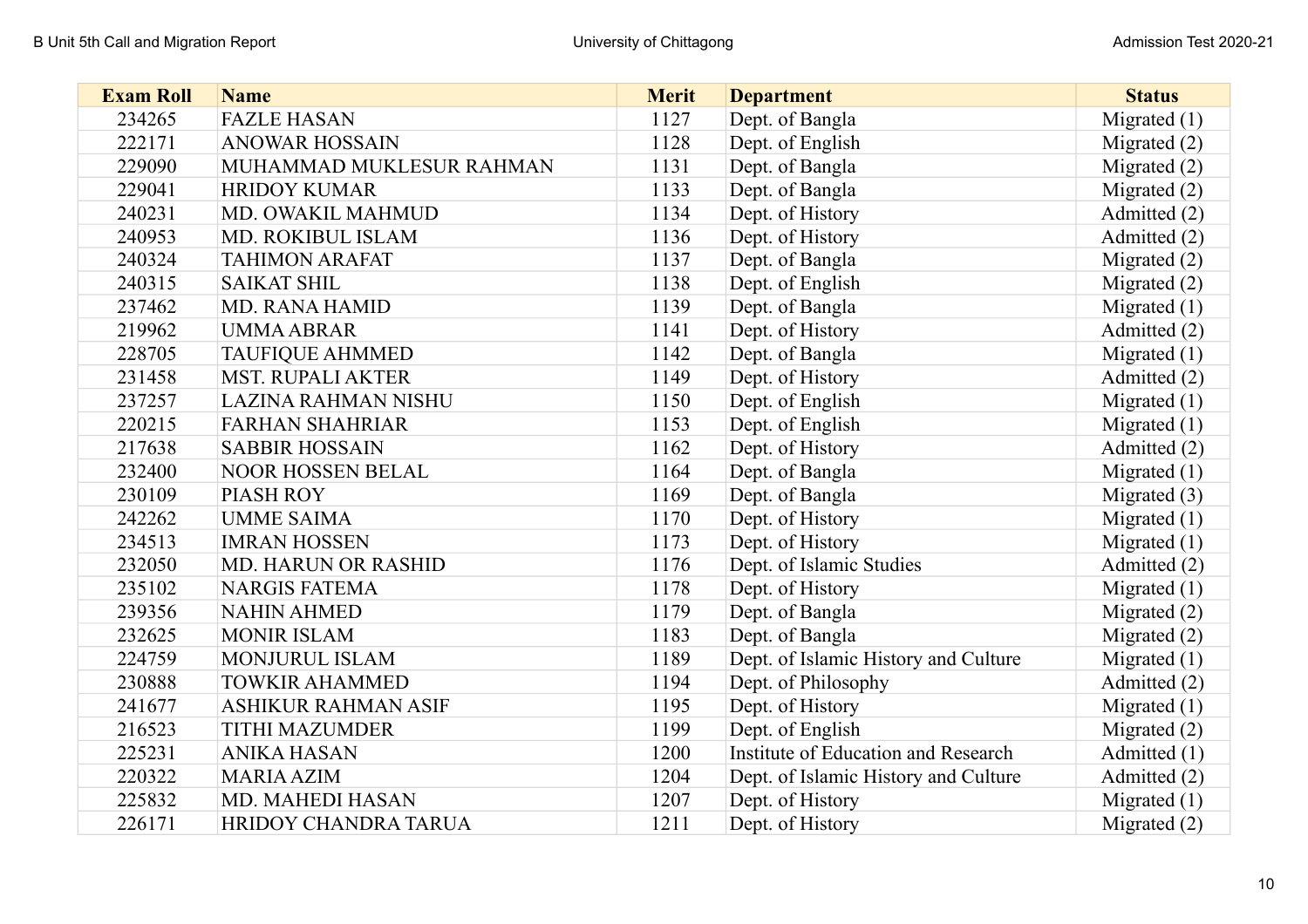| <b>Exam Roll</b> | <b>Name</b>                 | <b>Merit</b> | <b>Department</b>                    | <b>Status</b>  |
|------------------|-----------------------------|--------------|--------------------------------------|----------------|
| 234265           | <b>FAZLE HASAN</b>          | 1127         | Dept. of Bangla                      | Migrated $(1)$ |
| 222171           | <b>ANOWAR HOSSAIN</b>       | 1128         | Dept. of English                     | Migrated $(2)$ |
| 229090           | MUHAMMAD MUKLESUR RAHMAN    | 1131         | Dept. of Bangla                      | Migrated $(2)$ |
| 229041           | <b>HRIDOY KUMAR</b>         | 1133         | Dept. of Bangla                      | Migrated (2)   |
| 240231           | MD. OWAKIL MAHMUD           | 1134         | Dept. of History                     | Admitted (2)   |
| 240953           | MD. ROKIBUL ISLAM           | 1136         | Dept. of History                     | Admitted (2)   |
| 240324           | <b>TAHIMON ARAFAT</b>       | 1137         | Dept. of Bangla                      | Migrated $(2)$ |
| 240315           | <b>SAIKAT SHIL</b>          | 1138         | Dept. of English                     | Migrated (2)   |
| 237462           | MD. RANA HAMID              | 1139         | Dept. of Bangla                      | Migrated $(1)$ |
| 219962           | <b>UMMA ABRAR</b>           | 1141         | Dept. of History                     | Admitted (2)   |
| 228705           | <b>TAUFIQUE AHMMED</b>      | 1142         | Dept. of Bangla                      | Migrated $(1)$ |
| 231458           | <b>MST. RUPALI AKTER</b>    | 1149         | Dept. of History                     | Admitted (2)   |
| 237257           | LAZINA RAHMAN NISHU         | 1150         | Dept. of English                     | Migrated $(1)$ |
| 220215           | <b>FARHAN SHAHRIAR</b>      | 1153         | Dept. of English                     | Migrated $(1)$ |
| 217638           | <b>SABBIR HOSSAIN</b>       | 1162         | Dept. of History                     | Admitted (2)   |
| 232400           | <b>NOOR HOSSEN BELAL</b>    | 1164         | Dept. of Bangla                      | Migrated $(1)$ |
| 230109           | PIASH ROY                   | 1169         | Dept. of Bangla                      | Migrated $(3)$ |
| 242262           | <b>UMME SAIMA</b>           | 1170         | Dept. of History                     | Migrated $(1)$ |
| 234513           | <b>IMRAN HOSSEN</b>         | 1173         | Dept. of History                     | Migrated $(1)$ |
| 232050           | <b>MD. HARUN OR RASHID</b>  | 1176         | Dept. of Islamic Studies             | Admitted (2)   |
| 235102           | <b>NARGIS FATEMA</b>        | 1178         | Dept. of History                     | Migrated $(1)$ |
| 239356           | <b>NAHIN AHMED</b>          | 1179         | Dept. of Bangla                      | Migrated (2)   |
| 232625           | <b>MONIR ISLAM</b>          | 1183         | Dept. of Bangla                      | Migrated (2)   |
| 224759           | MONJURUL ISLAM              | 1189         | Dept. of Islamic History and Culture | Migrated $(1)$ |
| 230888           | <b>TOWKIR AHAMMED</b>       | 1194         | Dept. of Philosophy                  | Admitted (2)   |
| 241677           | <b>ASHIKUR RAHMAN ASIF</b>  | 1195         | Dept. of History                     | Migrated $(1)$ |
| 216523           | <b>TITHI MAZUMDER</b>       | 1199         | Dept. of English                     | Migrated $(2)$ |
| 225231           | <b>ANIKA HASAN</b>          | 1200         | Institute of Education and Research  | Admitted (1)   |
| 220322           | <b>MARIA AZIM</b>           | 1204         | Dept. of Islamic History and Culture | Admitted (2)   |
| 225832           | <b>MD. MAHEDI HASAN</b>     | 1207         | Dept. of History                     | Migrated $(1)$ |
| 226171           | <b>HRIDOY CHANDRA TARUA</b> | 1211         | Dept. of History                     | Migrated $(2)$ |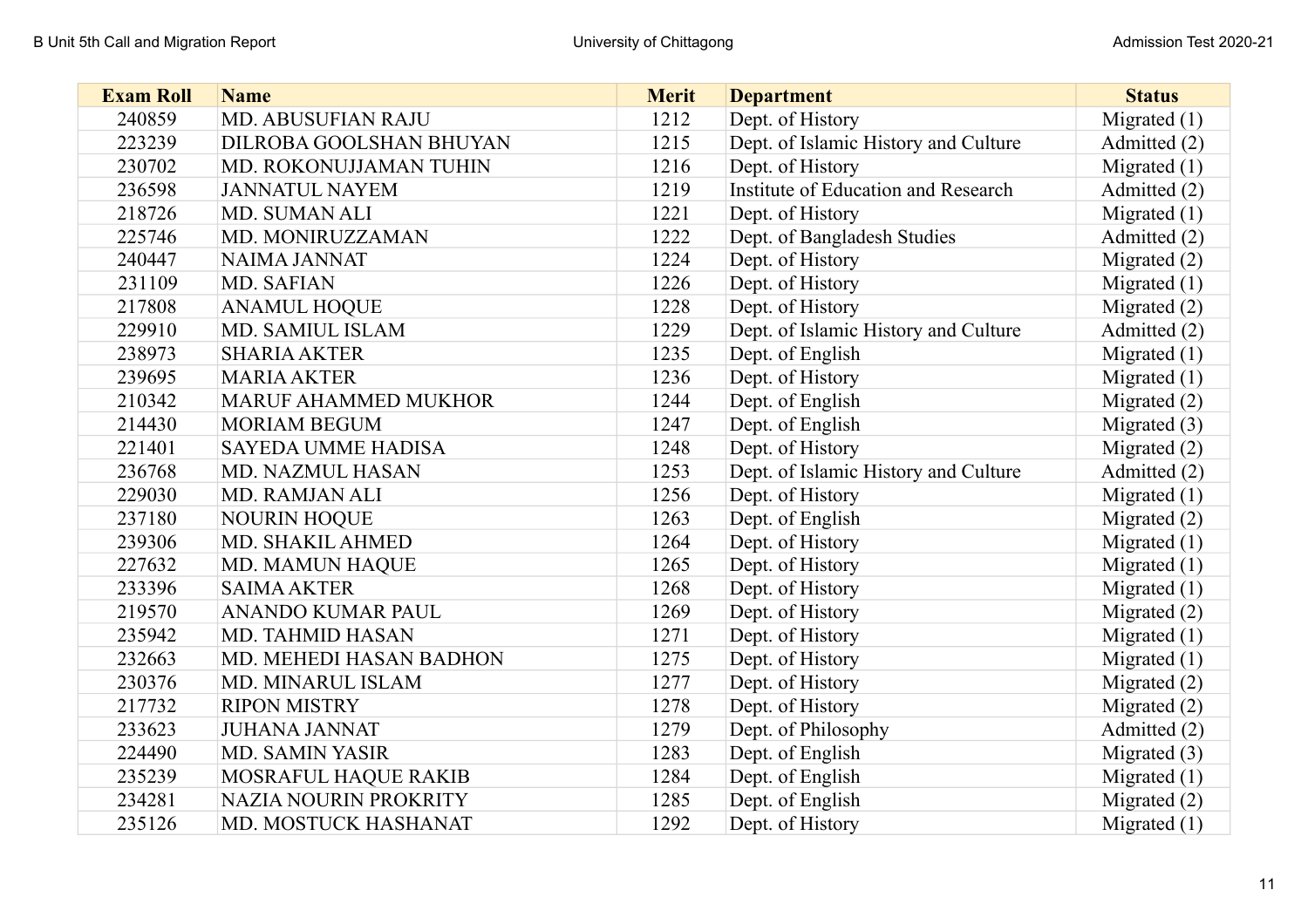| <b>Exam Roll</b> | <b>Name</b>                 | <b>Merit</b> | <b>Department</b>                    | <b>Status</b>  |
|------------------|-----------------------------|--------------|--------------------------------------|----------------|
| 240859           | <b>MD. ABUSUFIAN RAJU</b>   | 1212         | Dept. of History                     | Migrated $(1)$ |
| 223239           | DILROBA GOOLSHAN BHUYAN     | 1215         | Dept. of Islamic History and Culture | Admitted (2)   |
| 230702           | MD. ROKONUJJAMAN TUHIN      | 1216         | Dept. of History                     | Migrated $(1)$ |
| 236598           | <b>JANNATUL NAYEM</b>       | 1219         | Institute of Education and Research  | Admitted (2)   |
| 218726           | MD. SUMAN ALI               | 1221         | Dept. of History                     | Migrated $(1)$ |
| 225746           | MD. MONIRUZZAMAN            | 1222         | Dept. of Bangladesh Studies          | Admitted (2)   |
| 240447           | NAIMA JANNAT                | 1224         | Dept. of History                     | Migrated $(2)$ |
| 231109           | MD. SAFIAN                  | 1226         | Dept. of History                     | Migrated $(1)$ |
| 217808           | <b>ANAMUL HOQUE</b>         | 1228         | Dept. of History                     | Migrated $(2)$ |
| 229910           | MD. SAMIUL ISLAM            | 1229         | Dept. of Islamic History and Culture | Admitted (2)   |
| 238973           | <b>SHARIA AKTER</b>         | 1235         | Dept. of English                     | Migrated $(1)$ |
| 239695           | <b>MARIA AKTER</b>          | 1236         | Dept. of History                     | Migrated $(1)$ |
| 210342           | <b>MARUF AHAMMED MUKHOR</b> | 1244         | Dept. of English                     | Migrated $(2)$ |
| 214430           | <b>MORIAM BEGUM</b>         | 1247         | Dept. of English                     | Migrated $(3)$ |
| 221401           | <b>SAYEDA UMME HADISA</b>   | 1248         | Dept. of History                     | Migrated $(2)$ |
| 236768           | MD. NAZMUL HASAN            | 1253         | Dept. of Islamic History and Culture | Admitted (2)   |
| 229030           | MD. RAMJAN ALI              | 1256         | Dept. of History                     | Migrated $(1)$ |
| 237180           | <b>NOURIN HOQUE</b>         | 1263         | Dept. of English                     | Migrated $(2)$ |
| 239306           | MD. SHAKIL AHMED            | 1264         | Dept. of History                     | Migrated $(1)$ |
| 227632           | <b>MD. MAMUN HAQUE</b>      | 1265         | Dept. of History                     | Migrated $(1)$ |
| 233396           | <b>SAIMA AKTER</b>          | 1268         | Dept. of History                     | Migrated $(1)$ |
| 219570           | ANANDO KUMAR PAUL           | 1269         | Dept. of History                     | Migrated $(2)$ |
| 235942           | MD. TAHMID HASAN            | 1271         | Dept. of History                     | Migrated $(1)$ |
| 232663           | MD. MEHEDI HASAN BADHON     | 1275         | Dept. of History                     | Migrated $(1)$ |
| 230376           | MD. MINARUL ISLAM           | 1277         | Dept. of History                     | Migrated (2)   |
| 217732           | <b>RIPON MISTRY</b>         | 1278         | Dept. of History                     | Migrated (2)   |
| 233623           | <b>JUHANA JANNAT</b>        | 1279         | Dept. of Philosophy                  | Admitted (2)   |
| 224490           | <b>MD. SAMIN YASIR</b>      | 1283         | Dept. of English                     | Migrated $(3)$ |
| 235239           | MOSRAFUL HAQUE RAKIB        | 1284         | Dept. of English                     | Migrated $(1)$ |
| 234281           | NAZIA NOURIN PROKRITY       | 1285         | Dept. of English                     | Migrated (2)   |
| 235126           | MD. MOSTUCK HASHANAT        | 1292         | Dept. of History                     | Migrated $(1)$ |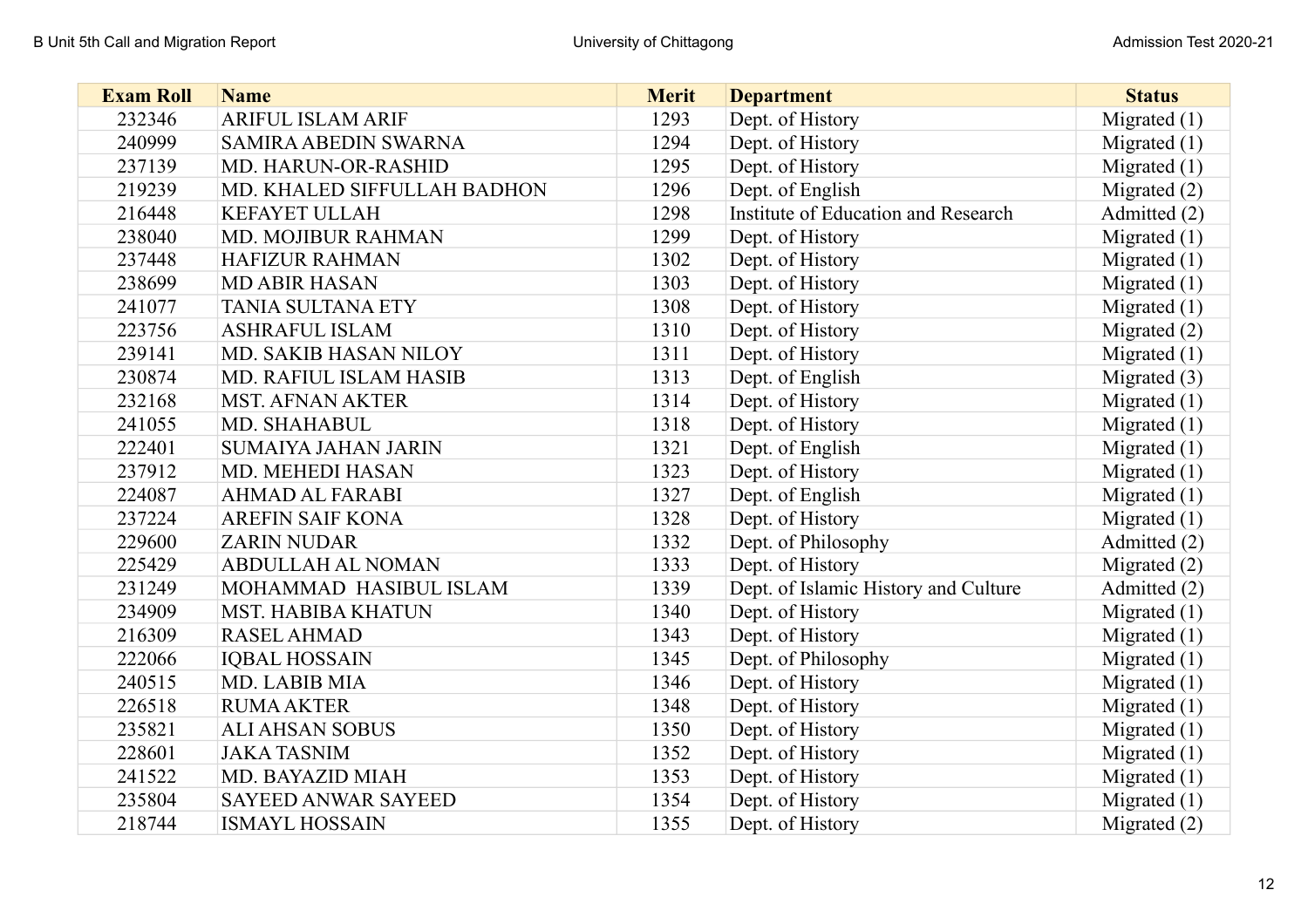| <b>Exam Roll</b> | <b>Name</b>                 | <b>Merit</b> | <b>Department</b>                    | <b>Status</b>  |
|------------------|-----------------------------|--------------|--------------------------------------|----------------|
| 232346           | <b>ARIFUL ISLAM ARIF</b>    | 1293         | Dept. of History                     | Migrated $(1)$ |
| 240999           | <b>SAMIRA ABEDIN SWARNA</b> | 1294         | Dept. of History                     | Migrated $(1)$ |
| 237139           | MD. HARUN-OR-RASHID         | 1295         | Dept. of History                     | Migrated $(1)$ |
| 219239           | MD. KHALED SIFFULLAH BADHON | 1296         | Dept. of English                     | Migrated $(2)$ |
| 216448           | <b>KEFAYET ULLAH</b>        | 1298         | Institute of Education and Research  | Admitted (2)   |
| 238040           | MD. MOJIBUR RAHMAN          | 1299         | Dept. of History                     | Migrated $(1)$ |
| 237448           | <b>HAFIZUR RAHMAN</b>       | 1302         | Dept. of History                     | Migrated $(1)$ |
| 238699           | <b>MD ABIR HASAN</b>        | 1303         | Dept. of History                     | Migrated $(1)$ |
| 241077           | <b>TANIA SULTANA ETY</b>    | 1308         | Dept. of History                     | Migrated $(1)$ |
| 223756           | <b>ASHRAFUL ISLAM</b>       | 1310         | Dept. of History                     | Migrated (2)   |
| 239141           | MD. SAKIB HASAN NILOY       | 1311         | Dept. of History                     | Migrated $(1)$ |
| 230874           | MD. RAFIUL ISLAM HASIB      | 1313         | Dept. of English                     | Migrated $(3)$ |
| 232168           | <b>MST. AFNAN AKTER</b>     | 1314         | Dept. of History                     | Migrated $(1)$ |
| 241055           | MD. SHAHABUL                | 1318         | Dept. of History                     | Migrated $(1)$ |
| 222401           | <b>SUMAIYA JAHAN JARIN</b>  | 1321         | Dept. of English                     | Migrated $(1)$ |
| 237912           | MD. MEHEDI HASAN            | 1323         | Dept. of History                     | Migrated $(1)$ |
| 224087           | <b>AHMAD AL FARABI</b>      | 1327         | Dept. of English                     | Migrated $(1)$ |
| 237224           | <b>AREFIN SAIF KONA</b>     | 1328         | Dept. of History                     | Migrated $(1)$ |
| 229600           | <b>ZARIN NUDAR</b>          | 1332         | Dept. of Philosophy                  | Admitted (2)   |
| 225429           | <b>ABDULLAH AL NOMAN</b>    | 1333         | Dept. of History                     | Migrated $(2)$ |
| 231249           | MOHAMMAD HASIBUL ISLAM      | 1339         | Dept. of Islamic History and Culture | Admitted (2)   |
| 234909           | <b>MST. HABIBA KHATUN</b>   | 1340         | Dept. of History                     | Migrated $(1)$ |
| 216309           | <b>RASEL AHMAD</b>          | 1343         | Dept. of History                     | Migrated $(1)$ |
| 222066           | <b>IQBAL HOSSAIN</b>        | 1345         | Dept. of Philosophy                  | Migrated $(1)$ |
| 240515           | MD. LABIB MIA               | 1346         | Dept. of History                     | Migrated $(1)$ |
| 226518           | <b>RUMA AKTER</b>           | 1348         | Dept. of History                     | Migrated $(1)$ |
| 235821           | <b>ALI AHSAN SOBUS</b>      | 1350         | Dept. of History                     | Migrated $(1)$ |
| 228601           | <b>JAKA TASNIM</b>          | 1352         | Dept. of History                     | Migrated $(1)$ |
| 241522           | MD. BAYAZID MIAH            | 1353         | Dept. of History                     | Migrated $(1)$ |
| 235804           | <b>SAYEED ANWAR SAYEED</b>  | 1354         | Dept. of History                     | Migrated $(1)$ |
| 218744           | <b>ISMAYL HOSSAIN</b>       | 1355         | Dept. of History                     | Migrated $(2)$ |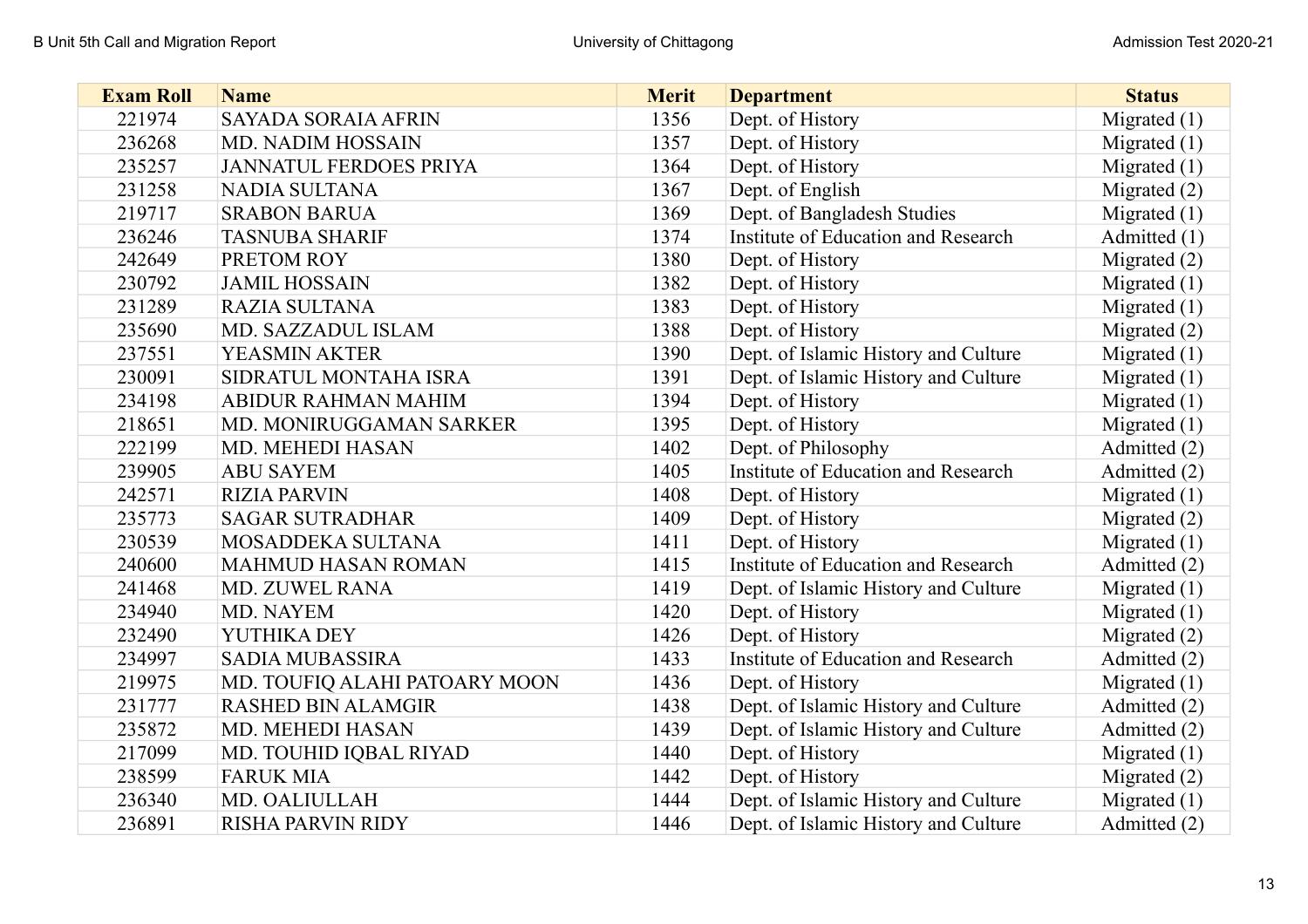| <b>Exam Roll</b> | <b>Name</b>                   | <b>Merit</b> | <b>Department</b>                    | <b>Status</b>  |
|------------------|-------------------------------|--------------|--------------------------------------|----------------|
| 221974           | <b>SAYADA SORAIA AFRIN</b>    | 1356         | Dept. of History                     | Migrated $(1)$ |
| 236268           | <b>MD. NADIM HOSSAIN</b>      | 1357         | Dept. of History                     | Migrated $(1)$ |
| 235257           | <b>JANNATUL FERDOES PRIYA</b> | 1364         | Dept. of History                     | Migrated $(1)$ |
| 231258           | <b>NADIA SULTANA</b>          | 1367         | Dept. of English                     | Migrated $(2)$ |
| 219717           | <b>SRABON BARUA</b>           | 1369         | Dept. of Bangladesh Studies          | Migrated $(1)$ |
| 236246           | <b>TASNUBA SHARIF</b>         | 1374         | Institute of Education and Research  | Admitted (1)   |
| 242649           | PRETOM ROY                    | 1380         | Dept. of History                     | Migrated $(2)$ |
| 230792           | <b>JAMIL HOSSAIN</b>          | 1382         | Dept. of History                     | Migrated $(1)$ |
| 231289           | <b>RAZIA SULTANA</b>          | 1383         | Dept. of History                     | Migrated $(1)$ |
| 235690           | MD. SAZZADUL ISLAM            | 1388         | Dept. of History                     | Migrated (2)   |
| 237551           | YEASMIN AKTER                 | 1390         | Dept. of Islamic History and Culture | Migrated $(1)$ |
| 230091           | SIDRATUL MONTAHA ISRA         | 1391         | Dept. of Islamic History and Culture | Migrated $(1)$ |
| 234198           | ABIDUR RAHMAN MAHIM           | 1394         | Dept. of History                     | Migrated $(1)$ |
| 218651           | MD. MONIRUGGAMAN SARKER       | 1395         | Dept. of History                     | Migrated $(1)$ |
| 222199           | <b>MD. MEHEDI HASAN</b>       | 1402         | Dept. of Philosophy                  | Admitted (2)   |
| 239905           | <b>ABU SAYEM</b>              | 1405         | Institute of Education and Research  | Admitted (2)   |
| 242571           | <b>RIZIA PARVIN</b>           | 1408         | Dept. of History                     | Migrated $(1)$ |
| 235773           | <b>SAGAR SUTRADHAR</b>        | 1409         | Dept. of History                     | Migrated $(2)$ |
| 230539           | MOSADDEKA SULTANA             | 1411         | Dept. of History                     | Migrated $(1)$ |
| 240600           | <b>MAHMUD HASAN ROMAN</b>     | 1415         | Institute of Education and Research  | Admitted (2)   |
| 241468           | MD. ZUWEL RANA                | 1419         | Dept. of Islamic History and Culture | Migrated $(1)$ |
| 234940           | MD. NAYEM                     | 1420         | Dept. of History                     | Migrated $(1)$ |
| 232490           | YUTHIKA DEY                   | 1426         | Dept. of History                     | Migrated $(2)$ |
| 234997           | <b>SADIA MUBASSIRA</b>        | 1433         | Institute of Education and Research  | Admitted (2)   |
| 219975           | MD. TOUFIQ ALAHI PATOARY MOON | 1436         | Dept. of History                     | Migrated $(1)$ |
| 231777           | <b>RASHED BIN ALAMGIR</b>     | 1438         | Dept. of Islamic History and Culture | Admitted (2)   |
| 235872           | MD. MEHEDI HASAN              | 1439         | Dept. of Islamic History and Culture | Admitted (2)   |
| 217099           | MD. TOUHID IQBAL RIYAD        | 1440         | Dept. of History                     | Migrated $(1)$ |
| 238599           | <b>FARUK MIA</b>              | 1442         | Dept. of History                     | Migrated $(2)$ |
| 236340           | MD. OALIULLAH                 | 1444         | Dept. of Islamic History and Culture | Migrated $(1)$ |
| 236891           | <b>RISHA PARVIN RIDY</b>      | 1446         | Dept. of Islamic History and Culture | Admitted (2)   |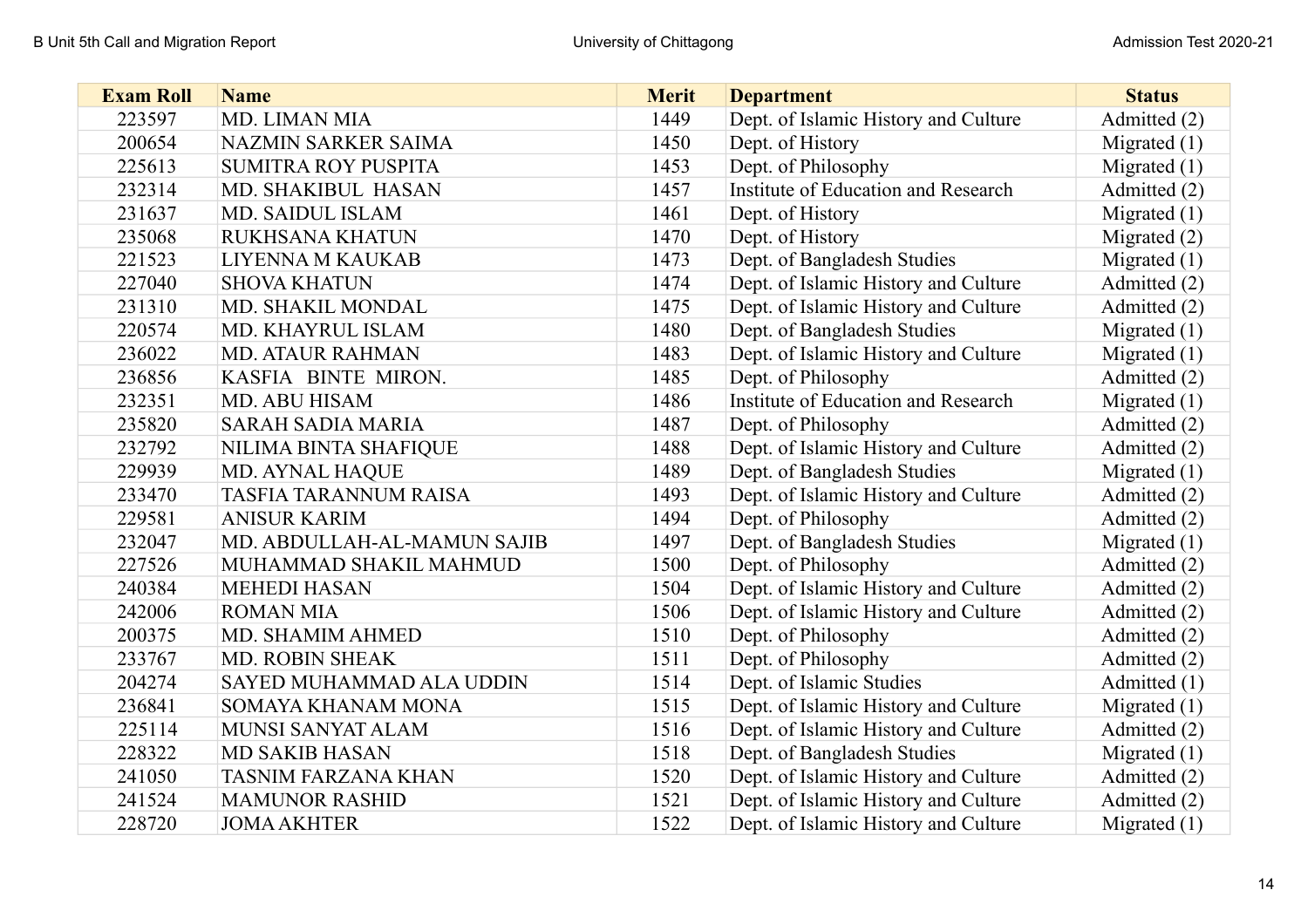| <b>Exam Roll</b> | <b>Name</b>                  | <b>Merit</b> | <b>Department</b>                    | <b>Status</b>  |
|------------------|------------------------------|--------------|--------------------------------------|----------------|
| 223597           | MD. LIMAN MIA                | 1449         | Dept. of Islamic History and Culture | Admitted (2)   |
| 200654           | NAZMIN SARKER SAIMA          | 1450         | Dept. of History                     | Migrated $(1)$ |
| 225613           | <b>SUMITRA ROY PUSPITA</b>   | 1453         | Dept. of Philosophy                  | Migrated $(1)$ |
| 232314           | MD. SHAKIBUL HASAN           | 1457         | Institute of Education and Research  | Admitted (2)   |
| 231637           | <b>MD. SAIDUL ISLAM</b>      | 1461         | Dept. of History                     | Migrated $(1)$ |
| 235068           | <b>RUKHSANA KHATUN</b>       | 1470         | Dept. of History                     | Migrated $(2)$ |
| 221523           | LIYENNA M KAUKAB             | 1473         | Dept. of Bangladesh Studies          | Migrated $(1)$ |
| 227040           | <b>SHOVA KHATUN</b>          | 1474         | Dept. of Islamic History and Culture | Admitted (2)   |
| 231310           | MD. SHAKIL MONDAL            | 1475         | Dept. of Islamic History and Culture | Admitted (2)   |
| 220574           | MD. KHAYRUL ISLAM            | 1480         | Dept. of Bangladesh Studies          | Migrated $(1)$ |
| 236022           | <b>MD. ATAUR RAHMAN</b>      | 1483         | Dept. of Islamic History and Culture | Migrated $(1)$ |
| 236856           | KASFIA BINTE MIRON.          | 1485         | Dept. of Philosophy                  | Admitted (2)   |
| 232351           | MD. ABU HISAM                | 1486         | Institute of Education and Research  | Migrated $(1)$ |
| 235820           | <b>SARAH SADIA MARIA</b>     | 1487         | Dept. of Philosophy                  | Admitted (2)   |
| 232792           | NILIMA BINTA SHAFIQUE        | 1488         | Dept. of Islamic History and Culture | Admitted (2)   |
| 229939           | <b>MD. AYNAL HAQUE</b>       | 1489         | Dept. of Bangladesh Studies          | Migrated $(1)$ |
| 233470           | <b>TASFIA TARANNUM RAISA</b> | 1493         | Dept. of Islamic History and Culture | Admitted (2)   |
| 229581           | <b>ANISUR KARIM</b>          | 1494         | Dept. of Philosophy                  | Admitted (2)   |
| 232047           | MD. ABDULLAH-AL-MAMUN SAJIB  | 1497         | Dept. of Bangladesh Studies          | Migrated $(1)$ |
| 227526           | MUHAMMAD SHAKIL MAHMUD       | 1500         | Dept. of Philosophy                  | Admitted (2)   |
| 240384           | <b>MEHEDI HASAN</b>          | 1504         | Dept. of Islamic History and Culture | Admitted (2)   |
| 242006           | <b>ROMAN MIA</b>             | 1506         | Dept. of Islamic History and Culture | Admitted (2)   |
| 200375           | MD. SHAMIM AHMED             | 1510         | Dept. of Philosophy                  | Admitted (2)   |
| 233767           | MD. ROBIN SHEAK              | 1511         | Dept. of Philosophy                  | Admitted (2)   |
| 204274           | SAYED MUHAMMAD ALA UDDIN     | 1514         | Dept. of Islamic Studies             | Admitted (1)   |
| 236841           | SOMAYA KHANAM MONA           | 1515         | Dept. of Islamic History and Culture | Migrated $(1)$ |
| 225114           | MUNSI SANYAT ALAM            | 1516         | Dept. of Islamic History and Culture | Admitted (2)   |
| 228322           | <b>MD SAKIB HASAN</b>        | 1518         | Dept. of Bangladesh Studies          | Migrated $(1)$ |
| 241050           | <b>TASNIM FARZANA KHAN</b>   | 1520         | Dept. of Islamic History and Culture | Admitted (2)   |
| 241524           | <b>MAMUNOR RASHID</b>        | 1521         | Dept. of Islamic History and Culture | Admitted (2)   |
| 228720           | <b>JOMA AKHTER</b>           | 1522         | Dept. of Islamic History and Culture | Migrated $(1)$ |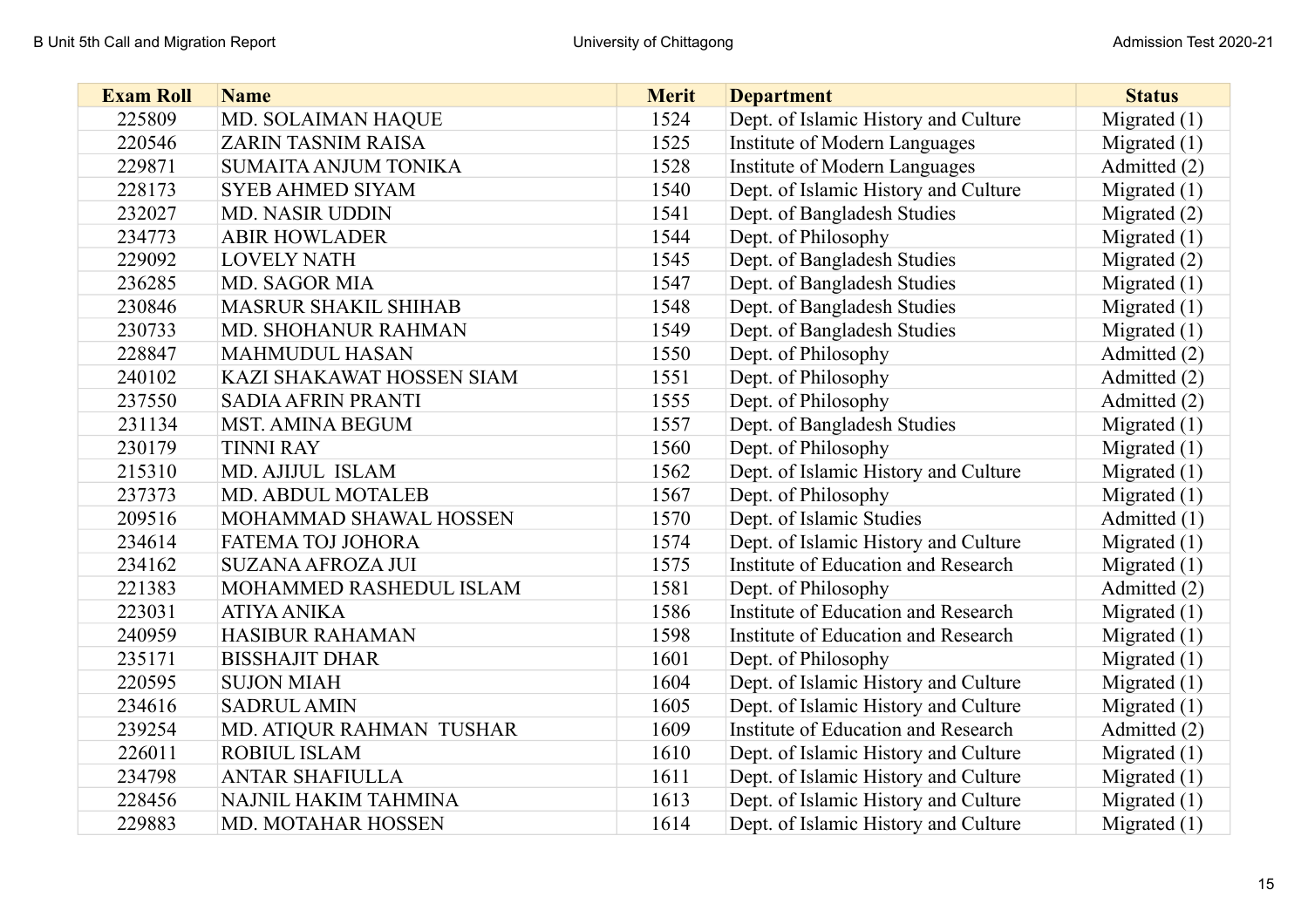| <b>Exam Roll</b> | <b>Name</b>                 | <b>Merit</b> | <b>Department</b>                    | <b>Status</b>  |
|------------------|-----------------------------|--------------|--------------------------------------|----------------|
| 225809           | MD. SOLAIMAN HAQUE          | 1524         | Dept. of Islamic History and Culture | Migrated $(1)$ |
| 220546           | <b>ZARIN TASNIM RAISA</b>   | 1525         | Institute of Modern Languages        | Migrated $(1)$ |
| 229871           | <b>SUMAITA ANJUM TONIKA</b> | 1528         | Institute of Modern Languages        | Admitted (2)   |
| 228173           | <b>SYEB AHMED SIYAM</b>     | 1540         | Dept. of Islamic History and Culture | Migrated $(1)$ |
| 232027           | <b>MD. NASIR UDDIN</b>      | 1541         | Dept. of Bangladesh Studies          | Migrated $(2)$ |
| 234773           | <b>ABIR HOWLADER</b>        | 1544         | Dept. of Philosophy                  | Migrated $(1)$ |
| 229092           | <b>LOVELY NATH</b>          | 1545         | Dept. of Bangladesh Studies          | Migrated $(2)$ |
| 236285           | <b>MD. SAGOR MIA</b>        | 1547         | Dept. of Bangladesh Studies          | Migrated $(1)$ |
| 230846           | <b>MASRUR SHAKIL SHIHAB</b> | 1548         | Dept. of Bangladesh Studies          | Migrated $(1)$ |
| 230733           | <b>MD. SHOHANUR RAHMAN</b>  | 1549         | Dept. of Bangladesh Studies          | Migrated $(1)$ |
| 228847           | <b>MAHMUDUL HASAN</b>       | 1550         | Dept. of Philosophy                  | Admitted (2)   |
| 240102           | KAZI SHAKAWAT HOSSEN SIAM   | 1551         | Dept. of Philosophy                  | Admitted (2)   |
| 237550           | <b>SADIA AFRIN PRANTI</b>   | 1555         | Dept. of Philosophy                  | Admitted (2)   |
| 231134           | <b>MST. AMINA BEGUM</b>     | 1557         | Dept. of Bangladesh Studies          | Migrated $(1)$ |
| 230179           | <b>TINNI RAY</b>            | 1560         | Dept. of Philosophy                  | Migrated $(1)$ |
| 215310           | MD. AJIJUL ISLAM            | 1562         | Dept. of Islamic History and Culture | Migrated $(1)$ |
| 237373           | <b>MD. ABDUL MOTALEB</b>    | 1567         | Dept. of Philosophy                  | Migrated $(1)$ |
| 209516           | MOHAMMAD SHAWAL HOSSEN      | 1570         | Dept. of Islamic Studies             | Admitted (1)   |
| 234614           | FATEMA TOJ JOHORA           | 1574         | Dept. of Islamic History and Culture | Migrated $(1)$ |
| 234162           | <b>SUZANA AFROZA JUI</b>    | 1575         | Institute of Education and Research  | Migrated $(1)$ |
| 221383           | MOHAMMED RASHEDUL ISLAM     | 1581         | Dept. of Philosophy                  | Admitted (2)   |
| 223031           | <b>ATIYA ANIKA</b>          | 1586         | Institute of Education and Research  | Migrated $(1)$ |
| 240959           | <b>HASIBUR RAHAMAN</b>      | 1598         | Institute of Education and Research  | Migrated $(1)$ |
| 235171           | <b>BISSHAJIT DHAR</b>       | 1601         | Dept. of Philosophy                  | Migrated (1)   |
| 220595           | <b>SUJON MIAH</b>           | 1604         | Dept. of Islamic History and Culture | Migrated $(1)$ |
| 234616           | <b>SADRUL AMIN</b>          | 1605         | Dept. of Islamic History and Culture | Migrated $(1)$ |
| 239254           | MD. ATIQUR RAHMAN TUSHAR    | 1609         | Institute of Education and Research  | Admitted (2)   |
| 226011           | ROBIUL ISLAM                | 1610         | Dept. of Islamic History and Culture | Migrated $(1)$ |
| 234798           | <b>ANTAR SHAFIULLA</b>      | 1611         | Dept. of Islamic History and Culture | Migrated $(1)$ |
| 228456           | NAJNIL HAKIM TAHMINA        | 1613         | Dept. of Islamic History and Culture | Migrated $(1)$ |
| 229883           | MD. MOTAHAR HOSSEN          | 1614         | Dept. of Islamic History and Culture | Migrated $(1)$ |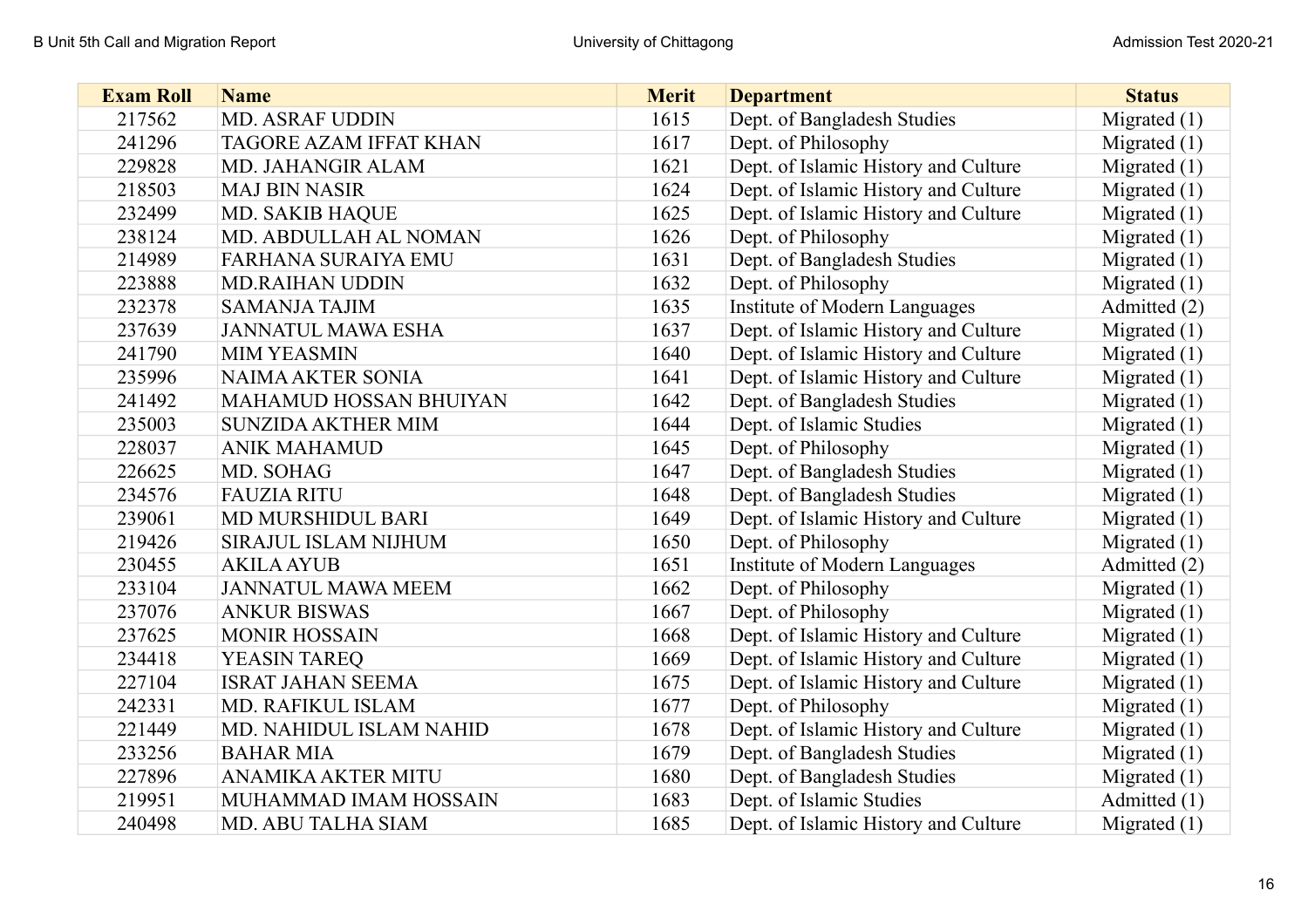| <b>Exam Roll</b> | <b>Name</b>                   | <b>Merit</b> | <b>Department</b>                    | <b>Status</b>  |
|------------------|-------------------------------|--------------|--------------------------------------|----------------|
| 217562           | <b>MD. ASRAF UDDIN</b>        | 1615         | Dept. of Bangladesh Studies          | Migrated $(1)$ |
| 241296           | <b>TAGORE AZAM IFFAT KHAN</b> | 1617         | Dept. of Philosophy                  | Migrated $(1)$ |
| 229828           | MD. JAHANGIR ALAM             | 1621         | Dept. of Islamic History and Culture | Migrated $(1)$ |
| 218503           | <b>MAJ BIN NASIR</b>          | 1624         | Dept. of Islamic History and Culture | Migrated $(1)$ |
| 232499           | <b>MD. SAKIB HAQUE</b>        | 1625         | Dept. of Islamic History and Culture | Migrated $(1)$ |
| 238124           | MD. ABDULLAH AL NOMAN         | 1626         | Dept. of Philosophy                  | Migrated $(1)$ |
| 214989           | <b>FARHANA SURAIYA EMU</b>    | 1631         | Dept. of Bangladesh Studies          | Migrated $(1)$ |
| 223888           | <b>MD.RAIHAN UDDIN</b>        | 1632         | Dept. of Philosophy                  | Migrated $(1)$ |
| 232378           | <b>SAMANJA TAJIM</b>          | 1635         | Institute of Modern Languages        | Admitted (2)   |
| 237639           | <b>JANNATUL MAWA ESHA</b>     | 1637         | Dept. of Islamic History and Culture | Migrated $(1)$ |
| 241790           | <b>MIM YEASMIN</b>            | 1640         | Dept. of Islamic History and Culture | Migrated $(1)$ |
| 235996           | <b>NAIMA AKTER SONIA</b>      | 1641         | Dept. of Islamic History and Culture | Migrated $(1)$ |
| 241492           | <b>MAHAMUD HOSSAN BHUIYAN</b> | 1642         | Dept. of Bangladesh Studies          | Migrated $(1)$ |
| 235003           | <b>SUNZIDA AKTHER MIM</b>     | 1644         | Dept. of Islamic Studies             | Migrated (1)   |
| 228037           | <b>ANIK MAHAMUD</b>           | 1645         | Dept. of Philosophy                  | Migrated $(1)$ |
| 226625           | MD. SOHAG                     | 1647         | Dept. of Bangladesh Studies          | Migrated $(1)$ |
| 234576           | <b>FAUZIA RITU</b>            | 1648         | Dept. of Bangladesh Studies          | Migrated $(1)$ |
| 239061           | MD MURSHIDUL BARI             | 1649         | Dept. of Islamic History and Culture | Migrated $(1)$ |
| 219426           | SIRAJUL ISLAM NIJHUM          | 1650         | Dept. of Philosophy                  | Migrated $(1)$ |
| 230455           | <b>AKILA AYUB</b>             | 1651         | Institute of Modern Languages        | Admitted (2)   |
| 233104           | <b>JANNATUL MAWA MEEM</b>     | 1662         | Dept. of Philosophy                  | Migrated $(1)$ |
| 237076           | <b>ANKUR BISWAS</b>           | 1667         | Dept. of Philosophy                  | Migrated $(1)$ |
| 237625           | <b>MONIR HOSSAIN</b>          | 1668         | Dept. of Islamic History and Culture | Migrated $(1)$ |
| 234418           | <b>YEASIN TAREQ</b>           | 1669         | Dept. of Islamic History and Culture | Migrated (1)   |
| 227104           | <b>ISRAT JAHAN SEEMA</b>      | 1675         | Dept. of Islamic History and Culture | Migrated $(1)$ |
| 242331           | MD. RAFIKUL ISLAM             | 1677         | Dept. of Philosophy                  | Migrated $(1)$ |
| 221449           | MD. NAHIDUL ISLAM NAHID       | 1678         | Dept. of Islamic History and Culture | Migrated $(1)$ |
| 233256           | <b>BAHAR MIA</b>              | 1679         | Dept. of Bangladesh Studies          | Migrated $(1)$ |
| 227896           | <b>ANAMIKA AKTER MITU</b>     | 1680         | Dept. of Bangladesh Studies          | Migrated $(1)$ |
| 219951           | MUHAMMAD IMAM HOSSAIN         | 1683         | Dept. of Islamic Studies             | Admitted (1)   |
| 240498           | MD. ABU TALHA SIAM            | 1685         | Dept. of Islamic History and Culture | Migrated $(1)$ |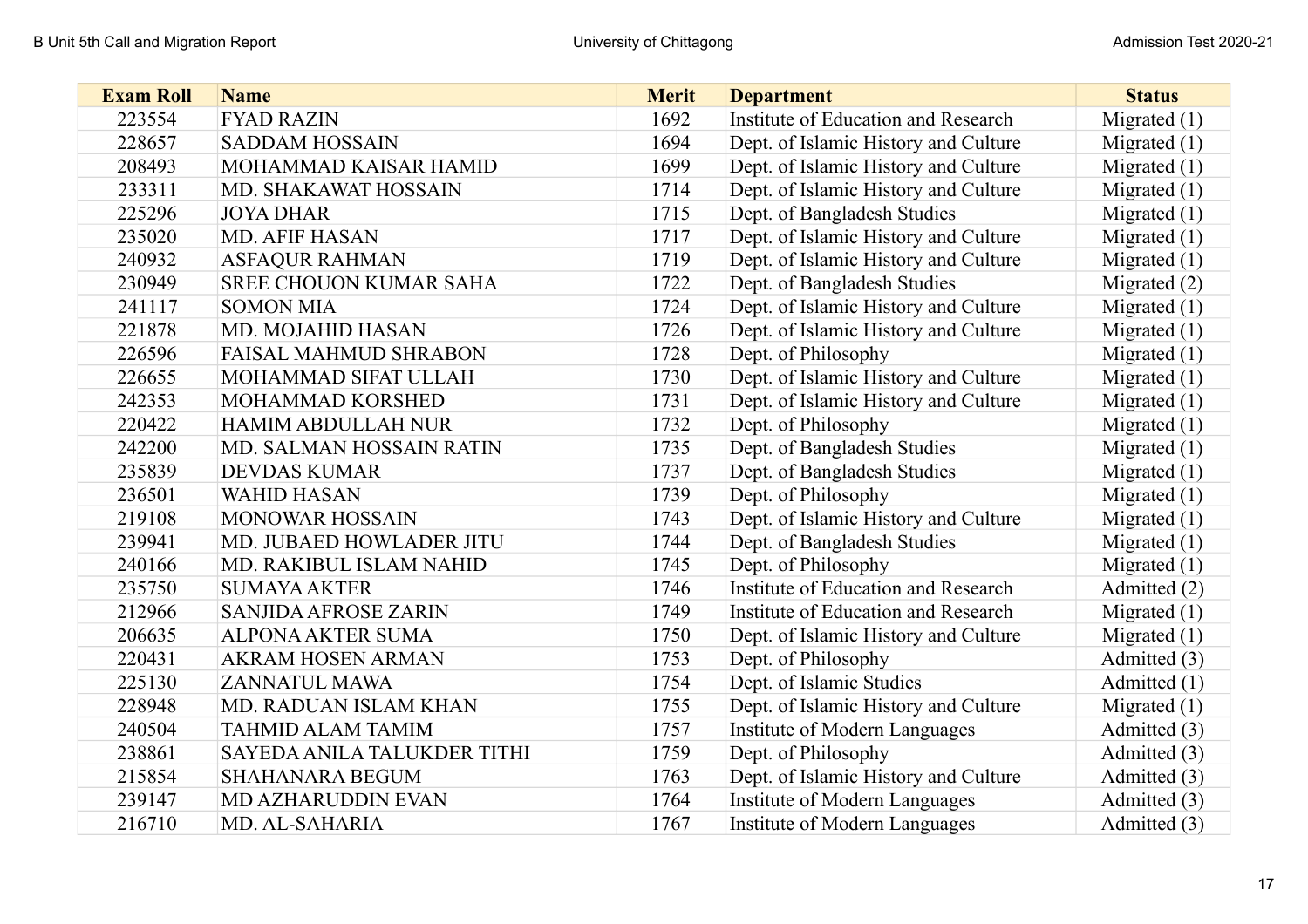| <b>Exam Roll</b> | <b>Name</b>                    | <b>Merit</b> | <b>Department</b>                    | <b>Status</b>  |
|------------------|--------------------------------|--------------|--------------------------------------|----------------|
| 223554           | <b>FYAD RAZIN</b>              | 1692         | Institute of Education and Research  | Migrated $(1)$ |
| 228657           | <b>SADDAM HOSSAIN</b>          | 1694         | Dept. of Islamic History and Culture | Migrated $(1)$ |
| 208493           | MOHAMMAD KAISAR HAMID          | 1699         | Dept. of Islamic History and Culture | Migrated $(1)$ |
| 233311           | MD. SHAKAWAT HOSSAIN           | 1714         | Dept. of Islamic History and Culture | Migrated $(1)$ |
| 225296           | <b>JOYA DHAR</b>               | 1715         | Dept. of Bangladesh Studies          | Migrated $(1)$ |
| 235020           | <b>MD. AFIF HASAN</b>          | 1717         | Dept. of Islamic History and Culture | Migrated $(1)$ |
| 240932           | <b>ASFAQUR RAHMAN</b>          | 1719         | Dept. of Islamic History and Culture | Migrated $(1)$ |
| 230949           | <b>SREE CHOUON KUMAR SAHA</b>  | 1722         | Dept. of Bangladesh Studies          | Migrated $(2)$ |
| 241117           | <b>SOMON MIA</b>               | 1724         | Dept. of Islamic History and Culture | Migrated $(1)$ |
| 221878           | MD. MOJAHID HASAN              | 1726         | Dept. of Islamic History and Culture | Migrated $(1)$ |
| 226596           | <b>FAISAL MAHMUD SHRABON</b>   | 1728         | Dept. of Philosophy                  | Migrated $(1)$ |
| 226655           | MOHAMMAD SIFAT ULLAH           | 1730         | Dept. of Islamic History and Culture | Migrated $(1)$ |
| 242353           | MOHAMMAD KORSHED               | 1731         | Dept. of Islamic History and Culture | Migrated $(1)$ |
| 220422           | <b>HAMIM ABDULLAH NUR</b>      | 1732         | Dept. of Philosophy                  | Migrated $(1)$ |
| 242200           | MD. SALMAN HOSSAIN RATIN       | 1735         | Dept. of Bangladesh Studies          | Migrated $(1)$ |
| 235839           | <b>DEVDAS KUMAR</b>            | 1737         | Dept. of Bangladesh Studies          | Migrated $(1)$ |
| 236501           | <b>WAHID HASAN</b>             | 1739         | Dept. of Philosophy                  | Migrated $(1)$ |
| 219108           | <b>MONOWAR HOSSAIN</b>         | 1743         | Dept. of Islamic History and Culture | Migrated $(1)$ |
| 239941           | MD. JUBAED HOWLADER JITU       | 1744         | Dept. of Bangladesh Studies          | Migrated $(1)$ |
| 240166           | <b>MD. RAKIBUL ISLAM NAHID</b> | 1745         | Dept. of Philosophy                  | Migrated $(1)$ |
| 235750           | <b>SUMAYA AKTER</b>            | 1746         | Institute of Education and Research  | Admitted (2)   |
| 212966           | <b>SANJIDA AFROSE ZARIN</b>    | 1749         | Institute of Education and Research  | Migrated $(1)$ |
| 206635           | <b>ALPONA AKTER SUMA</b>       | 1750         | Dept. of Islamic History and Culture | Migrated $(1)$ |
| 220431           | AKRAM HOSEN ARMAN              | 1753         | Dept. of Philosophy                  | Admitted (3)   |
| 225130           | ZANNATUL MAWA                  | 1754         | Dept. of Islamic Studies             | Admitted (1)   |
| 228948           | MD. RADUAN ISLAM KHAN          | 1755         | Dept. of Islamic History and Culture | Migrated $(1)$ |
| 240504           | <b>TAHMID ALAM TAMIM</b>       | 1757         | Institute of Modern Languages        | Admitted (3)   |
| 238861           | SAYEDA ANILA TALUKDER TITHI    | 1759         | Dept. of Philosophy                  | Admitted (3)   |
| 215854           | <b>SHAHANARA BEGUM</b>         | 1763         | Dept. of Islamic History and Culture | Admitted (3)   |
| 239147           | <b>MD AZHARUDDIN EVAN</b>      | 1764         | Institute of Modern Languages        | Admitted (3)   |
| 216710           | MD. AL-SAHARIA                 | 1767         | Institute of Modern Languages        | Admitted (3)   |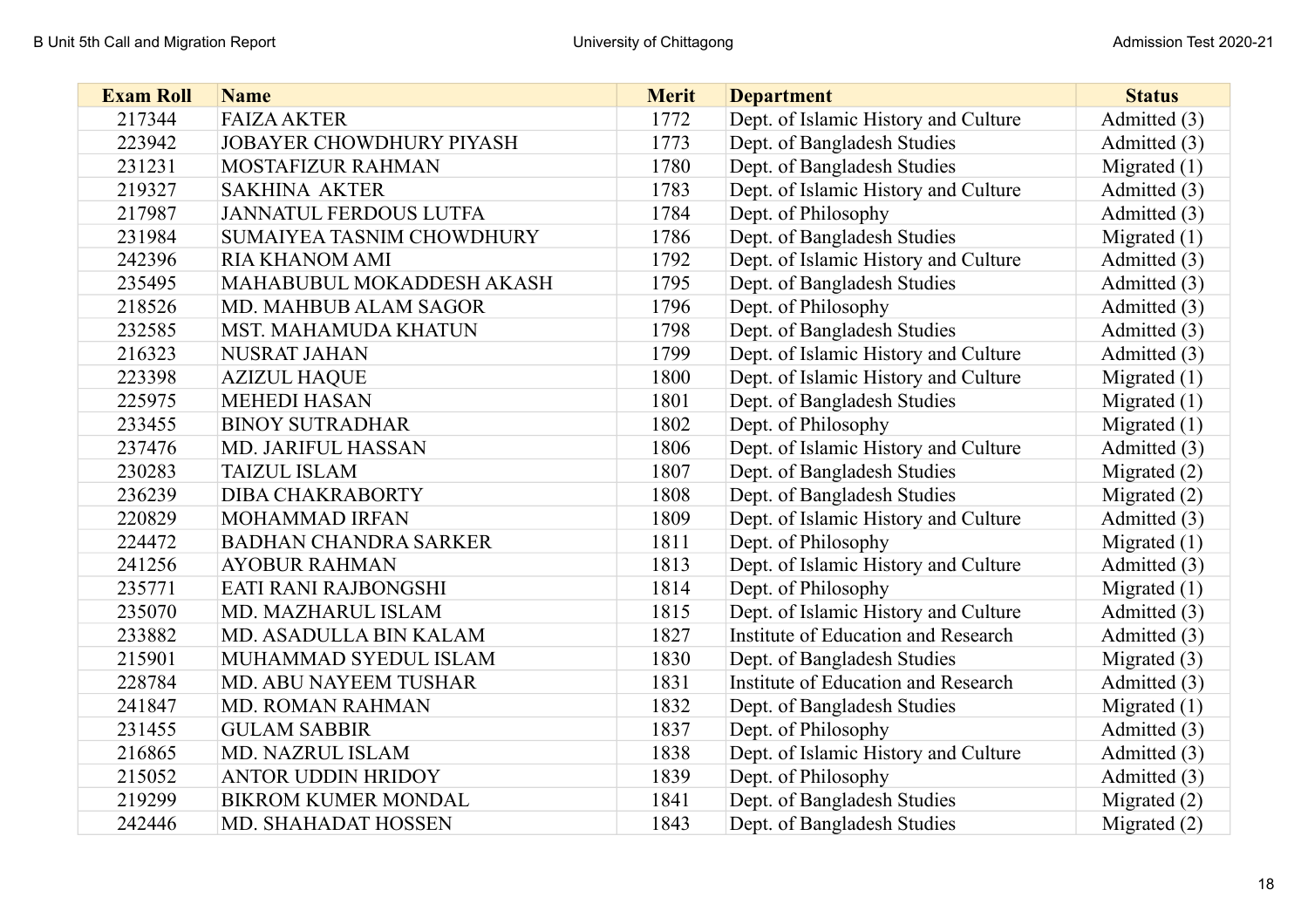| <b>Exam Roll</b> | <b>Name</b>                      | <b>Merit</b> | <b>Department</b>                    | <b>Status</b>  |
|------------------|----------------------------------|--------------|--------------------------------------|----------------|
| 217344           | <b>FAIZA AKTER</b>               | 1772         | Dept. of Islamic History and Culture | Admitted (3)   |
| 223942           | <b>JOBAYER CHOWDHURY PIYASH</b>  | 1773         | Dept. of Bangladesh Studies          | Admitted (3)   |
| 231231           | MOSTAFIZUR RAHMAN                | 1780         | Dept. of Bangladesh Studies          | Migrated $(1)$ |
| 219327           | <b>SAKHINA AKTER</b>             | 1783         | Dept. of Islamic History and Culture | Admitted (3)   |
| 217987           | <b>JANNATUL FERDOUS LUTFA</b>    | 1784         | Dept. of Philosophy                  | Admitted (3)   |
| 231984           | <b>SUMAIYEA TASNIM CHOWDHURY</b> | 1786         | Dept. of Bangladesh Studies          | Migrated $(1)$ |
| 242396           | <b>RIA KHANOM AMI</b>            | 1792         | Dept. of Islamic History and Culture | Admitted (3)   |
| 235495           | MAHABUBUL MOKADDESH AKASH        | 1795         | Dept. of Bangladesh Studies          | Admitted (3)   |
| 218526           | MD. MAHBUB ALAM SAGOR            | 1796         | Dept. of Philosophy                  | Admitted (3)   |
| 232585           | <b>MST. MAHAMUDA KHATUN</b>      | 1798         | Dept. of Bangladesh Studies          | Admitted (3)   |
| 216323           | <b>NUSRAT JAHAN</b>              | 1799         | Dept. of Islamic History and Culture | Admitted (3)   |
| 223398           | <b>AZIZUL HAQUE</b>              | 1800         | Dept. of Islamic History and Culture | Migrated $(1)$ |
| 225975           | <b>MEHEDI HASAN</b>              | 1801         | Dept. of Bangladesh Studies          | Migrated $(1)$ |
| 233455           | <b>BINOY SUTRADHAR</b>           | 1802         | Dept. of Philosophy                  | Migrated $(1)$ |
| 237476           | MD. JARIFUL HASSAN               | 1806         | Dept. of Islamic History and Culture | Admitted (3)   |
| 230283           | <b>TAIZUL ISLAM</b>              | 1807         | Dept. of Bangladesh Studies          | Migrated $(2)$ |
| 236239           | <b>DIBA CHAKRABORTY</b>          | 1808         | Dept. of Bangladesh Studies          | Migrated (2)   |
| 220829           | <b>MOHAMMAD IRFAN</b>            | 1809         | Dept. of Islamic History and Culture | Admitted (3)   |
| 224472           | <b>BADHAN CHANDRA SARKER</b>     | 1811         | Dept. of Philosophy                  | Migrated $(1)$ |
| 241256           | <b>AYOBUR RAHMAN</b>             | 1813         | Dept. of Islamic History and Culture | Admitted (3)   |
| 235771           | EATI RANI RAJBONGSHI             | 1814         | Dept. of Philosophy                  | Migrated $(1)$ |
| 235070           | MD. MAZHARUL ISLAM               | 1815         | Dept. of Islamic History and Culture | Admitted (3)   |
| 233882           | MD. ASADULLA BIN KALAM           | 1827         | Institute of Education and Research  | Admitted (3)   |
| 215901           | MUHAMMAD SYEDUL ISLAM            | 1830         | Dept. of Bangladesh Studies          | Migrated $(3)$ |
| 228784           | MD. ABU NAYEEM TUSHAR            | 1831         | Institute of Education and Research  | Admitted (3)   |
| 241847           | <b>MD. ROMAN RAHMAN</b>          | 1832         | Dept. of Bangladesh Studies          | Migrated $(1)$ |
| 231455           | <b>GULAM SABBIR</b>              | 1837         | Dept. of Philosophy                  | Admitted (3)   |
| 216865           | <b>MD. NAZRUL ISLAM</b>          | 1838         | Dept. of Islamic History and Culture | Admitted (3)   |
| 215052           | <b>ANTOR UDDIN HRIDOY</b>        | 1839         | Dept. of Philosophy                  | Admitted (3)   |
| 219299           | <b>BIKROM KUMER MONDAL</b>       | 1841         | Dept. of Bangladesh Studies          | Migrated $(2)$ |
| 242446           | MD. SHAHADAT HOSSEN              | 1843         | Dept. of Bangladesh Studies          | Migrated $(2)$ |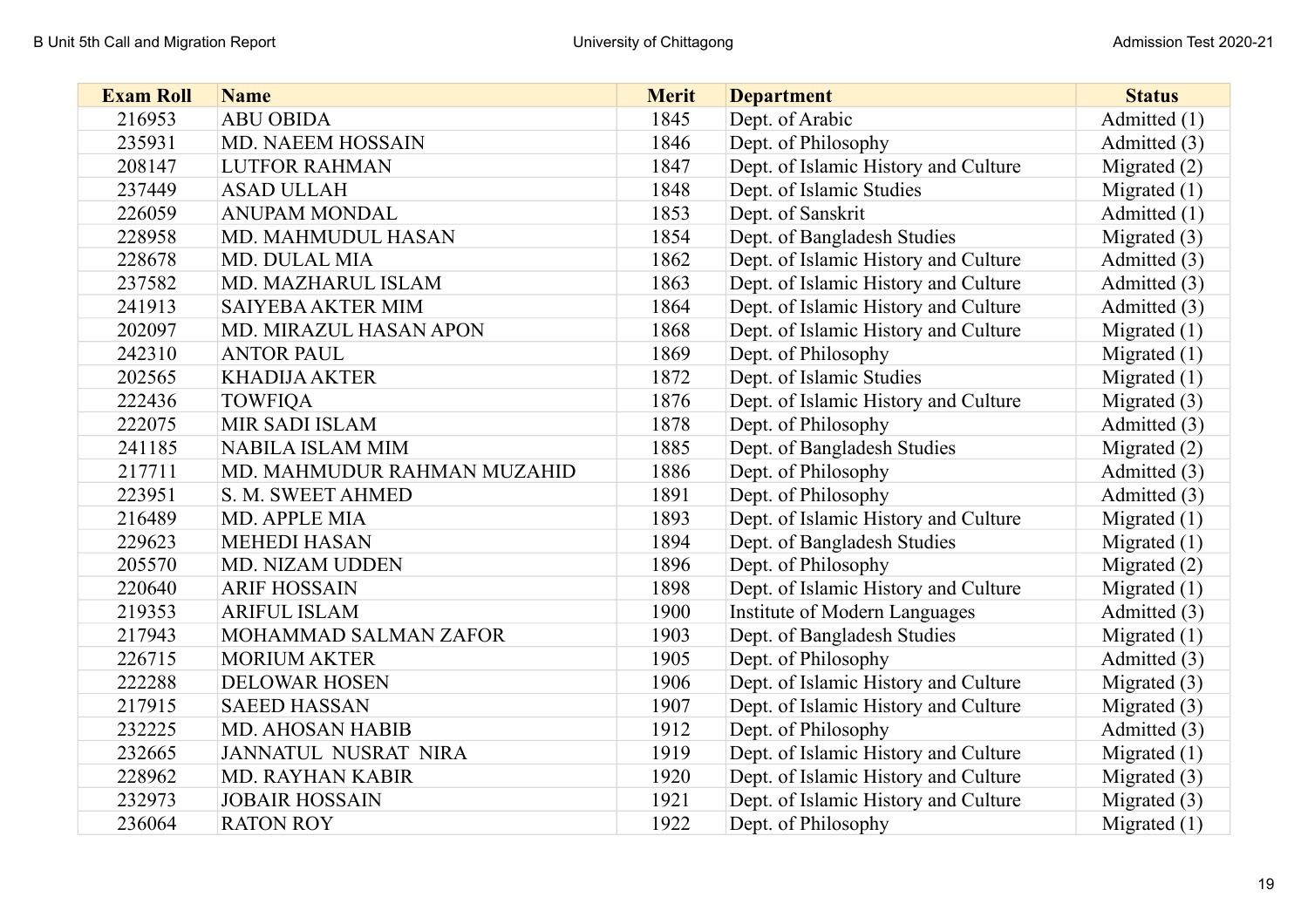| <b>Exam Roll</b> | <b>Name</b>                 | <b>Merit</b> | <b>Department</b>                    | <b>Status</b>  |
|------------------|-----------------------------|--------------|--------------------------------------|----------------|
| 216953           | <b>ABU OBIDA</b>            | 1845         | Dept. of Arabic                      | Admitted (1)   |
| 235931           | <b>MD. NAEEM HOSSAIN</b>    | 1846         | Dept. of Philosophy                  | Admitted (3)   |
| 208147           | <b>LUTFOR RAHMAN</b>        | 1847         | Dept. of Islamic History and Culture | Migrated $(2)$ |
| 237449           | <b>ASAD ULLAH</b>           | 1848         | Dept. of Islamic Studies             | Migrated $(1)$ |
| 226059           | <b>ANUPAM MONDAL</b>        | 1853         | Dept. of Sanskrit                    | Admitted (1)   |
| 228958           | MD. MAHMUDUL HASAN          | 1854         | Dept. of Bangladesh Studies          | Migrated $(3)$ |
| 228678           | <b>MD. DULAL MIA</b>        | 1862         | Dept. of Islamic History and Culture | Admitted (3)   |
| 237582           | MD. MAZHARUL ISLAM          | 1863         | Dept. of Islamic History and Culture | Admitted (3)   |
| 241913           | <b>SAIYEBA AKTER MIM</b>    | 1864         | Dept. of Islamic History and Culture | Admitted (3)   |
| 202097           | MD. MIRAZUL HASAN APON      | 1868         | Dept. of Islamic History and Culture | Migrated $(1)$ |
| 242310           | <b>ANTOR PAUL</b>           | 1869         | Dept. of Philosophy                  | Migrated $(1)$ |
| 202565           | <b>KHADIJA AKTER</b>        | 1872         | Dept. of Islamic Studies             | Migrated $(1)$ |
| 222436           | <b>TOWFIQA</b>              | 1876         | Dept. of Islamic History and Culture | Migrated $(3)$ |
| 222075           | <b>MIR SADI ISLAM</b>       | 1878         | Dept. of Philosophy                  | Admitted (3)   |
| 241185           | <b>NABILA ISLAM MIM</b>     | 1885         | Dept. of Bangladesh Studies          | Migrated $(2)$ |
| 217711           | MD. MAHMUDUR RAHMAN MUZAHID | 1886         | Dept. of Philosophy                  | Admitted (3)   |
| 223951           | S. M. SWEET AHMED           | 1891         | Dept. of Philosophy                  | Admitted (3)   |
| 216489           | MD. APPLE MIA               | 1893         | Dept. of Islamic History and Culture | Migrated $(1)$ |
| 229623           | <b>MEHEDI HASAN</b>         | 1894         | Dept. of Bangladesh Studies          | Migrated $(1)$ |
| 205570           | MD. NIZAM UDDEN             | 1896         | Dept. of Philosophy                  | Migrated $(2)$ |
| 220640           | <b>ARIF HOSSAIN</b>         | 1898         | Dept. of Islamic History and Culture | Migrated $(1)$ |
| 219353           | <b>ARIFUL ISLAM</b>         | 1900         | <b>Institute of Modern Languages</b> | Admitted (3)   |
| 217943           | MOHAMMAD SALMAN ZAFOR       | 1903         | Dept. of Bangladesh Studies          | Migrated $(1)$ |
| 226715           | <b>MORIUM AKTER</b>         | 1905         | Dept. of Philosophy                  | Admitted (3)   |
| 222288           | <b>DELOWAR HOSEN</b>        | 1906         | Dept. of Islamic History and Culture | Migrated (3)   |
| 217915           | <b>SAEED HASSAN</b>         | 1907         | Dept. of Islamic History and Culture | Migrated $(3)$ |
| 232225           | <b>MD. AHOSAN HABIB</b>     | 1912         | Dept. of Philosophy                  | Admitted (3)   |
| 232665           | <b>JANNATUL NUSRAT NIRA</b> | 1919         | Dept. of Islamic History and Culture | Migrated $(1)$ |
| 228962           | <b>MD. RAYHAN KABIR</b>     | 1920         | Dept. of Islamic History and Culture | Migrated $(3)$ |
| 232973           | <b>JOBAIR HOSSAIN</b>       | 1921         | Dept. of Islamic History and Culture | Migrated $(3)$ |
| 236064           | <b>RATON ROY</b>            | 1922         | Dept. of Philosophy                  | Migrated $(1)$ |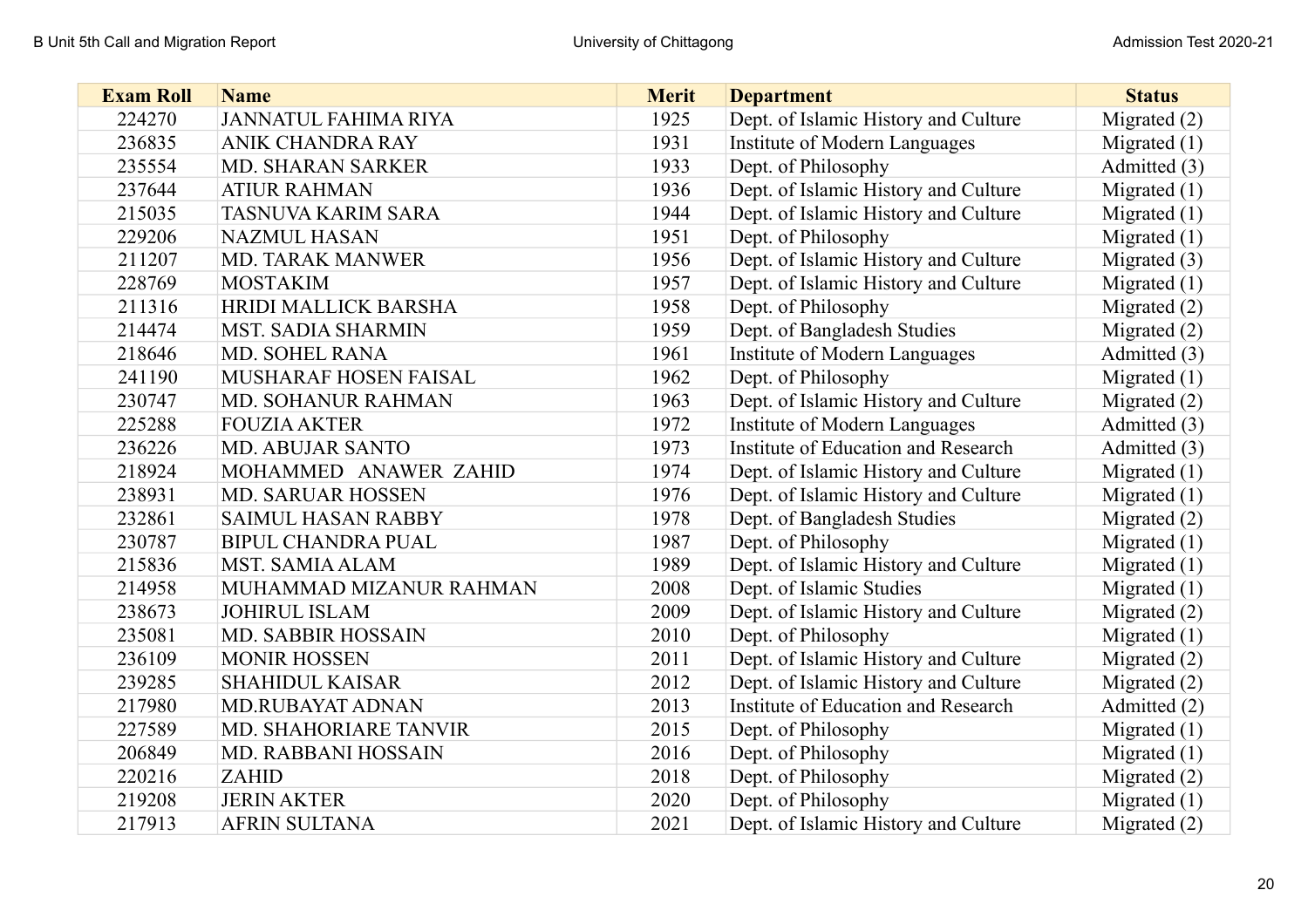| <b>Exam Roll</b> | <b>Name</b>                 | <b>Merit</b> | <b>Department</b>                    | <b>Status</b>  |
|------------------|-----------------------------|--------------|--------------------------------------|----------------|
| 224270           | <b>JANNATUL FAHIMA RIYA</b> | 1925         | Dept. of Islamic History and Culture | Migrated $(2)$ |
| 236835           | <b>ANIK CHANDRA RAY</b>     | 1931         | Institute of Modern Languages        | Migrated $(1)$ |
| 235554           | <b>MD. SHARAN SARKER</b>    | 1933         | Dept. of Philosophy                  | Admitted (3)   |
| 237644           | <b>ATIUR RAHMAN</b>         | 1936         | Dept. of Islamic History and Culture | Migrated $(1)$ |
| 215035           | <b>TASNUVA KARIM SARA</b>   | 1944         | Dept. of Islamic History and Culture | Migrated $(1)$ |
| 229206           | <b>NAZMUL HASAN</b>         | 1951         | Dept. of Philosophy                  | Migrated $(1)$ |
| 211207           | <b>MD. TARAK MANWER</b>     | 1956         | Dept. of Islamic History and Culture | Migrated (3)   |
| 228769           | <b>MOSTAKIM</b>             | 1957         | Dept. of Islamic History and Culture | Migrated $(1)$ |
| 211316           | HRIDI MALLICK BARSHA        | 1958         | Dept. of Philosophy                  | Migrated (2)   |
| 214474           | <b>MST. SADIA SHARMIN</b>   | 1959         | Dept. of Bangladesh Studies          | Migrated (2)   |
| 218646           | <b>MD. SOHEL RANA</b>       | 1961         | Institute of Modern Languages        | Admitted (3)   |
| 241190           | MUSHARAF HOSEN FAISAL       | 1962         | Dept. of Philosophy                  | Migrated $(1)$ |
| 230747           | MD. SOHANUR RAHMAN          | 1963         | Dept. of Islamic History and Culture | Migrated $(2)$ |
| 225288           | <b>FOUZIA AKTER</b>         | 1972         | Institute of Modern Languages        | Admitted (3)   |
| 236226           | <b>MD. ABUJAR SANTO</b>     | 1973         | Institute of Education and Research  | Admitted (3)   |
| 218924           | MOHAMMED ANAWER ZAHID       | 1974         | Dept. of Islamic History and Culture | Migrated $(1)$ |
| 238931           | <b>MD. SARUAR HOSSEN</b>    | 1976         | Dept. of Islamic History and Culture | Migrated $(1)$ |
| 232861           | <b>SAIMUL HASAN RABBY</b>   | 1978         | Dept. of Bangladesh Studies          | Migrated $(2)$ |
| 230787           | <b>BIPUL CHANDRA PUAL</b>   | 1987         | Dept. of Philosophy                  | Migrated $(1)$ |
| 215836           | <b>MST. SAMIA ALAM</b>      | 1989         | Dept. of Islamic History and Culture | Migrated $(1)$ |
| 214958           | MUHAMMAD MIZANUR RAHMAN     | 2008         | Dept. of Islamic Studies             | Migrated $(1)$ |
| 238673           | <b>JOHIRUL ISLAM</b>        | 2009         | Dept. of Islamic History and Culture | Migrated $(2)$ |
| 235081           | <b>MD. SABBIR HOSSAIN</b>   | 2010         | Dept. of Philosophy                  | Migrated $(1)$ |
| 236109           | <b>MONIR HOSSEN</b>         | 2011         | Dept. of Islamic History and Culture | Migrated (2)   |
| 239285           | <b>SHAHIDUL KAISAR</b>      | 2012         | Dept. of Islamic History and Culture | Migrated $(2)$ |
| 217980           | MD.RUBAYAT ADNAN            | 2013         | Institute of Education and Research  | Admitted (2)   |
| 227589           | MD. SHAHORIARE TANVIR       | 2015         | Dept. of Philosophy                  | Migrated $(1)$ |
| 206849           | MD. RABBANI HOSSAIN         | 2016         | Dept. of Philosophy                  | Migrated $(1)$ |
| 220216           | ZAHID                       | 2018         | Dept. of Philosophy                  | Migrated (2)   |
| 219208           | <b>JERIN AKTER</b>          | 2020         | Dept. of Philosophy                  | Migrated $(1)$ |
| 217913           | <b>AFRIN SULTANA</b>        | 2021         | Dept. of Islamic History and Culture | Migrated $(2)$ |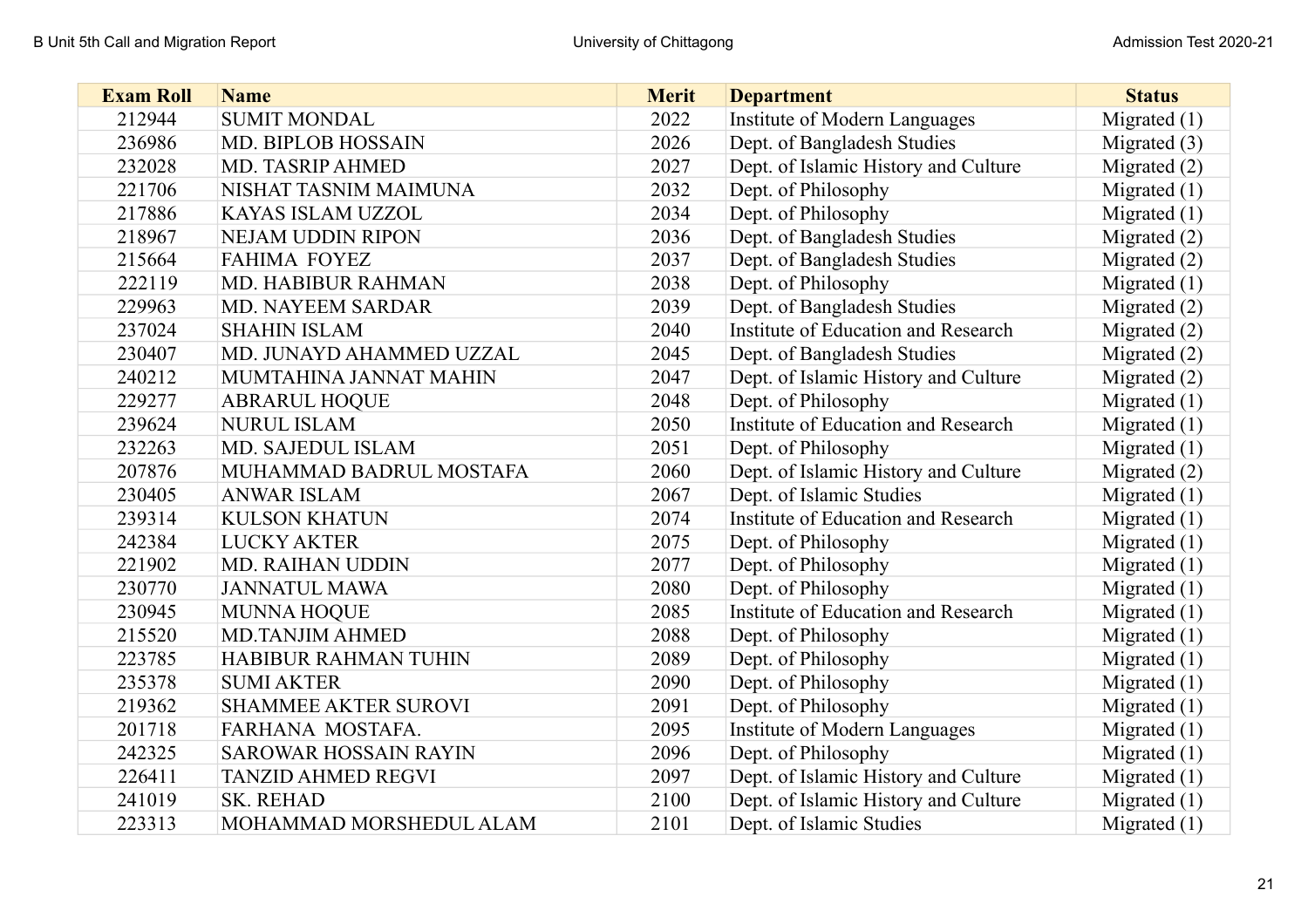| <b>Exam Roll</b> | <b>Name</b>                 | <b>Merit</b> | <b>Department</b>                    | <b>Status</b>  |
|------------------|-----------------------------|--------------|--------------------------------------|----------------|
| 212944           | <b>SUMIT MONDAL</b>         | 2022         | Institute of Modern Languages        | Migrated $(1)$ |
| 236986           | <b>MD. BIPLOB HOSSAIN</b>   | 2026         | Dept. of Bangladesh Studies          | Migrated $(3)$ |
| 232028           | MD. TASRIP AHMED            | 2027         | Dept. of Islamic History and Culture | Migrated $(2)$ |
| 221706           | NISHAT TASNIM MAIMUNA       | 2032         | Dept. of Philosophy                  | Migrated $(1)$ |
| 217886           | KAYAS ISLAM UZZOL           | 2034         | Dept. of Philosophy                  | Migrated $(1)$ |
| 218967           | <b>NEJAM UDDIN RIPON</b>    | 2036         | Dept. of Bangladesh Studies          | Migrated $(2)$ |
| 215664           | <b>FAHIMA FOYEZ</b>         | 2037         | Dept. of Bangladesh Studies          | Migrated $(2)$ |
| 222119           | MD. HABIBUR RAHMAN          | 2038         | Dept. of Philosophy                  | Migrated $(1)$ |
| 229963           | <b>MD. NAYEEM SARDAR</b>    | 2039         | Dept. of Bangladesh Studies          | Migrated $(2)$ |
| 237024           | <b>SHAHIN ISLAM</b>         | 2040         | Institute of Education and Research  | Migrated $(2)$ |
| 230407           | MD. JUNAYD AHAMMED UZZAL    | 2045         | Dept. of Bangladesh Studies          | Migrated $(2)$ |
| 240212           | MUMTAHINA JANNAT MAHIN      | 2047         | Dept. of Islamic History and Culture | Migrated $(2)$ |
| 229277           | <b>ABRARUL HOQUE</b>        | 2048         | Dept. of Philosophy                  | Migrated $(1)$ |
| 239624           | <b>NURUL ISLAM</b>          | 2050         | Institute of Education and Research  | Migrated $(1)$ |
| 232263           | MD. SAJEDUL ISLAM           | 2051         | Dept. of Philosophy                  | Migrated $(1)$ |
| 207876           | MUHAMMAD BADRUL MOSTAFA     | 2060         | Dept. of Islamic History and Culture | Migrated $(2)$ |
| 230405           | <b>ANWAR ISLAM</b>          | 2067         | Dept. of Islamic Studies             | Migrated $(1)$ |
| 239314           | <b>KULSON KHATUN</b>        | 2074         | Institute of Education and Research  | Migrated $(1)$ |
| 242384           | <b>LUCKY AKTER</b>          | 2075         | Dept. of Philosophy                  | Migrated $(1)$ |
| 221902           | <b>MD. RAIHAN UDDIN</b>     | 2077         | Dept. of Philosophy                  | Migrated $(1)$ |
| 230770           | <b>JANNATUL MAWA</b>        | 2080         | Dept. of Philosophy                  | Migrated $(1)$ |
| 230945           | <b>MUNNA HOQUE</b>          | 2085         | Institute of Education and Research  | Migrated $(1)$ |
| 215520           | <b>MD.TANJIM AHMED</b>      | 2088         | Dept. of Philosophy                  | Migrated $(1)$ |
| 223785           | HABIBUR RAHMAN TUHIN        | 2089         | Dept. of Philosophy                  | Migrated $(1)$ |
| 235378           | <b>SUMI AKTER</b>           | 2090         | Dept. of Philosophy                  | Migrated $(1)$ |
| 219362           | <b>SHAMMEE AKTER SUROVI</b> | 2091         | Dept. of Philosophy                  | Migrated $(1)$ |
| 201718           | FARHANA MOSTAFA.            | 2095         | Institute of Modern Languages        | Migrated $(1)$ |
| 242325           | SAROWAR HOSSAIN RAYIN       | 2096         | Dept. of Philosophy                  | Migrated $(1)$ |
| 226411           | <b>TANZID AHMED REGVI</b>   | 2097         | Dept. of Islamic History and Culture | Migrated $(1)$ |
| 241019           | <b>SK. REHAD</b>            | 2100         | Dept. of Islamic History and Culture | Migrated $(1)$ |
| 223313           | MOHAMMAD MORSHEDUL ALAM     | 2101         | Dept. of Islamic Studies             | Migrated $(1)$ |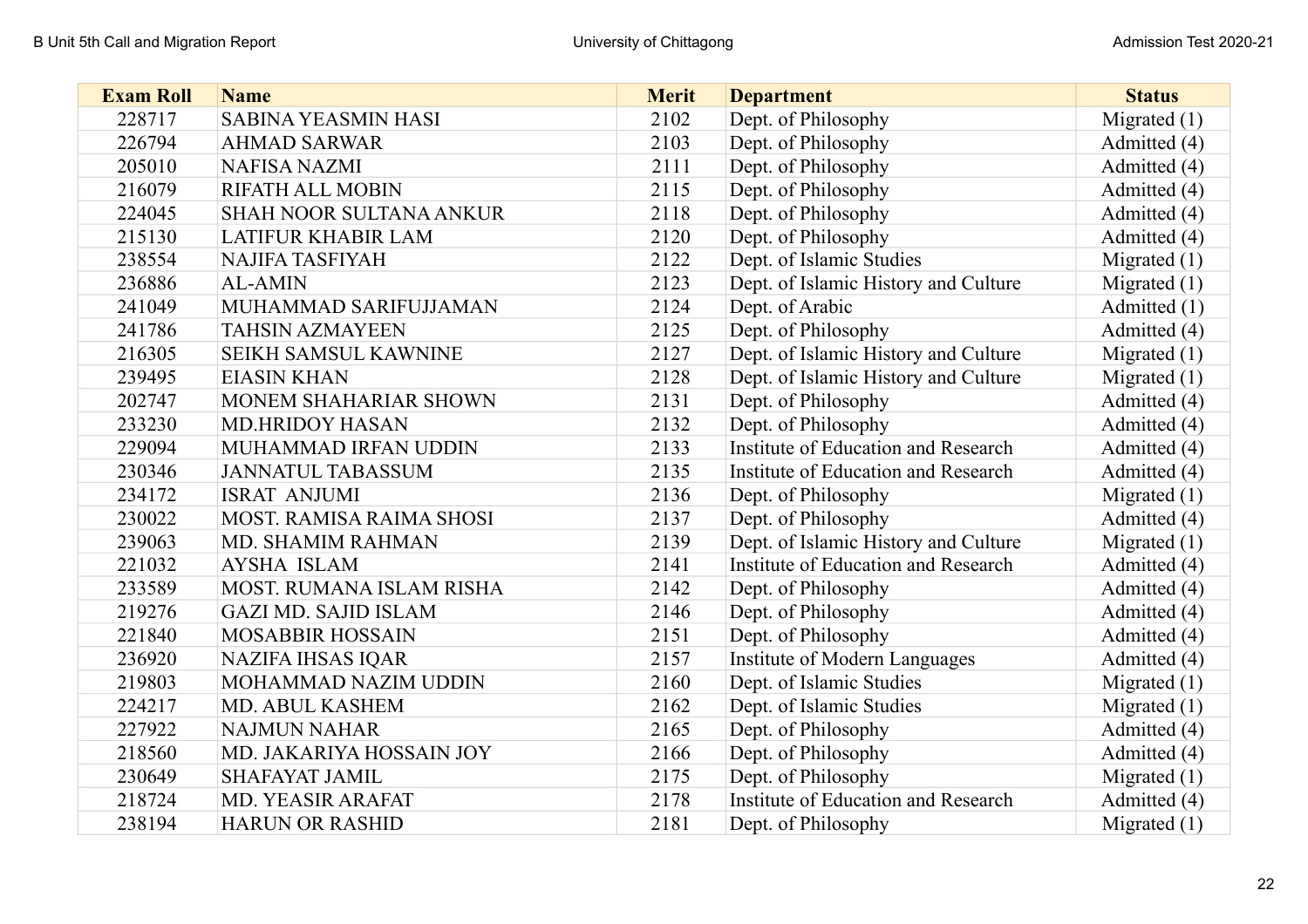| <b>Exam Roll</b> | <b>Name</b>                     | <b>Merit</b> | <b>Department</b>                    | <b>Status</b>  |
|------------------|---------------------------------|--------------|--------------------------------------|----------------|
| 228717           | <b>SABINA YEASMIN HASI</b>      | 2102         | Dept. of Philosophy                  | Migrated $(1)$ |
| 226794           | <b>AHMAD SARWAR</b>             | 2103         | Dept. of Philosophy                  | Admitted (4)   |
| 205010           | <b>NAFISA NAZMI</b>             | 2111         | Dept. of Philosophy                  | Admitted (4)   |
| 216079           | <b>RIFATH ALL MOBIN</b>         | 2115         | Dept. of Philosophy                  | Admitted (4)   |
| 224045           | <b>SHAH NOOR SULTANA ANKUR</b>  | 2118         | Dept. of Philosophy                  | Admitted (4)   |
| 215130           | <b>LATIFUR KHABIR LAM</b>       | 2120         | Dept. of Philosophy                  | Admitted (4)   |
| 238554           | <b>NAJIFA TASFIYAH</b>          | 2122         | Dept. of Islamic Studies             | Migrated $(1)$ |
| 236886           | <b>AL-AMIN</b>                  | 2123         | Dept. of Islamic History and Culture | Migrated $(1)$ |
| 241049           | MUHAMMAD SARIFUJJAMAN           | 2124         | Dept. of Arabic                      | Admitted (1)   |
| 241786           | <b>TAHSIN AZMAYEEN</b>          | 2125         | Dept. of Philosophy                  | Admitted (4)   |
| 216305           | <b>SEIKH SAMSUL KAWNINE</b>     | 2127         | Dept. of Islamic History and Culture | Migrated $(1)$ |
| 239495           | <b>EIASIN KHAN</b>              | 2128         | Dept. of Islamic History and Culture | Migrated $(1)$ |
| 202747           | MONEM SHAHARIAR SHOWN           | 2131         | Dept. of Philosophy                  | Admitted (4)   |
| 233230           | <b>MD.HRIDOY HASAN</b>          | 2132         | Dept. of Philosophy                  | Admitted (4)   |
| 229094           | MUHAMMAD IRFAN UDDIN            | 2133         | Institute of Education and Research  | Admitted (4)   |
| 230346           | <b>JANNATUL TABASSUM</b>        | 2135         | Institute of Education and Research  | Admitted (4)   |
| 234172           | <b>ISRAT ANJUMI</b>             | 2136         | Dept. of Philosophy                  | Migrated $(1)$ |
| 230022           | <b>MOST. RAMISA RAIMA SHOSI</b> | 2137         | Dept. of Philosophy                  | Admitted (4)   |
| 239063           | MD. SHAMIM RAHMAN               | 2139         | Dept. of Islamic History and Culture | Migrated $(1)$ |
| 221032           | <b>AYSHA ISLAM</b>              | 2141         | Institute of Education and Research  | Admitted (4)   |
| 233589           | MOST. RUMANA ISLAM RISHA        | 2142         | Dept. of Philosophy                  | Admitted (4)   |
| 219276           | <b>GAZI MD. SAJID ISLAM</b>     | 2146         | Dept. of Philosophy                  | Admitted (4)   |
| 221840           | <b>MOSABBIR HOSSAIN</b>         | 2151         | Dept. of Philosophy                  | Admitted (4)   |
| 236920           | <b>NAZIFA IHSAS IQAR</b>        | 2157         | Institute of Modern Languages        | Admitted (4)   |
| 219803           | MOHAMMAD NAZIM UDDIN            | 2160         | Dept. of Islamic Studies             | Migrated $(1)$ |
| 224217           | MD. ABUL KASHEM                 | 2162         | Dept. of Islamic Studies             | Migrated $(1)$ |
| 227922           | <b>NAJMUN NAHAR</b>             | 2165         | Dept. of Philosophy                  | Admitted (4)   |
| 218560           | MD. JAKARIYA HOSSAIN JOY        | 2166         | Dept. of Philosophy                  | Admitted (4)   |
| 230649           | <b>SHAFAYAT JAMIL</b>           | 2175         | Dept. of Philosophy                  | Migrated $(1)$ |
| 218724           | MD. YEASIR ARAFAT               | 2178         | Institute of Education and Research  | Admitted (4)   |
| 238194           | <b>HARUN OR RASHID</b>          | 2181         | Dept. of Philosophy                  | Migrated $(1)$ |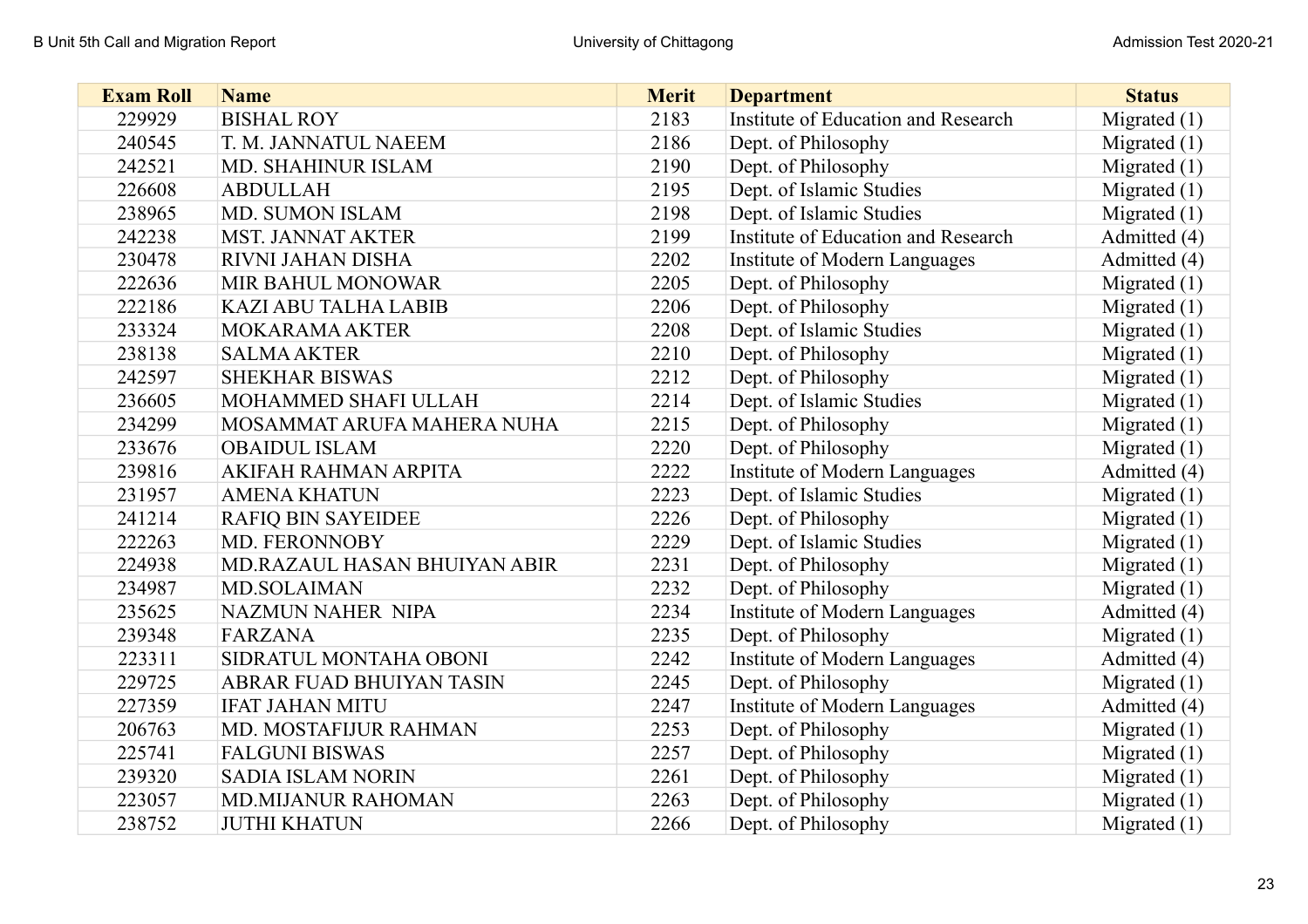| <b>Exam Roll</b> | <b>Name</b>                  | <b>Merit</b> | <b>Department</b>                    | <b>Status</b>  |
|------------------|------------------------------|--------------|--------------------------------------|----------------|
| 229929           | <b>BISHAL ROY</b>            | 2183         | Institute of Education and Research  | Migrated $(1)$ |
| 240545           | T. M. JANNATUL NAEEM         | 2186         | Dept. of Philosophy                  | Migrated $(1)$ |
| 242521           | MD. SHAHINUR ISLAM           | 2190         | Dept. of Philosophy                  | Migrated $(1)$ |
| 226608           | <b>ABDULLAH</b>              | 2195         | Dept. of Islamic Studies             | Migrated $(1)$ |
| 238965           | <b>MD. SUMON ISLAM</b>       | 2198         | Dept. of Islamic Studies             | Migrated $(1)$ |
| 242238           | <b>MST. JANNAT AKTER</b>     | 2199         | Institute of Education and Research  | Admitted (4)   |
| 230478           | RIVNI JAHAN DISHA            | 2202         | Institute of Modern Languages        | Admitted (4)   |
| 222636           | <b>MIR BAHUL MONOWAR</b>     | 2205         | Dept. of Philosophy                  | Migrated $(1)$ |
| 222186           | KAZI ABU TALHA LABIB         | 2206         | Dept. of Philosophy                  | Migrated $(1)$ |
| 233324           | <b>MOKARAMA AKTER</b>        | 2208         | Dept. of Islamic Studies             | Migrated $(1)$ |
| 238138           | <b>SALMA AKTER</b>           | 2210         | Dept. of Philosophy                  | Migrated $(1)$ |
| 242597           | <b>SHEKHAR BISWAS</b>        | 2212         | Dept. of Philosophy                  | Migrated $(1)$ |
| 236605           | MOHAMMED SHAFI ULLAH         | 2214         | Dept. of Islamic Studies             | Migrated $(1)$ |
| 234299           | MOSAMMAT ARUFA MAHERA NUHA   | 2215         | Dept. of Philosophy                  | Migrated $(1)$ |
| 233676           | <b>OBAIDUL ISLAM</b>         | 2220         | Dept. of Philosophy                  | Migrated $(1)$ |
| 239816           | AKIFAH RAHMAN ARPITA         | 2222         | Institute of Modern Languages        | Admitted (4)   |
| 231957           | <b>AMENA KHATUN</b>          | 2223         | Dept. of Islamic Studies             | Migrated $(1)$ |
| 241214           | <b>RAFIQ BIN SAYEIDEE</b>    | 2226         | Dept. of Philosophy                  | Migrated $(1)$ |
| 222263           | MD. FERONNOBY                | 2229         | Dept. of Islamic Studies             | Migrated $(1)$ |
| 224938           | MD.RAZAUL HASAN BHUIYAN ABIR | 2231         | Dept. of Philosophy                  | Migrated $(1)$ |
| 234987           | <b>MD.SOLAIMAN</b>           | 2232         | Dept. of Philosophy                  | Migrated $(1)$ |
| 235625           | <b>NAZMUN NAHER NIPA</b>     | 2234         | <b>Institute of Modern Languages</b> | Admitted (4)   |
| 239348           | <b>FARZANA</b>               | 2235         | Dept. of Philosophy                  | Migrated $(1)$ |
| 223311           | SIDRATUL MONTAHA OBONI       | 2242         | <b>Institute of Modern Languages</b> | Admitted (4)   |
| 229725           | ABRAR FUAD BHUIYAN TASIN     | 2245         | Dept. of Philosophy                  | Migrated $(1)$ |
| 227359           | <b>IFAT JAHAN MITU</b>       | 2247         | <b>Institute of Modern Languages</b> | Admitted (4)   |
| 206763           | MD. MOSTAFIJUR RAHMAN        | 2253         | Dept. of Philosophy                  | Migrated $(1)$ |
| 225741           | <b>FALGUNI BISWAS</b>        | 2257         | Dept. of Philosophy                  | Migrated $(1)$ |
| 239320           | <b>SADIA ISLAM NORIN</b>     | 2261         | Dept. of Philosophy                  | Migrated $(1)$ |
| 223057           | <b>MD.MIJANUR RAHOMAN</b>    | 2263         | Dept. of Philosophy                  | Migrated $(1)$ |
| 238752           | <b>JUTHI KHATUN</b>          | 2266         | Dept. of Philosophy                  | Migrated $(1)$ |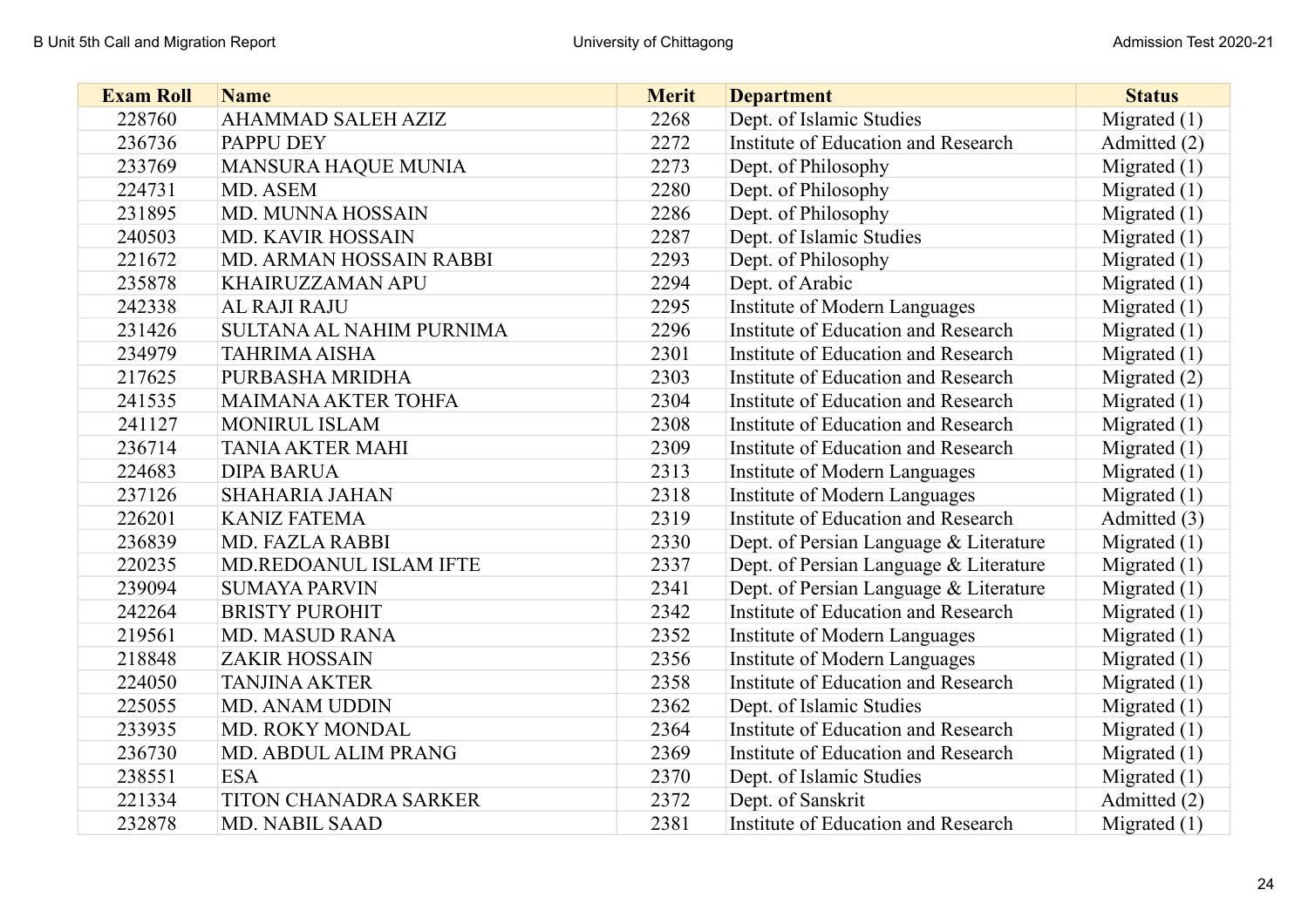| <b>Exam Roll</b> | <b>Name</b>                | <b>Merit</b> | <b>Department</b>                      | <b>Status</b>  |
|------------------|----------------------------|--------------|----------------------------------------|----------------|
| 228760           | AHAMMAD SALEH AZIZ         | 2268         | Dept. of Islamic Studies               | Migrated $(1)$ |
| 236736           | PAPPU DEY                  | 2272         | Institute of Education and Research    | Admitted (2)   |
| 233769           | MANSURA HAQUE MUNIA        | 2273         | Dept. of Philosophy                    | Migrated $(1)$ |
| 224731           | MD. ASEM                   | 2280         | Dept. of Philosophy                    | Migrated $(1)$ |
| 231895           | MD. MUNNA HOSSAIN          | 2286         | Dept. of Philosophy                    | Migrated $(1)$ |
| 240503           | <b>MD. KAVIR HOSSAIN</b>   | 2287         | Dept. of Islamic Studies               | Migrated $(1)$ |
| 221672           | MD. ARMAN HOSSAIN RABBI    | 2293         | Dept. of Philosophy                    | Migrated $(1)$ |
| 235878           | <b>KHAIRUZZAMAN APU</b>    | 2294         | Dept. of Arabic                        | Migrated $(1)$ |
| 242338           | AL RAJI RAJU               | 2295         | <b>Institute of Modern Languages</b>   | Migrated $(1)$ |
| 231426           | SULTANA AL NAHIM PURNIMA   | 2296         | Institute of Education and Research    | Migrated $(1)$ |
| 234979           | <b>TAHRIMA AISHA</b>       | 2301         | Institute of Education and Research    | Migrated $(1)$ |
| 217625           | PURBASHA MRIDHA            | 2303         | Institute of Education and Research    | Migrated $(2)$ |
| 241535           | <b>MAIMANA AKTER TOHFA</b> | 2304         | Institute of Education and Research    | Migrated $(1)$ |
| 241127           | MONIRUL ISLAM              | 2308         | Institute of Education and Research    | Migrated $(1)$ |
| 236714           | <b>TANIA AKTER MAHI</b>    | 2309         | Institute of Education and Research    | Migrated $(1)$ |
| 224683           | <b>DIPA BARUA</b>          | 2313         | Institute of Modern Languages          | Migrated $(1)$ |
| 237126           | <b>SHAHARIA JAHAN</b>      | 2318         | Institute of Modern Languages          | Migrated $(1)$ |
| 226201           | <b>KANIZ FATEMA</b>        | 2319         | Institute of Education and Research    | Admitted (3)   |
| 236839           | <b>MD. FAZLA RABBI</b>     | 2330         | Dept. of Persian Language & Literature | Migrated $(1)$ |
| 220235           | MD.REDOANUL ISLAM IFTE     | 2337         | Dept. of Persian Language & Literature | Migrated $(1)$ |
| 239094           | <b>SUMAYA PARVIN</b>       | 2341         | Dept. of Persian Language & Literature | Migrated $(1)$ |
| 242264           | <b>BRISTY PUROHIT</b>      | 2342         | Institute of Education and Research    | Migrated $(1)$ |
| 219561           | <b>MD. MASUD RANA</b>      | 2352         | Institute of Modern Languages          | Migrated $(1)$ |
| 218848           | <b>ZAKIR HOSSAIN</b>       | 2356         | Institute of Modern Languages          | Migrated $(1)$ |
| 224050           | <b>TANJINA AKTER</b>       | 2358         | Institute of Education and Research    | Migrated $(1)$ |
| 225055           | <b>MD. ANAM UDDIN</b>      | 2362         | Dept. of Islamic Studies               | Migrated $(1)$ |
| 233935           | MD. ROKY MONDAL            | 2364         | Institute of Education and Research    | Migrated $(1)$ |
| 236730           | MD. ABDUL ALIM PRANG       | 2369         | Institute of Education and Research    | Migrated $(1)$ |
| 238551           | <b>ESA</b>                 | 2370         | Dept. of Islamic Studies               | Migrated $(1)$ |
| 221334           | TITON CHANADRA SARKER      | 2372         | Dept. of Sanskrit                      | Admitted (2)   |
| 232878           | <b>MD. NABIL SAAD</b>      | 2381         | Institute of Education and Research    | Migrated $(1)$ |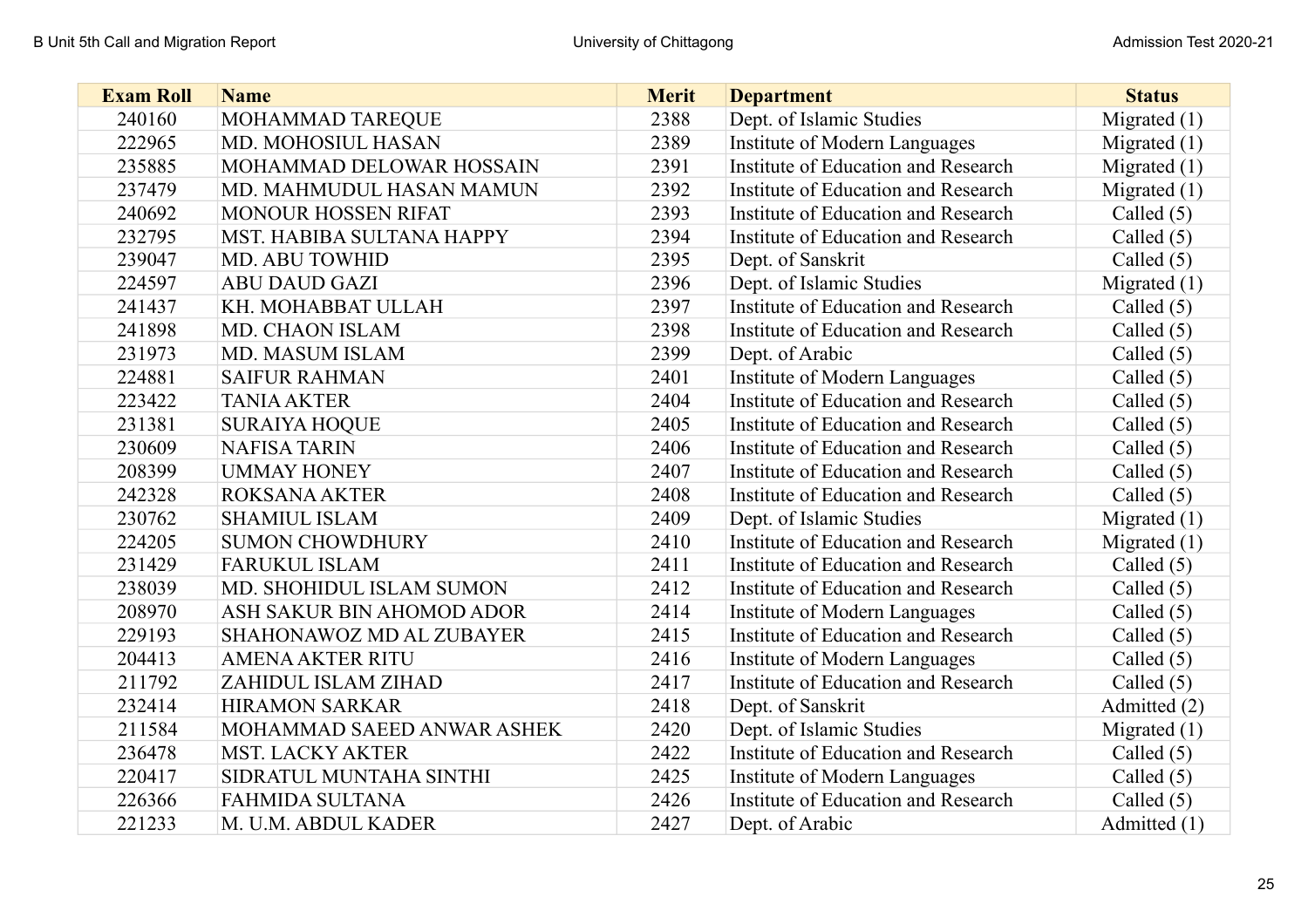| <b>Exam Roll</b> | <b>Name</b>                | <b>Merit</b> | <b>Department</b>                   | <b>Status</b>  |
|------------------|----------------------------|--------------|-------------------------------------|----------------|
| 240160           | MOHAMMAD TAREQUE           | 2388         | Dept. of Islamic Studies            | Migrated $(1)$ |
| 222965           | MD. MOHOSIUL HASAN         | 2389         | Institute of Modern Languages       | Migrated $(1)$ |
| 235885           | MOHAMMAD DELOWAR HOSSAIN   | 2391         | Institute of Education and Research | Migrated $(1)$ |
| 237479           | MD. MAHMUDUL HASAN MAMUN   | 2392         | Institute of Education and Research | Migrated $(1)$ |
| 240692           | <b>MONOUR HOSSEN RIFAT</b> | 2393         | Institute of Education and Research | Called $(5)$   |
| 232795           | MST. HABIBA SULTANA HAPPY  | 2394         | Institute of Education and Research | Called $(5)$   |
| 239047           | <b>MD. ABU TOWHID</b>      | 2395         | Dept. of Sanskrit                   | Called $(5)$   |
| 224597           | <b>ABU DAUD GAZI</b>       | 2396         | Dept. of Islamic Studies            | Migrated $(1)$ |
| 241437           | KH. MOHABBAT ULLAH         | 2397         | Institute of Education and Research | Called $(5)$   |
| 241898           | MD. CHAON ISLAM            | 2398         | Institute of Education and Research | Called $(5)$   |
| 231973           | MD. MASUM ISLAM            | 2399         | Dept. of Arabic                     | Called $(5)$   |
| 224881           | <b>SAIFUR RAHMAN</b>       | 2401         | Institute of Modern Languages       | Called $(5)$   |
| 223422           | <b>TANIA AKTER</b>         | 2404         | Institute of Education and Research | Called $(5)$   |
| 231381           | <b>SURAIYA HOQUE</b>       | 2405         | Institute of Education and Research | Called $(5)$   |
| 230609           | <b>NAFISA TARIN</b>        | 2406         | Institute of Education and Research | Called $(5)$   |
| 208399           | <b>UMMAY HONEY</b>         | 2407         | Institute of Education and Research | Called $(5)$   |
| 242328           | <b>ROKSANA AKTER</b>       | 2408         | Institute of Education and Research | Called $(5)$   |
| 230762           | <b>SHAMIUL ISLAM</b>       | 2409         | Dept. of Islamic Studies            | Migrated $(1)$ |
| 224205           | <b>SUMON CHOWDHURY</b>     | 2410         | Institute of Education and Research | Migrated $(1)$ |
| 231429           | <b>FARUKUL ISLAM</b>       | 2411         | Institute of Education and Research | Called $(5)$   |
| 238039           | MD. SHOHIDUL ISLAM SUMON   | 2412         | Institute of Education and Research | Called $(5)$   |
| 208970           | ASH SAKUR BIN AHOMOD ADOR  | 2414         | Institute of Modern Languages       | Called $(5)$   |
| 229193           | SHAHONAWOZ MD AL ZUBAYER   | 2415         | Institute of Education and Research | Called $(5)$   |
| 204413           | <b>AMENA AKTER RITU</b>    | 2416         | Institute of Modern Languages       | Called $(5)$   |
| 211792           | ZAHIDUL ISLAM ZIHAD        | 2417         | Institute of Education and Research | Called $(5)$   |
| 232414           | <b>HIRAMON SARKAR</b>      | 2418         | Dept. of Sanskrit                   | Admitted (2)   |
| 211584           | MOHAMMAD SAEED ANWAR ASHEK | 2420         | Dept. of Islamic Studies            | Migrated $(1)$ |
| 236478           | <b>MST. LACKY AKTER</b>    | 2422         | Institute of Education and Research | Called $(5)$   |
| 220417           | SIDRATUL MUNTAHA SINTHI    | 2425         | Institute of Modern Languages       | Called $(5)$   |
| 226366           | FAHMIDA SULTANA            | 2426         | Institute of Education and Research | Called $(5)$   |
| 221233           | M. U.M. ABDUL KADER        | 2427         | Dept. of Arabic                     | Admitted (1)   |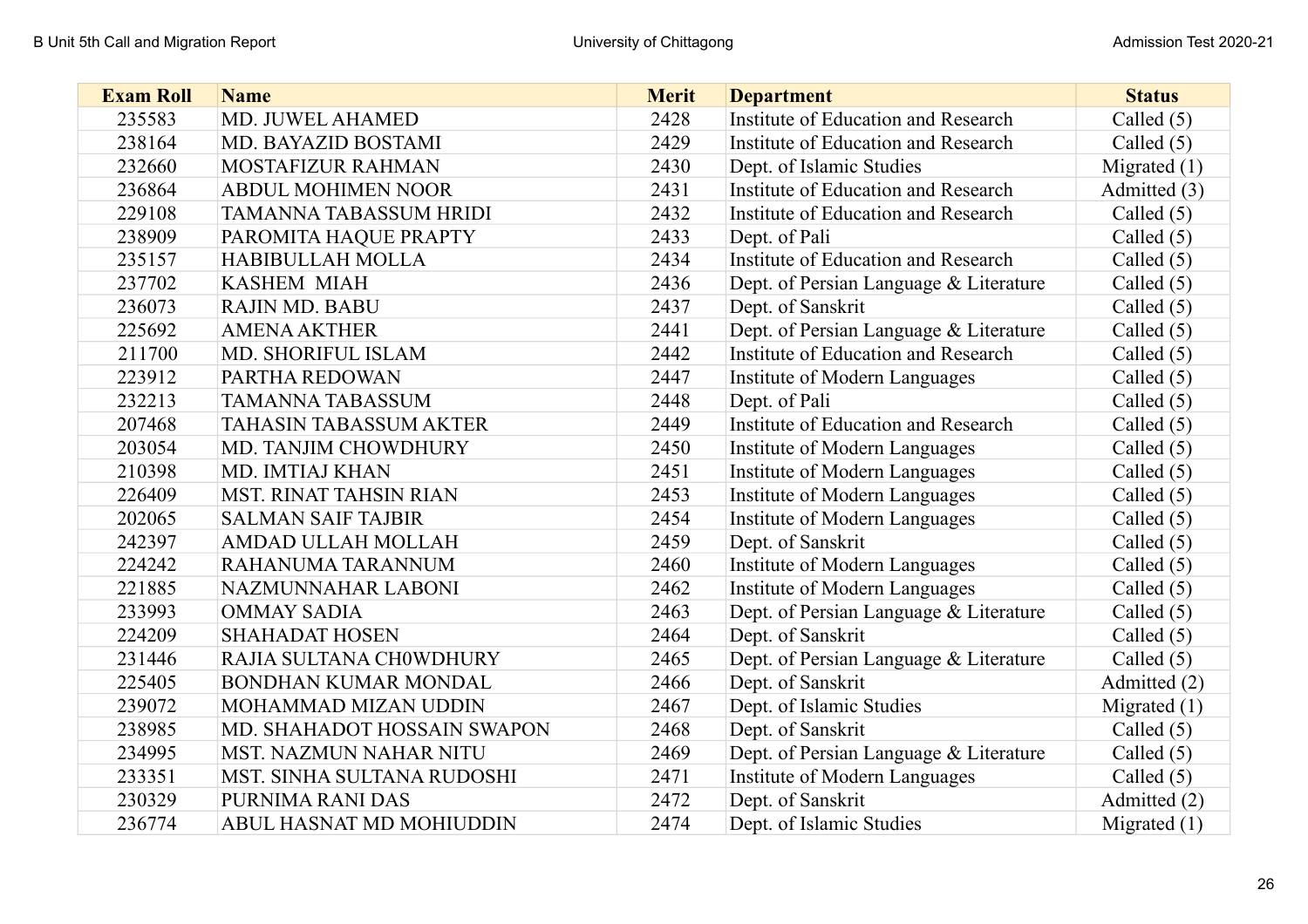| <b>Exam Roll</b> | <b>Name</b>                   | <b>Merit</b> | <b>Department</b>                      | <b>Status</b>  |
|------------------|-------------------------------|--------------|----------------------------------------|----------------|
| 235583           | MD. JUWEL AHAMED              | 2428         | Institute of Education and Research    | Called $(5)$   |
| 238164           | MD. BAYAZID BOSTAMI           | 2429         | Institute of Education and Research    | Called $(5)$   |
| 232660           | MOSTAFIZUR RAHMAN             | 2430         | Dept. of Islamic Studies               | Migrated $(1)$ |
| 236864           | <b>ABDUL MOHIMEN NOOR</b>     | 2431         | Institute of Education and Research    | Admitted (3)   |
| 229108           | <b>TAMANNA TABASSUM HRIDI</b> | 2432         | Institute of Education and Research    | Called $(5)$   |
| 238909           | PAROMITA HAQUE PRAPTY         | 2433         | Dept. of Pali                          | Called $(5)$   |
| 235157           | <b>HABIBULLAH MOLLA</b>       | 2434         | Institute of Education and Research    | Called $(5)$   |
| 237702           | <b>KASHEM MIAH</b>            | 2436         | Dept. of Persian Language & Literature | Called $(5)$   |
| 236073           | <b>RAJIN MD. BABU</b>         | 2437         | Dept. of Sanskrit                      | Called $(5)$   |
| 225692           | <b>AMENA AKTHER</b>           | 2441         | Dept. of Persian Language & Literature | Called $(5)$   |
| 211700           | MD. SHORIFUL ISLAM            | 2442         | Institute of Education and Research    | Called $(5)$   |
| 223912           | PARTHA REDOWAN                | 2447         | Institute of Modern Languages          | Called $(5)$   |
| 232213           | <b>TAMANNA TABASSUM</b>       | 2448         | Dept. of Pali                          | Called $(5)$   |
| 207468           | <b>TAHASIN TABASSUM AKTER</b> | 2449         | Institute of Education and Research    | Called $(5)$   |
| 203054           | MD. TANJIM CHOWDHURY          | 2450         | Institute of Modern Languages          | Called $(5)$   |
| 210398           | MD. IMTIAJ KHAN               | 2451         | Institute of Modern Languages          | Called $(5)$   |
| 226409           | <b>MST. RINAT TAHSIN RIAN</b> | 2453         | Institute of Modern Languages          | Called $(5)$   |
| 202065           | <b>SALMAN SAIF TAJBIR</b>     | 2454         | <b>Institute of Modern Languages</b>   | Called $(5)$   |
| 242397           | AMDAD ULLAH MOLLAH            | 2459         | Dept. of Sanskrit                      | Called $(5)$   |
| 224242           | RAHANUMA TARANNUM             | 2460         | Institute of Modern Languages          | Called $(5)$   |
| 221885           | NAZMUNNAHAR LABONI            | 2462         | Institute of Modern Languages          | Called $(5)$   |
| 233993           | <b>OMMAY SADIA</b>            | 2463         | Dept. of Persian Language & Literature | Called $(5)$   |
| 224209           | <b>SHAHADAT HOSEN</b>         | 2464         | Dept. of Sanskrit                      | Called $(5)$   |
| 231446           | RAJIA SULTANA CHOWDHURY       | 2465         | Dept. of Persian Language & Literature | Called $(5)$   |
| 225405           | BONDHAN KUMAR MONDAL          | 2466         | Dept. of Sanskrit                      | Admitted (2)   |
| 239072           | MOHAMMAD MIZAN UDDIN          | 2467         | Dept. of Islamic Studies               | Migrated $(1)$ |
| 238985           | MD. SHAHADOT HOSSAIN SWAPON   | 2468         | Dept. of Sanskrit                      | Called $(5)$   |
| 234995           | <b>MST. NAZMUN NAHAR NITU</b> | 2469         | Dept. of Persian Language & Literature | Called $(5)$   |
| 233351           | MST. SINHA SULTANA RUDOSHI    | 2471         | Institute of Modern Languages          | Called $(5)$   |
| 230329           | PURNIMA RANI DAS              | 2472         | Dept. of Sanskrit                      | Admitted (2)   |
| 236774           | ABUL HASNAT MD MOHIUDDIN      | 2474         | Dept. of Islamic Studies               | Migrated $(1)$ |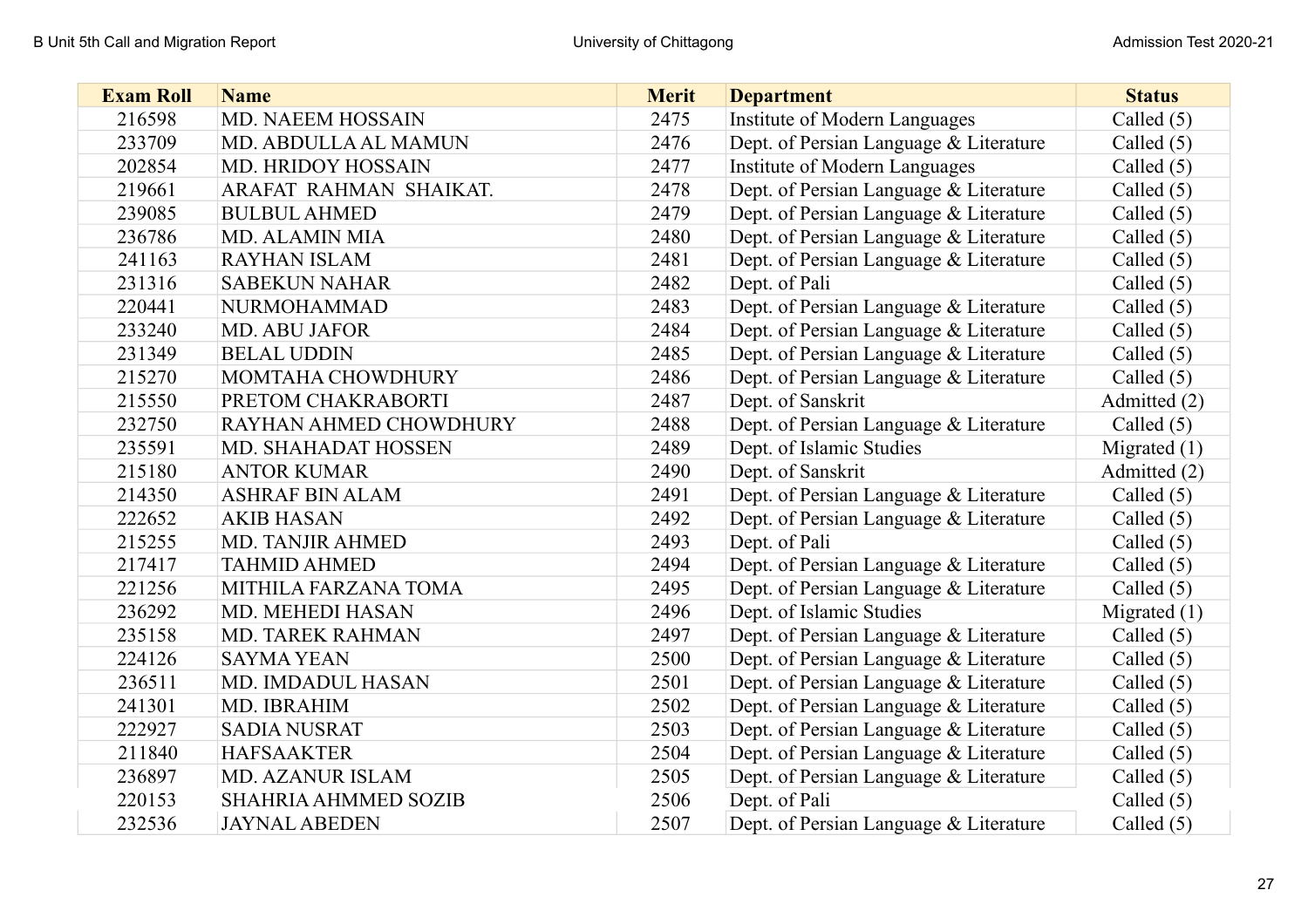| <b>Exam Roll</b> | <b>Name</b>                 | <b>Merit</b> | <b>Department</b>                      | <b>Status</b>  |
|------------------|-----------------------------|--------------|----------------------------------------|----------------|
| 216598           | MD. NAEEM HOSSAIN           | 2475         | Institute of Modern Languages          | Called $(5)$   |
| 233709           | MD. ABDULLA AL MAMUN        | 2476         | Dept. of Persian Language & Literature | Called $(5)$   |
| 202854           | MD. HRIDOY HOSSAIN          | 2477         | Institute of Modern Languages          | Called $(5)$   |
| 219661           | ARAFAT RAHMAN SHAIKAT.      | 2478         | Dept. of Persian Language & Literature | Called $(5)$   |
| 239085           | <b>BULBUL AHMED</b>         | 2479         | Dept. of Persian Language & Literature | Called $(5)$   |
| 236786           | <b>MD. ALAMIN MIA</b>       | 2480         | Dept. of Persian Language & Literature | Called $(5)$   |
| 241163           | <b>RAYHAN ISLAM</b>         | 2481         | Dept. of Persian Language & Literature | Called $(5)$   |
| 231316           | <b>SABEKUN NAHAR</b>        | 2482         | Dept. of Pali                          | Called $(5)$   |
| 220441           | <b>NURMOHAMMAD</b>          | 2483         | Dept. of Persian Language & Literature | Called $(5)$   |
| 233240           | <b>MD. ABU JAFOR</b>        | 2484         | Dept. of Persian Language & Literature | Called $(5)$   |
| 231349           | <b>BELAL UDDIN</b>          | 2485         | Dept. of Persian Language & Literature | Called $(5)$   |
| 215270           | MOMTAHA CHOWDHURY           | 2486         | Dept. of Persian Language & Literature | Called $(5)$   |
| 215550           | PRETOM CHAKRABORTI          | 2487         | Dept. of Sanskrit                      | Admitted (2)   |
| 232750           | RAYHAN AHMED CHOWDHURY      | 2488         | Dept. of Persian Language & Literature | Called $(5)$   |
| 235591           | MD. SHAHADAT HOSSEN         | 2489         | Dept. of Islamic Studies               | Migrated $(1)$ |
| 215180           | <b>ANTOR KUMAR</b>          | 2490         | Dept. of Sanskrit                      | Admitted (2)   |
| 214350           | <b>ASHRAF BIN ALAM</b>      | 2491         | Dept. of Persian Language & Literature | Called $(5)$   |
| 222652           | <b>AKIB HASAN</b>           | 2492         | Dept. of Persian Language & Literature | Called $(5)$   |
| 215255           | <b>MD. TANJIR AHMED</b>     | 2493         | Dept. of Pali                          | Called $(5)$   |
| 217417           | <b>TAHMID AHMED</b>         | 2494         | Dept. of Persian Language & Literature | Called $(5)$   |
| 221256           | MITHILA FARZANA TOMA        | 2495         | Dept. of Persian Language & Literature | Called $(5)$   |
| 236292           | MD. MEHEDI HASAN            | 2496         | Dept. of Islamic Studies               | Migrated $(1)$ |
| 235158           | <b>MD. TAREK RAHMAN</b>     | 2497         | Dept. of Persian Language & Literature | Called $(5)$   |
| 224126           | <b>SAYMA YEAN</b>           | 2500         | Dept. of Persian Language & Literature | Called $(5)$   |
| 236511           | MD. IMDADUL HASAN           | 2501         | Dept. of Persian Language & Literature | Called $(5)$   |
| 241301           | MD. IBRAHIM                 | 2502         | Dept. of Persian Language & Literature | Called $(5)$   |
| 222927           | <b>SADIA NUSRAT</b>         | 2503         | Dept. of Persian Language & Literature | Called $(5)$   |
| 211840           | <b>HAFSAAKTER</b>           | 2504         | Dept. of Persian Language & Literature | Called $(5)$   |
| 236897           | <b>MD. AZANUR ISLAM</b>     | 2505         | Dept. of Persian Language & Literature | Called $(5)$   |
| 220153           | <b>SHAHRIA AHMMED SOZIB</b> | 2506         | Dept. of Pali                          | Called $(5)$   |
| 232536           | <b>JAYNAL ABEDEN</b>        | 2507         | Dept. of Persian Language & Literature | Called $(5)$   |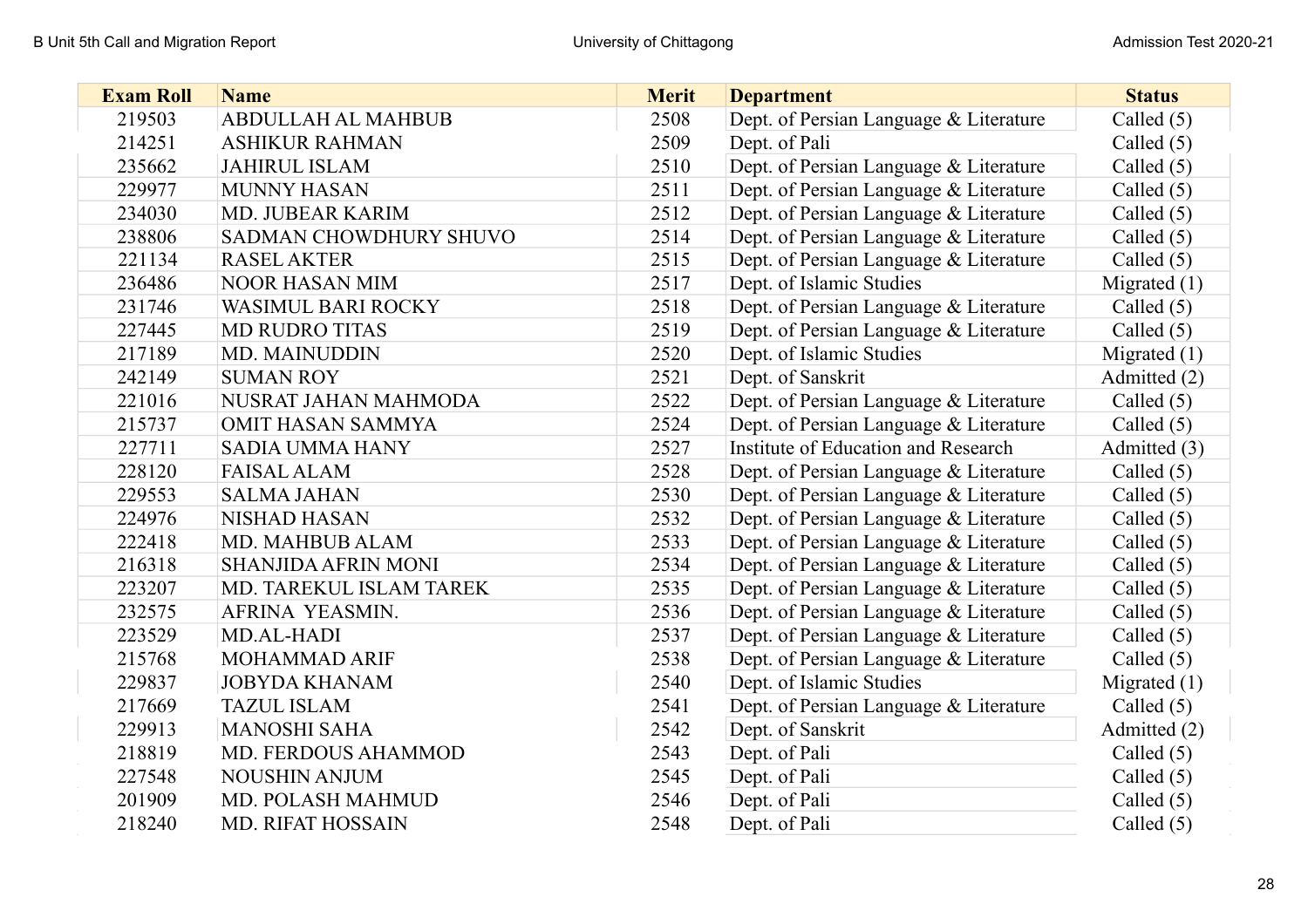| <b>Exam Roll</b> | <b>Name</b>                | <b>Merit</b> | <b>Department</b>                      | <b>Status</b>  |
|------------------|----------------------------|--------------|----------------------------------------|----------------|
| 219503           | ABDULLAH AL MAHBUB         | 2508         | Dept. of Persian Language & Literature | Called $(5)$   |
| 214251           | <b>ASHIKUR RAHMAN</b>      | 2509         | Dept. of Pali                          | Called $(5)$   |
| 235662           | <b>JAHIRUL ISLAM</b>       | 2510         | Dept. of Persian Language & Literature | Called $(5)$   |
| 229977           | <b>MUNNY HASAN</b>         | 2511         | Dept. of Persian Language & Literature | Called $(5)$   |
| 234030           | MD. JUBEAR KARIM           | 2512         | Dept. of Persian Language & Literature | Called $(5)$   |
| 238806           | SADMAN CHOWDHURY SHUVO     | 2514         | Dept. of Persian Language & Literature | Called $(5)$   |
| 221134           | <b>RASEL AKTER</b>         | 2515         | Dept. of Persian Language & Literature | Called $(5)$   |
| 236486           | <b>NOOR HASAN MIM</b>      | 2517         | Dept. of Islamic Studies               | Migrated $(1)$ |
| 231746           | <b>WASIMUL BARI ROCKY</b>  | 2518         | Dept. of Persian Language & Literature | Called $(5)$   |
| 227445           | <b>MD RUDRO TITAS</b>      | 2519         | Dept. of Persian Language & Literature | Called $(5)$   |
| 217189           | <b>MD. MAINUDDIN</b>       | 2520         | Dept. of Islamic Studies               | Migrated $(1)$ |
| 242149           | <b>SUMAN ROY</b>           | 2521         | Dept. of Sanskrit                      | Admitted (2)   |
| 221016           | NUSRAT JAHAN MAHMODA       | 2522         | Dept. of Persian Language & Literature | Called $(5)$   |
| 215737           | OMIT HASAN SAMMYA          | 2524         | Dept. of Persian Language & Literature | Called $(5)$   |
| 227711           | <b>SADIA UMMA HANY</b>     | 2527         | Institute of Education and Research    | Admitted (3)   |
| 228120           | <b>FAISAL ALAM</b>         | 2528         | Dept. of Persian Language & Literature | Called $(5)$   |
| 229553           | <b>SALMA JAHAN</b>         | 2530         | Dept. of Persian Language & Literature | Called $(5)$   |
| 224976           | <b>NISHAD HASAN</b>        | 2532         | Dept. of Persian Language & Literature | Called $(5)$   |
| 222418           | <b>MD. MAHBUB ALAM</b>     | 2533         | Dept. of Persian Language & Literature | Called $(5)$   |
| 216318           | <b>SHANJIDA AFRIN MONI</b> | 2534         | Dept. of Persian Language & Literature | Called $(5)$   |
| 223207           | MD. TAREKUL ISLAM TAREK    | 2535         | Dept. of Persian Language & Literature | Called $(5)$   |
| 232575           | AFRINA YEASMIN.            | 2536         | Dept. of Persian Language & Literature | Called $(5)$   |
| 223529           | MD.AL-HADI                 | 2537         | Dept. of Persian Language & Literature | Called $(5)$   |
| 215768           | <b>MOHAMMAD ARIF</b>       | 2538         | Dept. of Persian Language & Literature | Called $(5)$   |
| 229837           | <b>JOBYDA KHANAM</b>       | 2540         | Dept. of Islamic Studies               | Migrated $(1)$ |
| 217669           | <b>TAZUL ISLAM</b>         | 2541         | Dept. of Persian Language & Literature | Called $(5)$   |
| 229913           | <b>MANOSHI SAHA</b>        | 2542         | Dept. of Sanskrit                      | Admitted (2)   |
| 218819           | MD. FERDOUS AHAMMOD        | 2543         | Dept. of Pali                          | Called $(5)$   |
| 227548           | NOUSHIN ANJUM              | 2545         | Dept. of Pali                          | Called $(5)$   |
| 201909           | MD. POLASH MAHMUD          | 2546         | Dept. of Pali                          | Called $(5)$   |
| 218240           | <b>MD. RIFAT HOSSAIN</b>   | 2548         | Dept. of Pali                          | Called $(5)$   |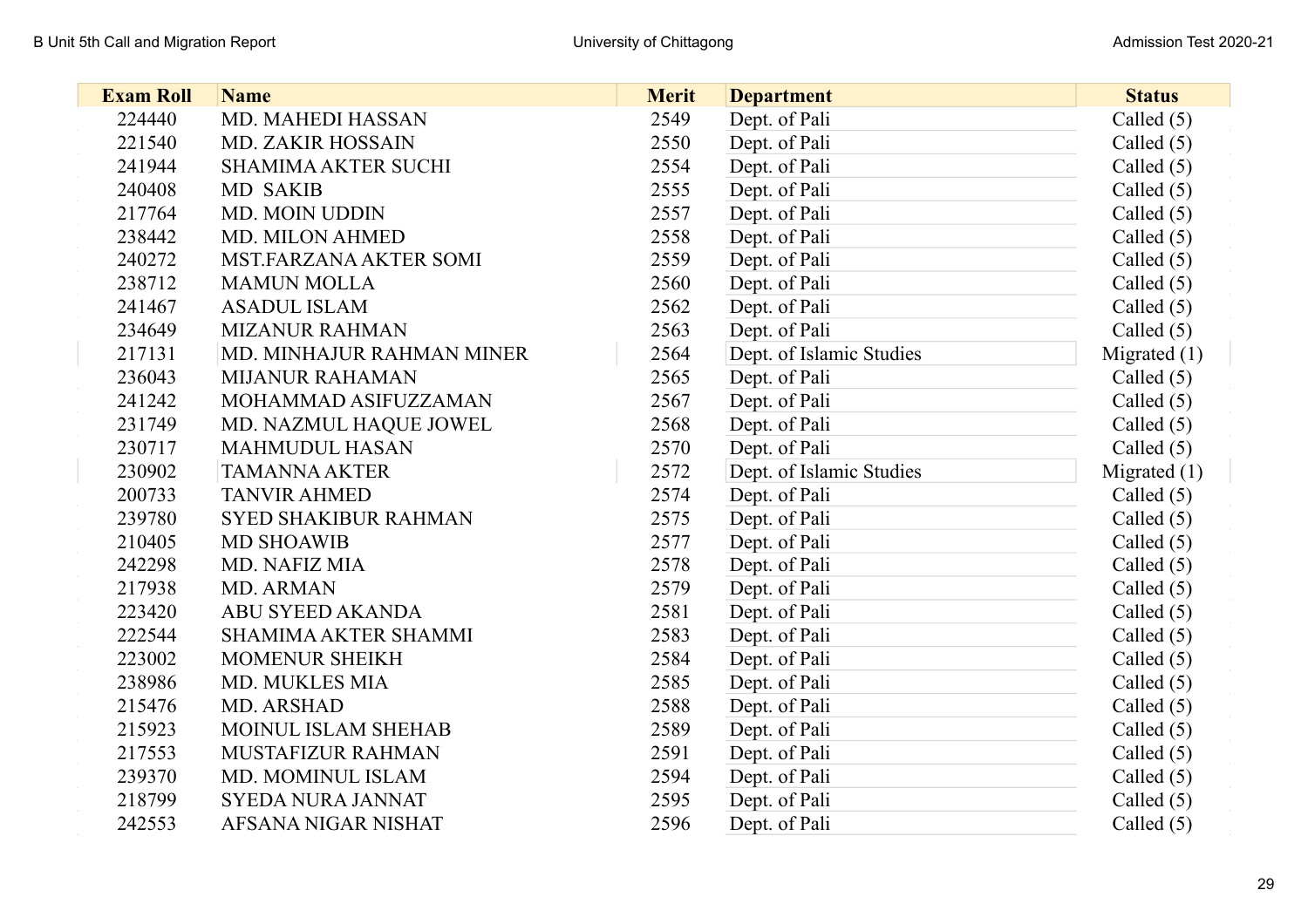| <b>Exam Roll</b> | <b>Name</b>                 | <b>Merit</b> | <b>Department</b>        | <b>Status</b>  |
|------------------|-----------------------------|--------------|--------------------------|----------------|
| 224440           | <b>MD. MAHEDI HASSAN</b>    | 2549         | Dept. of Pali            | Called $(5)$   |
| 221540           | MD. ZAKIR HOSSAIN           | 2550         | Dept. of Pali            | Called $(5)$   |
| 241944           | <b>SHAMIMA AKTER SUCHI</b>  | 2554         | Dept. of Pali            | Called $(5)$   |
| 240408           | <b>MD SAKIB</b>             | 2555         | Dept. of Pali            | Called $(5)$   |
| 217764           | MD. MOIN UDDIN              | 2557         | Dept. of Pali            | Called $(5)$   |
| 238442           | MD. MILON AHMED             | 2558         | Dept. of Pali            | Called $(5)$   |
| 240272           | MST.FARZANA AKTER SOMI      | 2559         | Dept. of Pali            | Called $(5)$   |
| 238712           | <b>MAMUN MOLLA</b>          | 2560         | Dept. of Pali            | Called $(5)$   |
| 241467           | <b>ASADUL ISLAM</b>         | 2562         | Dept. of Pali            | Called $(5)$   |
| 234649           | <b>MIZANUR RAHMAN</b>       | 2563         | Dept. of Pali            | Called $(5)$   |
| 217131           | MD. MINHAJUR RAHMAN MINER   | 2564         | Dept. of Islamic Studies | Migrated $(1)$ |
| 236043           | <b>MIJANUR RAHAMAN</b>      | 2565         | Dept. of Pali            | Called $(5)$   |
| 241242           | MOHAMMAD ASIFUZZAMAN        | 2567         | Dept. of Pali            | Called $(5)$   |
| 231749           | MD. NAZMUL HAQUE JOWEL      | 2568         | Dept. of Pali            | Called $(5)$   |
| 230717           | <b>MAHMUDUL HASAN</b>       | 2570         | Dept. of Pali            | Called $(5)$   |
| 230902           | <b>TAMANNA AKTER</b>        | 2572         | Dept. of Islamic Studies | Migrated $(1)$ |
| 200733           | <b>TANVIR AHMED</b>         | 2574         | Dept. of Pali            | Called $(5)$   |
| 239780           | <b>SYED SHAKIBUR RAHMAN</b> | 2575         | Dept. of Pali            | Called $(5)$   |
| 210405           | <b>MD SHOAWIB</b>           | 2577         | Dept. of Pali            | Called $(5)$   |
| 242298           | MD. NAFIZ MIA               | 2578         | Dept. of Pali            | Called $(5)$   |
| 217938           | MD. ARMAN                   | 2579         | Dept. of Pali            | Called $(5)$   |
| 223420           | ABU SYEED AKANDA            | 2581         | Dept. of Pali            | Called $(5)$   |
| 222544           | SHAMIMA AKTER SHAMMI        | 2583         | Dept. of Pali            | Called $(5)$   |
| 223002           | <b>MOMENUR SHEIKH</b>       | 2584         | Dept. of Pali            | Called $(5)$   |
| 238986           | MD. MUKLES MIA              | 2585         | Dept. of Pali            | Called $(5)$   |
| 215476           | MD. ARSHAD                  | 2588         | Dept. of Pali            | Called $(5)$   |
| 215923           | MOINUL ISLAM SHEHAB         | 2589         | Dept. of Pali            | Called $(5)$   |
| 217553           | MUSTAFIZUR RAHMAN           | 2591         | Dept. of Pali            | Called $(5)$   |
| 239370           | MD. MOMINUL ISLAM           | 2594         | Dept. of Pali            | Called $(5)$   |
| 218799           | SYEDA NURA JANNAT           | 2595         | Dept. of Pali            | Called $(5)$   |
| 242553           | AFSANA NIGAR NISHAT         | 2596         | Dept. of Pali            | Called $(5)$   |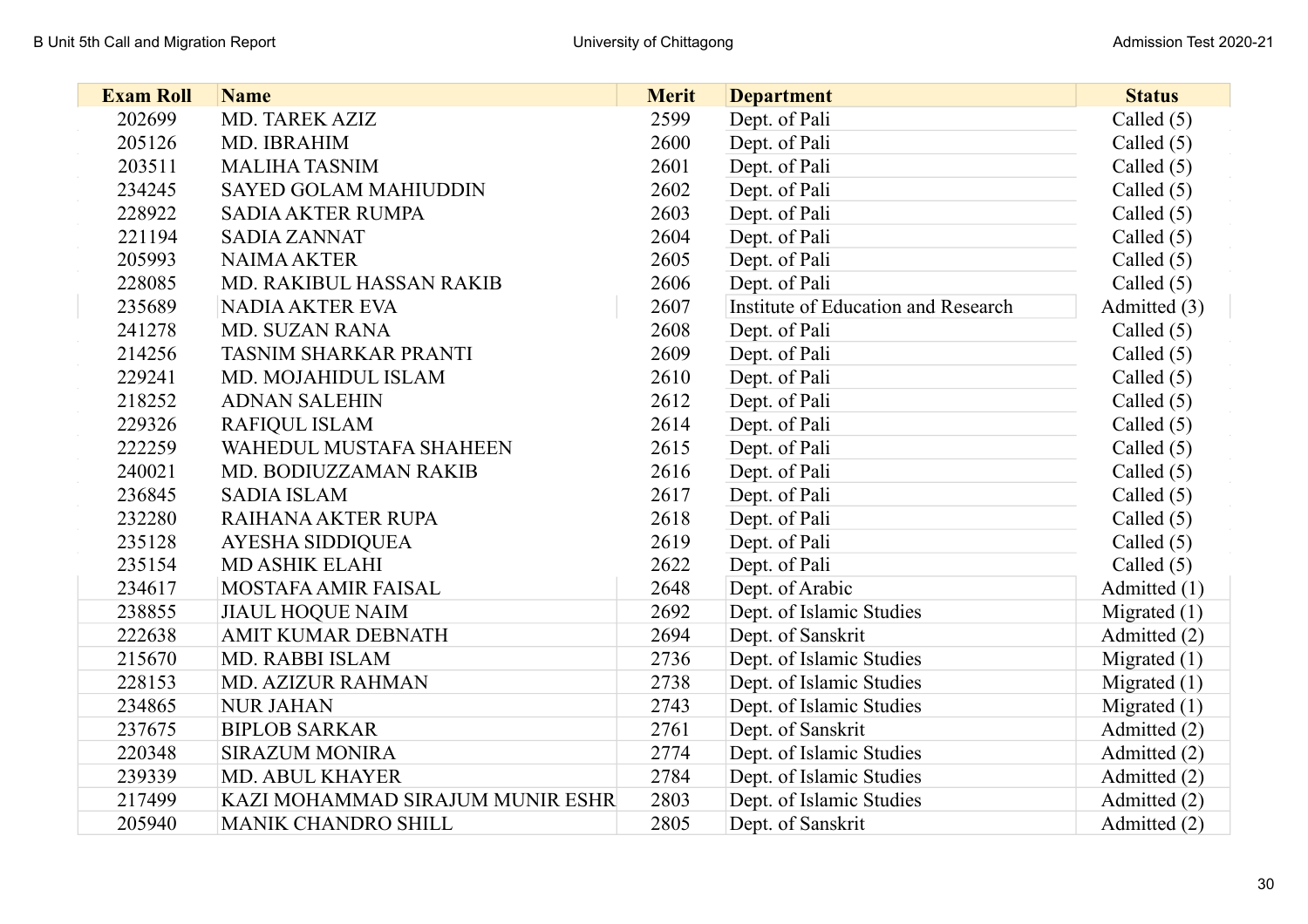| <b>Exam Roll</b> | <b>Name</b>                      | <b>Merit</b> | <b>Department</b>                   | <b>Status</b>  |
|------------------|----------------------------------|--------------|-------------------------------------|----------------|
| 202699           | MD. TAREK AZIZ                   | 2599         | Dept. of Pali                       | Called $(5)$   |
| 205126           | MD. IBRAHIM                      | 2600         | Dept. of Pali                       | Called $(5)$   |
| 203511           | <b>MALIHA TASNIM</b>             | 2601         | Dept. of Pali                       | Called $(5)$   |
| 234245           | <b>SAYED GOLAM MAHIUDDIN</b>     | 2602         | Dept. of Pali                       | Called $(5)$   |
| 228922           | <b>SADIA AKTER RUMPA</b>         | 2603         | Dept. of Pali                       | Called $(5)$   |
| 221194           | <b>SADIA ZANNAT</b>              | 2604         | Dept. of Pali                       | Called $(5)$   |
| 205993           | <b>NAIMA AKTER</b>               | 2605         | Dept. of Pali                       | Called $(5)$   |
| 228085           | MD. RAKIBUL HASSAN RAKIB         | 2606         | Dept. of Pali                       | Called $(5)$   |
| 235689           | <b>NADIA AKTER EVA</b>           | 2607         | Institute of Education and Research | Admitted (3)   |
| 241278           | <b>MD. SUZAN RANA</b>            | 2608         | Dept. of Pali                       | Called $(5)$   |
| 214256           | TASNIM SHARKAR PRANTI            | 2609         | Dept. of Pali                       | Called $(5)$   |
| 229241           | MD. MOJAHIDUL ISLAM              | 2610         | Dept. of Pali                       | Called $(5)$   |
| 218252           | <b>ADNAN SALEHIN</b>             | 2612         | Dept. of Pali                       | Called $(5)$   |
| 229326           | <b>RAFIQUL ISLAM</b>             | 2614         | Dept. of Pali                       | Called $(5)$   |
| 222259           | WAHEDUL MUSTAFA SHAHEEN          | 2615         | Dept. of Pali                       | Called $(5)$   |
| 240021           | MD. BODIUZZAMAN RAKIB            | 2616         | Dept. of Pali                       | Called $(5)$   |
| 236845           | <b>SADIA ISLAM</b>               | 2617         | Dept. of Pali                       | Called $(5)$   |
| 232280           | RAIHANA AKTER RUPA               | 2618         | Dept. of Pali                       | Called $(5)$   |
| 235128           | AYESHA SIDDIQUEA                 | 2619         | Dept. of Pali                       | Called $(5)$   |
| 235154           | <b>MD ASHIK ELAHI</b>            | 2622         | Dept. of Pali                       | Called $(5)$   |
| 234617           | MOSTAFA AMIR FAISAL              | 2648         | Dept. of Arabic                     | Admitted (1)   |
| 238855           | <b>JIAUL HOQUE NAIM</b>          | 2692         | Dept. of Islamic Studies            | Migrated $(1)$ |
| 222638           | <b>AMIT KUMAR DEBNATH</b>        | 2694         | Dept. of Sanskrit                   | Admitted (2)   |
| 215670           | MD. RABBI ISLAM                  | 2736         | Dept. of Islamic Studies            | Migrated $(1)$ |
| 228153           | <b>MD. AZIZUR RAHMAN</b>         | 2738         | Dept. of Islamic Studies            | Migrated $(1)$ |
| 234865           | <b>NUR JAHAN</b>                 | 2743         | Dept. of Islamic Studies            | Migrated $(1)$ |
| 237675           | <b>BIPLOB SARKAR</b>             | 2761         | Dept. of Sanskrit                   | Admitted (2)   |
| 220348           | <b>SIRAZUM MONIRA</b>            | 2774         | Dept. of Islamic Studies            | Admitted (2)   |
| 239339           | <b>MD. ABUL KHAYER</b>           | 2784         | Dept. of Islamic Studies            | Admitted (2)   |
| 217499           | KAZI MOHAMMAD SIRAJUM MUNIR ESHR | 2803         | Dept. of Islamic Studies            | Admitted (2)   |
| 205940           | <b>MANIK CHANDRO SHILL</b>       | 2805         | Dept. of Sanskrit                   | Admitted (2)   |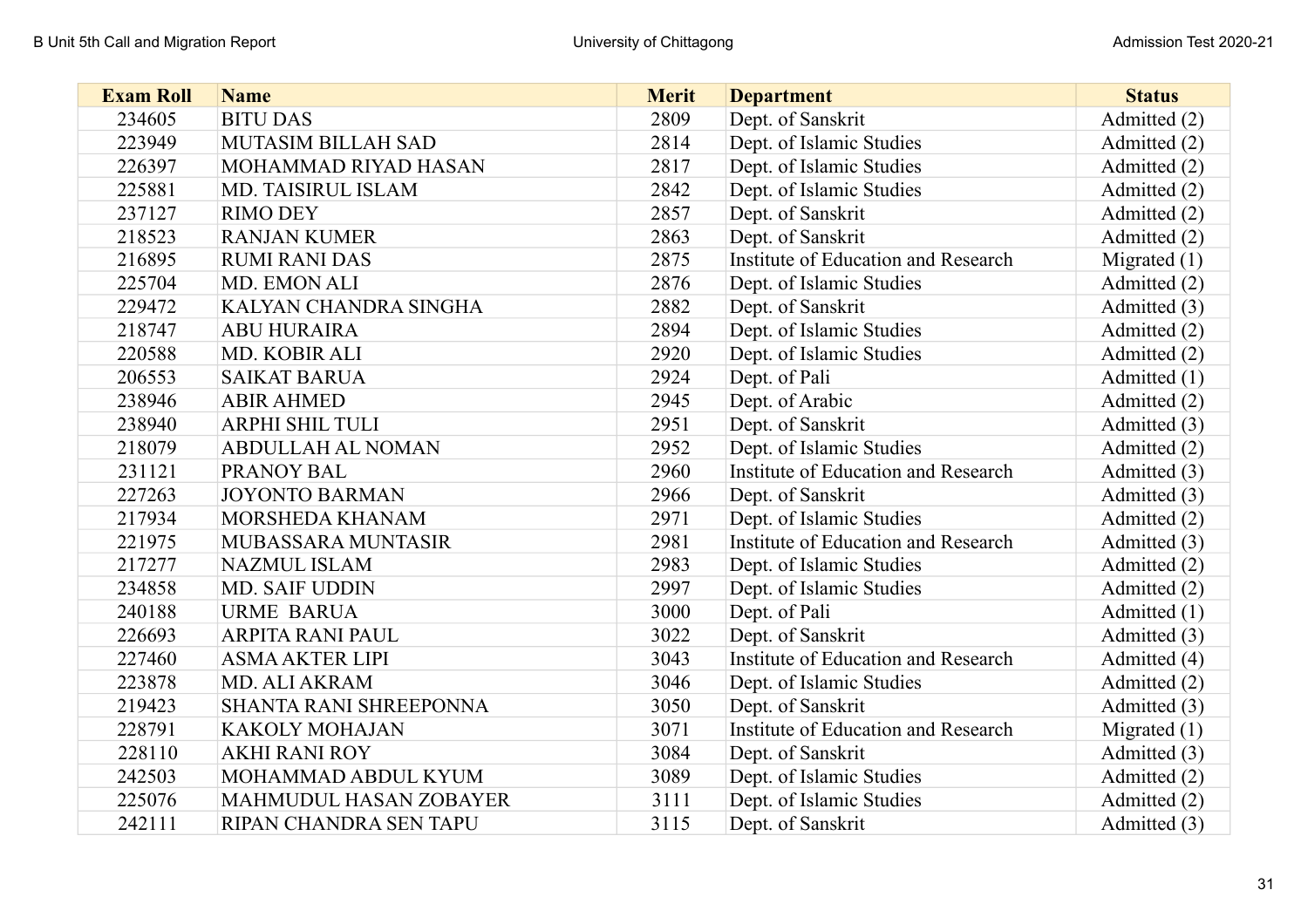| <b>Exam Roll</b> | <b>Name</b>               | <b>Merit</b> | <b>Department</b>                   | <b>Status</b>  |
|------------------|---------------------------|--------------|-------------------------------------|----------------|
| 234605           | <b>BITU DAS</b>           | 2809         | Dept. of Sanskrit                   | Admitted (2)   |
| 223949           | <b>MUTASIM BILLAH SAD</b> | 2814         | Dept. of Islamic Studies            | Admitted (2)   |
| 226397           | MOHAMMAD RIYAD HASAN      | 2817         | Dept. of Islamic Studies            | Admitted (2)   |
| 225881           | MD. TAISIRUL ISLAM        | 2842         | Dept. of Islamic Studies            | Admitted (2)   |
| 237127           | <b>RIMO DEY</b>           | 2857         | Dept. of Sanskrit                   | Admitted (2)   |
| 218523           | <b>RANJAN KUMER</b>       | 2863         | Dept. of Sanskrit                   | Admitted (2)   |
| 216895           | <b>RUMI RANI DAS</b>      | 2875         | Institute of Education and Research | Migrated $(1)$ |
| 225704           | MD. EMON ALI              | 2876         | Dept. of Islamic Studies            | Admitted (2)   |
| 229472           | KALYAN CHANDRA SINGHA     | 2882         | Dept. of Sanskrit                   | Admitted (3)   |
| 218747           | <b>ABU HURAIRA</b>        | 2894         | Dept. of Islamic Studies            | Admitted (2)   |
| 220588           | MD. KOBIR ALI             | 2920         | Dept. of Islamic Studies            | Admitted (2)   |
| 206553           | <b>SAIKAT BARUA</b>       | 2924         | Dept. of Pali                       | Admitted (1)   |
| 238946           | <b>ABIR AHMED</b>         | 2945         | Dept. of Arabic                     | Admitted (2)   |
| 238940           | ARPHI SHIL TULI           | 2951         | Dept. of Sanskrit                   | Admitted (3)   |
| 218079           | <b>ABDULLAH AL NOMAN</b>  | 2952         | Dept. of Islamic Studies            | Admitted (2)   |
| 231121           | PRANOY BAL                | 2960         | Institute of Education and Research | Admitted (3)   |
| 227263           | <b>JOYONTO BARMAN</b>     | 2966         | Dept. of Sanskrit                   | Admitted (3)   |
| 217934           | MORSHEDA KHANAM           | 2971         | Dept. of Islamic Studies            | Admitted (2)   |
| 221975           | MUBASSARA MUNTASIR        | 2981         | Institute of Education and Research | Admitted (3)   |
| 217277           | <b>NAZMUL ISLAM</b>       | 2983         | Dept. of Islamic Studies            | Admitted (2)   |
| 234858           | <b>MD. SAIF UDDIN</b>     | 2997         | Dept. of Islamic Studies            | Admitted (2)   |
| 240188           | <b>URME BARUA</b>         | 3000         | Dept. of Pali                       | Admitted (1)   |
| 226693           | <b>ARPITA RANI PAUL</b>   | 3022         | Dept. of Sanskrit                   | Admitted (3)   |
| 227460           | <b>ASMA AKTER LIPI</b>    | 3043         | Institute of Education and Research | Admitted (4)   |
| 223878           | MD. ALI AKRAM             | 3046         | Dept. of Islamic Studies            | Admitted (2)   |
| 219423           | SHANTA RANI SHREEPONNA    | 3050         | Dept. of Sanskrit                   | Admitted (3)   |
| 228791           | <b>KAKOLY MOHAJAN</b>     | 3071         | Institute of Education and Research | Migrated $(1)$ |
| 228110           | <b>AKHI RANI ROY</b>      | 3084         | Dept. of Sanskrit                   | Admitted (3)   |
| 242503           | MOHAMMAD ABDUL KYUM       | 3089         | Dept. of Islamic Studies            | Admitted (2)   |
| 225076           | MAHMUDUL HASAN ZOBAYER    | 3111         | Dept. of Islamic Studies            | Admitted (2)   |
| 242111           | RIPAN CHANDRA SEN TAPU    | 3115         | Dept. of Sanskrit                   | Admitted (3)   |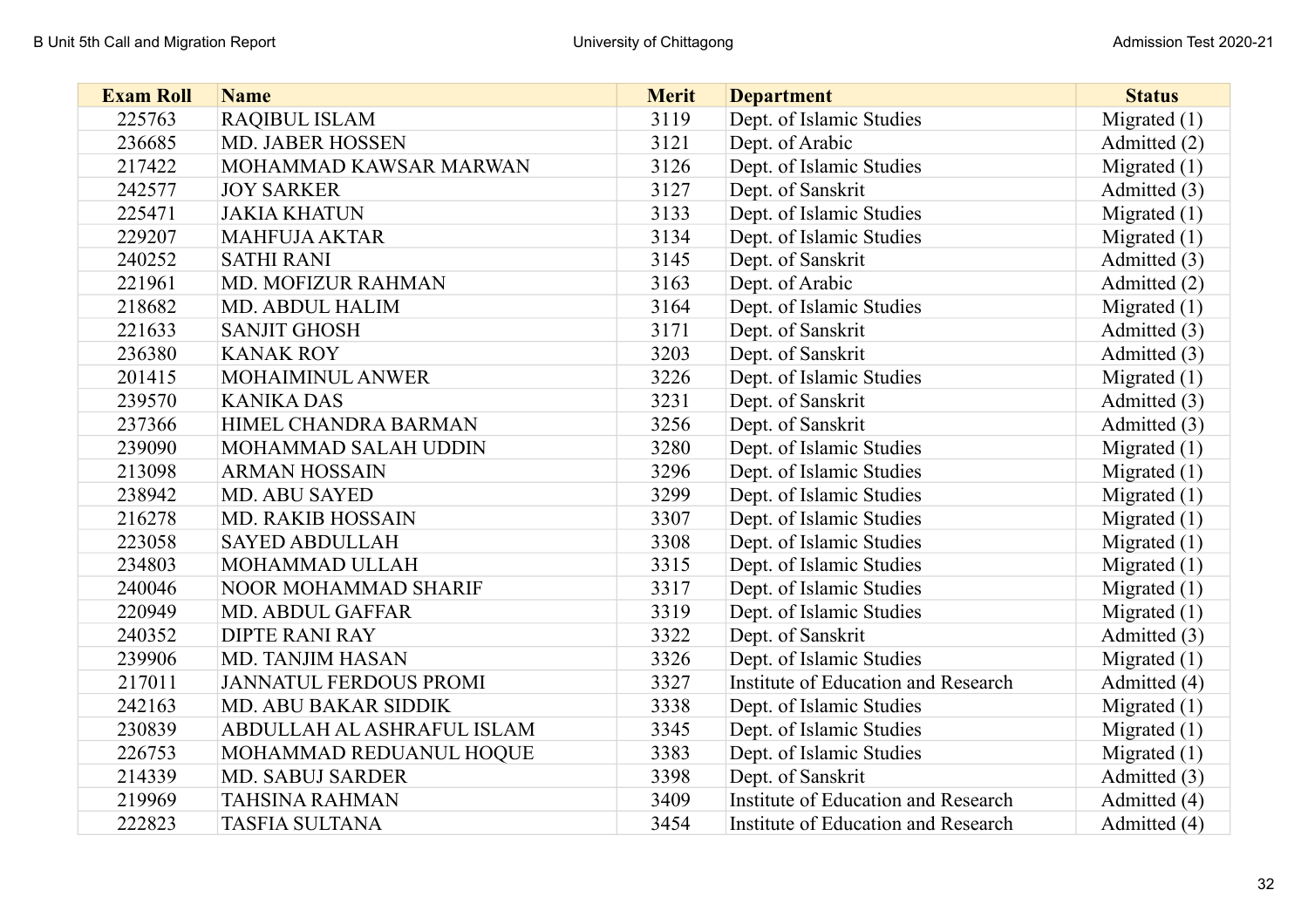| <b>Exam Roll</b> | <b>Name</b>                   | <b>Merit</b> | <b>Department</b>                   | <b>Status</b>  |
|------------------|-------------------------------|--------------|-------------------------------------|----------------|
| 225763           | <b>RAQIBUL ISLAM</b>          | 3119         | Dept. of Islamic Studies            | Migrated $(1)$ |
| 236685           | <b>MD. JABER HOSSEN</b>       | 3121         | Dept. of Arabic                     | Admitted (2)   |
| 217422           | MOHAMMAD KAWSAR MARWAN        | 3126         | Dept. of Islamic Studies            | Migrated $(1)$ |
| 242577           | <b>JOY SARKER</b>             | 3127         | Dept. of Sanskrit                   | Admitted (3)   |
| 225471           | <b>JAKIA KHATUN</b>           | 3133         | Dept. of Islamic Studies            | Migrated $(1)$ |
| 229207           | <b>MAHFUJA AKTAR</b>          | 3134         | Dept. of Islamic Studies            | Migrated $(1)$ |
| 240252           | <b>SATHI RANI</b>             | 3145         | Dept. of Sanskrit                   | Admitted (3)   |
| 221961           | MD. MOFIZUR RAHMAN            | 3163         | Dept. of Arabic                     | Admitted (2)   |
| 218682           | <b>MD. ABDUL HALIM</b>        | 3164         | Dept. of Islamic Studies            | Migrated $(1)$ |
| 221633           | <b>SANJIT GHOSH</b>           | 3171         | Dept. of Sanskrit                   | Admitted (3)   |
| 236380           | <b>KANAK ROY</b>              | 3203         | Dept. of Sanskrit                   | Admitted (3)   |
| 201415           | MOHAIMINUL ANWER              | 3226         | Dept. of Islamic Studies            | Migrated $(1)$ |
| 239570           | <b>KANIKA DAS</b>             | 3231         | Dept. of Sanskrit                   | Admitted (3)   |
| 237366           | HIMEL CHANDRA BARMAN          | 3256         | Dept. of Sanskrit                   | Admitted (3)   |
| 239090           | MOHAMMAD SALAH UDDIN          | 3280         | Dept. of Islamic Studies            | Migrated $(1)$ |
| 213098           | <b>ARMAN HOSSAIN</b>          | 3296         | Dept. of Islamic Studies            | Migrated $(1)$ |
| 238942           | <b>MD. ABU SAYED</b>          | 3299         | Dept. of Islamic Studies            | Migrated $(1)$ |
| 216278           | <b>MD. RAKIB HOSSAIN</b>      | 3307         | Dept. of Islamic Studies            | Migrated $(1)$ |
| 223058           | <b>SAYED ABDULLAH</b>         | 3308         | Dept. of Islamic Studies            | Migrated $(1)$ |
| 234803           | MOHAMMAD ULLAH                | 3315         | Dept. of Islamic Studies            | Migrated $(1)$ |
| 240046           | NOOR MOHAMMAD SHARIF          | 3317         | Dept. of Islamic Studies            | Migrated $(1)$ |
| 220949           | <b>MD. ABDUL GAFFAR</b>       | 3319         | Dept. of Islamic Studies            | Migrated $(1)$ |
| 240352           | <b>DIPTE RANI RAY</b>         | 3322         | Dept. of Sanskrit                   | Admitted (3)   |
| 239906           | MD. TANJIM HASAN              | 3326         | Dept. of Islamic Studies            | Migrated $(1)$ |
| 217011           | <b>JANNATUL FERDOUS PROMI</b> | 3327         | Institute of Education and Research | Admitted (4)   |
| 242163           | <b>MD. ABU BAKAR SIDDIK</b>   | 3338         | Dept. of Islamic Studies            | Migrated $(1)$ |
| 230839           | ABDULLAH AL ASHRAFUL ISLAM    | 3345         | Dept. of Islamic Studies            | Migrated $(1)$ |
| 226753           | MOHAMMAD REDUANUL HOQUE       | 3383         | Dept. of Islamic Studies            | Migrated $(1)$ |
| 214339           | <b>MD. SABUJ SARDER</b>       | 3398         | Dept. of Sanskrit                   | Admitted (3)   |
| 219969           | <b>TAHSINA RAHMAN</b>         | 3409         | Institute of Education and Research | Admitted (4)   |
| 222823           | <b>TASFIA SULTANA</b>         | 3454         | Institute of Education and Research | Admitted (4)   |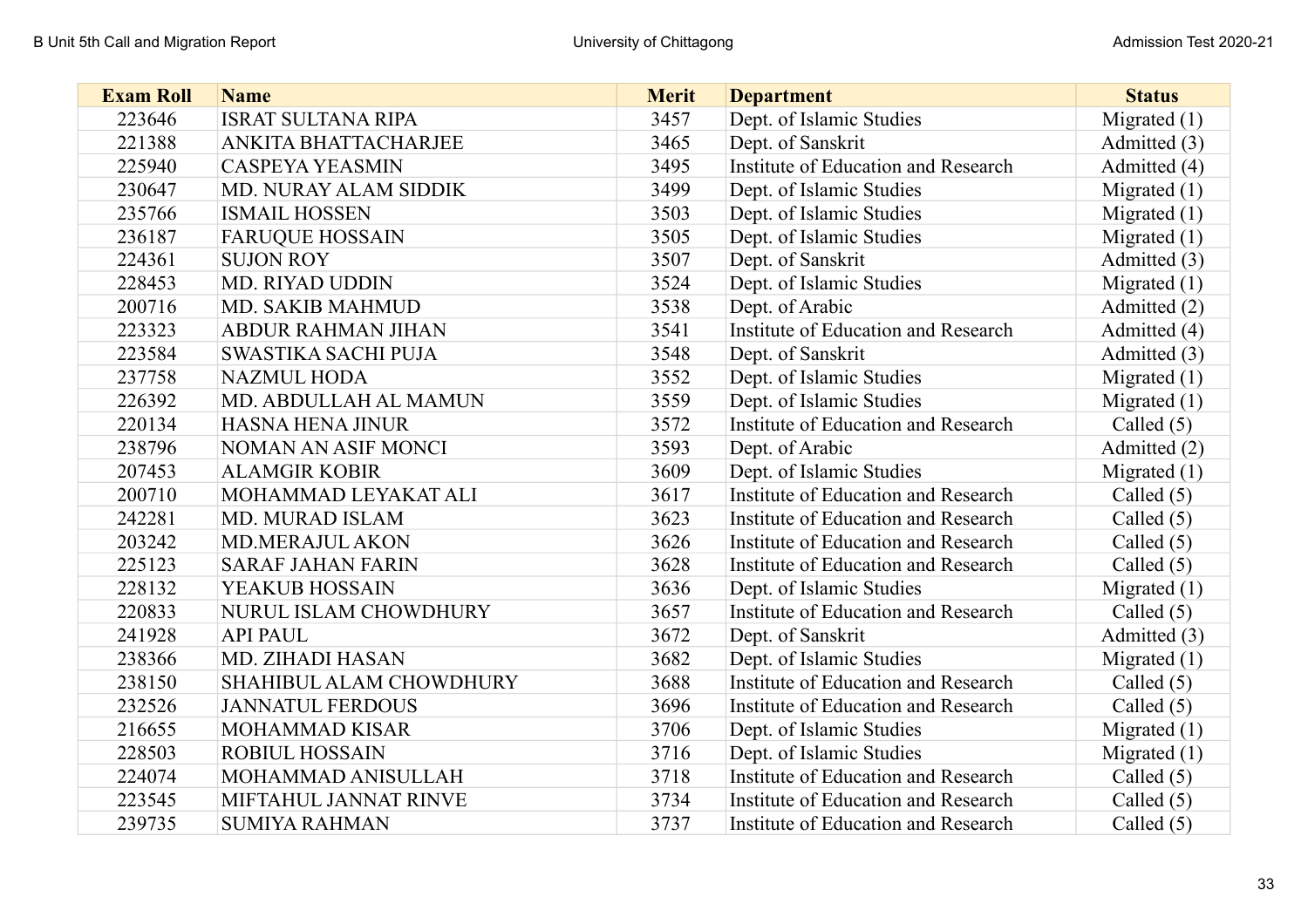| <b>Exam Roll</b> | <b>Name</b>                | <b>Merit</b> | <b>Department</b>                   | <b>Status</b>  |
|------------------|----------------------------|--------------|-------------------------------------|----------------|
| 223646           | <b>ISRAT SULTANA RIPA</b>  | 3457         | Dept. of Islamic Studies            | Migrated $(1)$ |
| 221388           | ANKITA BHATTACHARJEE       | 3465         | Dept. of Sanskrit                   | Admitted (3)   |
| 225940           | <b>CASPEYA YEASMIN</b>     | 3495         | Institute of Education and Research | Admitted (4)   |
| 230647           | MD. NURAY ALAM SIDDIK      | 3499         | Dept. of Islamic Studies            | Migrated $(1)$ |
| 235766           | <b>ISMAIL HOSSEN</b>       | 3503         | Dept. of Islamic Studies            | Migrated $(1)$ |
| 236187           | <b>FARUQUE HOSSAIN</b>     | 3505         | Dept. of Islamic Studies            | Migrated $(1)$ |
| 224361           | <b>SUJON ROY</b>           | 3507         | Dept. of Sanskrit                   | Admitted (3)   |
| 228453           | MD. RIYAD UDDIN            | 3524         | Dept. of Islamic Studies            | Migrated $(1)$ |
| 200716           | MD. SAKIB MAHMUD           | 3538         | Dept. of Arabic                     | Admitted (2)   |
| 223323           | <b>ABDUR RAHMAN JIHAN</b>  | 3541         | Institute of Education and Research | Admitted (4)   |
| 223584           | <b>SWASTIKA SACHI PUJA</b> | 3548         | Dept. of Sanskrit                   | Admitted (3)   |
| 237758           | <b>NAZMUL HODA</b>         | 3552         | Dept. of Islamic Studies            | Migrated $(1)$ |
| 226392           | MD. ABDULLAH AL MAMUN      | 3559         | Dept. of Islamic Studies            | Migrated $(1)$ |
| 220134           | <b>HASNA HENA JINUR</b>    | 3572         | Institute of Education and Research | Called $(5)$   |
| 238796           | NOMAN AN ASIF MONCI        | 3593         | Dept. of Arabic                     | Admitted (2)   |
| 207453           | <b>ALAMGIR KOBIR</b>       | 3609         | Dept. of Islamic Studies            | Migrated $(1)$ |
| 200710           | MOHAMMAD LEYAKAT ALI       | 3617         | Institute of Education and Research | Called $(5)$   |
| 242281           | MD. MURAD ISLAM            | 3623         | Institute of Education and Research | Called $(5)$   |
| 203242           | MD.MERAJUL AKON            | 3626         | Institute of Education and Research | Called $(5)$   |
| 225123           | <b>SARAF JAHAN FARIN</b>   | 3628         | Institute of Education and Research | Called $(5)$   |
| 228132           | YEAKUB HOSSAIN             | 3636         | Dept. of Islamic Studies            | Migrated $(1)$ |
| 220833           | NURUL ISLAM CHOWDHURY      | 3657         | Institute of Education and Research | Called $(5)$   |
| 241928           | <b>API PAUL</b>            | 3672         | Dept. of Sanskrit                   | Admitted (3)   |
| 238366           | MD. ZIHADI HASAN           | 3682         | Dept. of Islamic Studies            | Migrated $(1)$ |
| 238150           | SHAHIBUL ALAM CHOWDHURY    | 3688         | Institute of Education and Research | Called $(5)$   |
| 232526           | <b>JANNATUL FERDOUS</b>    | 3696         | Institute of Education and Research | Called $(5)$   |
| 216655           | <b>MOHAMMAD KISAR</b>      | 3706         | Dept. of Islamic Studies            | Migrated $(1)$ |
| 228503           | <b>ROBIUL HOSSAIN</b>      | 3716         | Dept. of Islamic Studies            | Migrated $(1)$ |
| 224074           | MOHAMMAD ANISULLAH         | 3718         | Institute of Education and Research | Called $(5)$   |
| 223545           | MIFTAHUL JANNAT RINVE      | 3734         | Institute of Education and Research | Called $(5)$   |
| 239735           | <b>SUMIYA RAHMAN</b>       | 3737         | Institute of Education and Research | Called $(5)$   |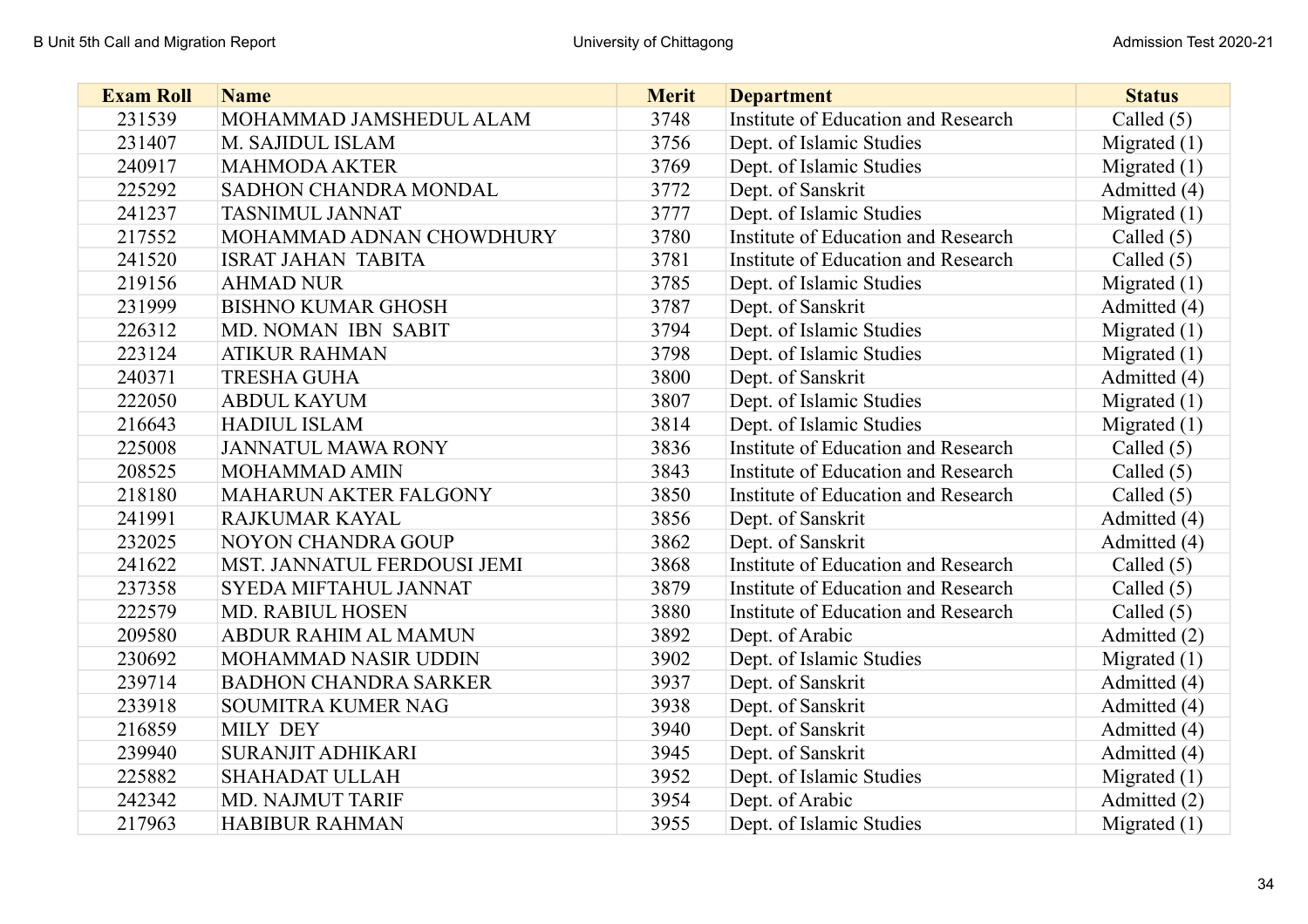| <b>Exam Roll</b> | <b>Name</b>                  | <b>Merit</b> | <b>Department</b>                   | <b>Status</b>  |
|------------------|------------------------------|--------------|-------------------------------------|----------------|
| 231539           | MOHAMMAD JAMSHEDUL ALAM      | 3748         | Institute of Education and Research | Called $(5)$   |
| 231407           | M. SAJIDUL ISLAM             | 3756         | Dept. of Islamic Studies            | Migrated $(1)$ |
| 240917           | <b>MAHMODA AKTER</b>         | 3769         | Dept. of Islamic Studies            | Migrated $(1)$ |
| 225292           | SADHON CHANDRA MONDAL        | 3772         | Dept. of Sanskrit                   | Admitted (4)   |
| 241237           | <b>TASNIMUL JANNAT</b>       | 3777         | Dept. of Islamic Studies            | Migrated $(1)$ |
| 217552           | MOHAMMAD ADNAN CHOWDHURY     | 3780         | Institute of Education and Research | Called $(5)$   |
| 241520           | <b>ISRAT JAHAN TABITA</b>    | 3781         | Institute of Education and Research | Called $(5)$   |
| 219156           | <b>AHMAD NUR</b>             | 3785         | Dept. of Islamic Studies            | Migrated $(1)$ |
| 231999           | <b>BISHNO KUMAR GHOSH</b>    | 3787         | Dept. of Sanskrit                   | Admitted (4)   |
| 226312           | MD. NOMAN IBN SABIT          | 3794         | Dept. of Islamic Studies            | Migrated $(1)$ |
| 223124           | <b>ATIKUR RAHMAN</b>         | 3798         | Dept. of Islamic Studies            | Migrated $(1)$ |
| 240371           | <b>TRESHA GUHA</b>           | 3800         | Dept. of Sanskrit                   | Admitted (4)   |
| 222050           | <b>ABDUL KAYUM</b>           | 3807         | Dept. of Islamic Studies            | Migrated $(1)$ |
| 216643           | <b>HADIUL ISLAM</b>          | 3814         | Dept. of Islamic Studies            | Migrated $(1)$ |
| 225008           | <b>JANNATUL MAWA RONY</b>    | 3836         | Institute of Education and Research | Called $(5)$   |
| 208525           | <b>MOHAMMAD AMIN</b>         | 3843         | Institute of Education and Research | Called $(5)$   |
| 218180           | <b>MAHARUN AKTER FALGONY</b> | 3850         | Institute of Education and Research | Called $(5)$   |
| 241991           | RAJKUMAR KAYAL               | 3856         | Dept. of Sanskrit                   | Admitted (4)   |
| 232025           | <b>NOYON CHANDRA GOUP</b>    | 3862         | Dept. of Sanskrit                   | Admitted (4)   |
| 241622           | MST. JANNATUL FERDOUSI JEMI  | 3868         | Institute of Education and Research | Called $(5)$   |
| 237358           | SYEDA MIFTAHUL JANNAT        | 3879         | Institute of Education and Research | Called $(5)$   |
| 222579           | <b>MD. RABIUL HOSEN</b>      | 3880         | Institute of Education and Research | Called $(5)$   |
| 209580           | ABDUR RAHIM AL MAMUN         | 3892         | Dept. of Arabic                     | Admitted (2)   |
| 230692           | MOHAMMAD NASIR UDDIN         | 3902         | Dept. of Islamic Studies            | Migrated $(1)$ |
| 239714           | <b>BADHON CHANDRA SARKER</b> | 3937         | Dept. of Sanskrit                   | Admitted (4)   |
| 233918           | <b>SOUMITRA KUMER NAG</b>    | 3938         | Dept. of Sanskrit                   | Admitted (4)   |
| 216859           | <b>MILY DEY</b>              | 3940         | Dept. of Sanskrit                   | Admitted (4)   |
| 239940           | <b>SURANJIT ADHIKARI</b>     | 3945         | Dept. of Sanskrit                   | Admitted (4)   |
| 225882           | <b>SHAHADAT ULLAH</b>        | 3952         | Dept. of Islamic Studies            | Migrated $(1)$ |
| 242342           | MD. NAJMUT TARIF             | 3954         | Dept. of Arabic                     | Admitted (2)   |
| 217963           | <b>HABIBUR RAHMAN</b>        | 3955         | Dept. of Islamic Studies            | Migrated (1)   |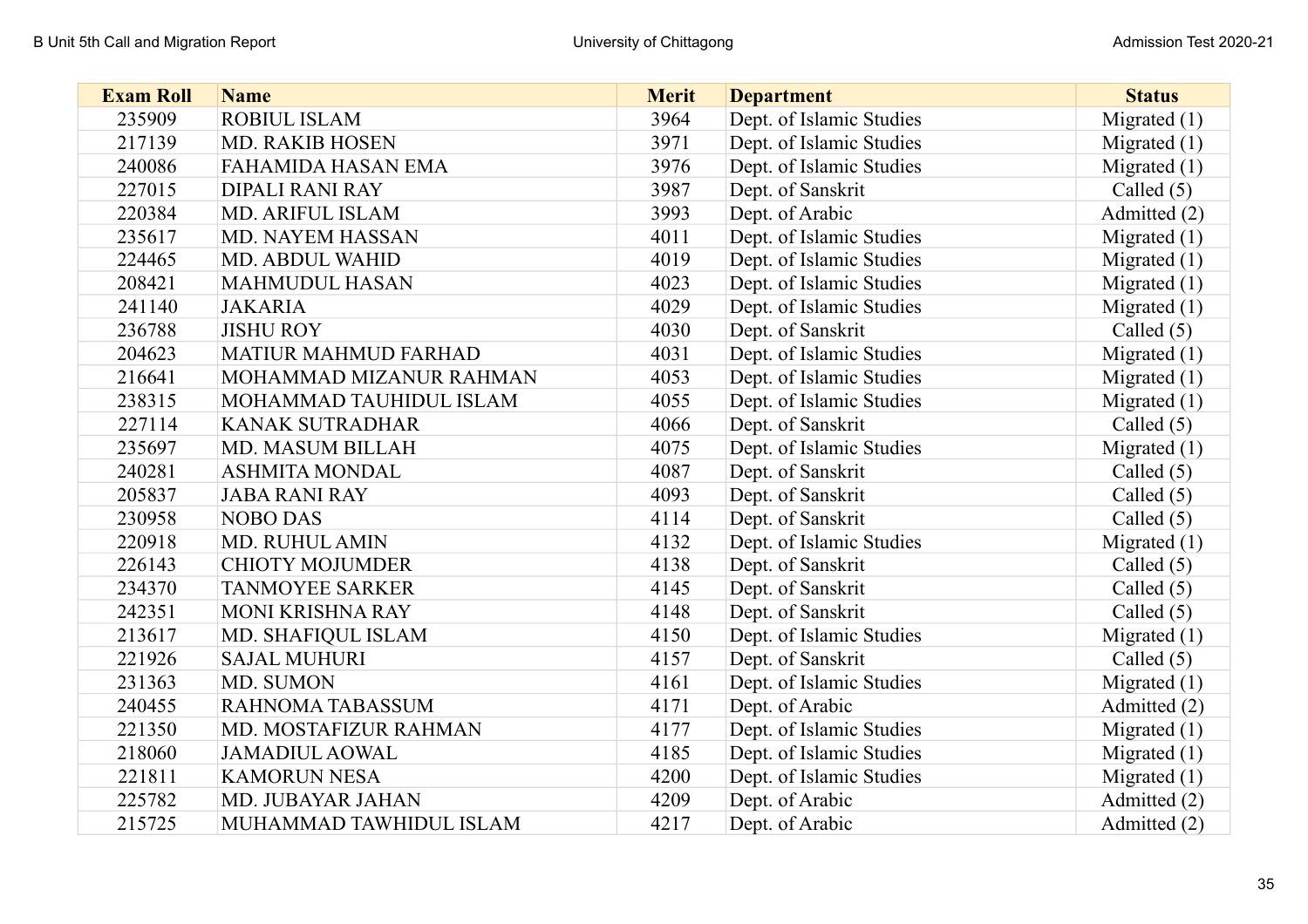| <b>Exam Roll</b> | <b>Name</b>                 | <b>Merit</b> | <b>Department</b>        | <b>Status</b>  |
|------------------|-----------------------------|--------------|--------------------------|----------------|
| 235909           | <b>ROBIUL ISLAM</b>         | 3964         | Dept. of Islamic Studies | Migrated $(1)$ |
| 217139           | <b>MD. RAKIB HOSEN</b>      | 3971         | Dept. of Islamic Studies | Migrated $(1)$ |
| 240086           | <b>FAHAMIDA HASAN EMA</b>   | 3976         | Dept. of Islamic Studies | Migrated $(1)$ |
| 227015           | <b>DIPALI RANI RAY</b>      | 3987         | Dept. of Sanskrit        | Called $(5)$   |
| 220384           | MD. ARIFUL ISLAM            | 3993         | Dept. of Arabic          | Admitted (2)   |
| 235617           | MD. NAYEM HASSAN            | 4011         | Dept. of Islamic Studies | Migrated $(1)$ |
| 224465           | <b>MD. ABDUL WAHID</b>      | 4019         | Dept. of Islamic Studies | Migrated $(1)$ |
| 208421           | <b>MAHMUDUL HASAN</b>       | 4023         | Dept. of Islamic Studies | Migrated $(1)$ |
| 241140           | <b>JAKARIA</b>              | 4029         | Dept. of Islamic Studies | Migrated $(1)$ |
| 236788           | <b>JISHU ROY</b>            | 4030         | Dept. of Sanskrit        | Called $(5)$   |
| 204623           | <b>MATIUR MAHMUD FARHAD</b> | 4031         | Dept. of Islamic Studies | Migrated $(1)$ |
| 216641           | MOHAMMAD MIZANUR RAHMAN     | 4053         | Dept. of Islamic Studies | Migrated $(1)$ |
| 238315           | MOHAMMAD TAUHIDUL ISLAM     | 4055         | Dept. of Islamic Studies | Migrated $(1)$ |
| 227114           | <b>KANAK SUTRADHAR</b>      | 4066         | Dept. of Sanskrit        | Called $(5)$   |
| 235697           | <b>MD. MASUM BILLAH</b>     | 4075         | Dept. of Islamic Studies | Migrated $(1)$ |
| 240281           | <b>ASHMITA MONDAL</b>       | 4087         | Dept. of Sanskrit        | Called $(5)$   |
| 205837           | <b>JABA RANI RAY</b>        | 4093         | Dept. of Sanskrit        | Called $(5)$   |
| 230958           | <b>NOBO DAS</b>             | 4114         | Dept. of Sanskrit        | Called $(5)$   |
| 220918           | MD. RUHUL AMIN              | 4132         | Dept. of Islamic Studies | Migrated (1)   |
| 226143           | <b>CHIOTY MOJUMDER</b>      | 4138         | Dept. of Sanskrit        | Called $(5)$   |
| 234370           | <b>TANMOYEE SARKER</b>      | 4145         | Dept. of Sanskrit        | Called $(5)$   |
| 242351           | <b>MONI KRISHNA RAY</b>     | 4148         | Dept. of Sanskrit        | Called $(5)$   |
| 213617           | MD. SHAFIQUL ISLAM          | 4150         | Dept. of Islamic Studies | Migrated $(1)$ |
| 221926           | <b>SAJAL MUHURI</b>         | 4157         | Dept. of Sanskrit        | Called $(5)$   |
| 231363           | MD. SUMON                   | 4161         | Dept. of Islamic Studies | Migrated (1)   |
| 240455           | <b>RAHNOMA TABASSUM</b>     | 4171         | Dept. of Arabic          | Admitted (2)   |
| 221350           | MD. MOSTAFIZUR RAHMAN       | 4177         | Dept. of Islamic Studies | Migrated $(1)$ |
| 218060           | <b>JAMADIUL AOWAL</b>       | 4185         | Dept. of Islamic Studies | Migrated $(1)$ |
| 221811           | <b>KAMORUN NESA</b>         | 4200         | Dept. of Islamic Studies | Migrated $(1)$ |
| 225782           | MD. JUBAYAR JAHAN           | 4209         | Dept. of Arabic          | Admitted (2)   |
| 215725           | MUHAMMAD TAWHIDUL ISLAM     | 4217         | Dept. of Arabic          | Admitted (2)   |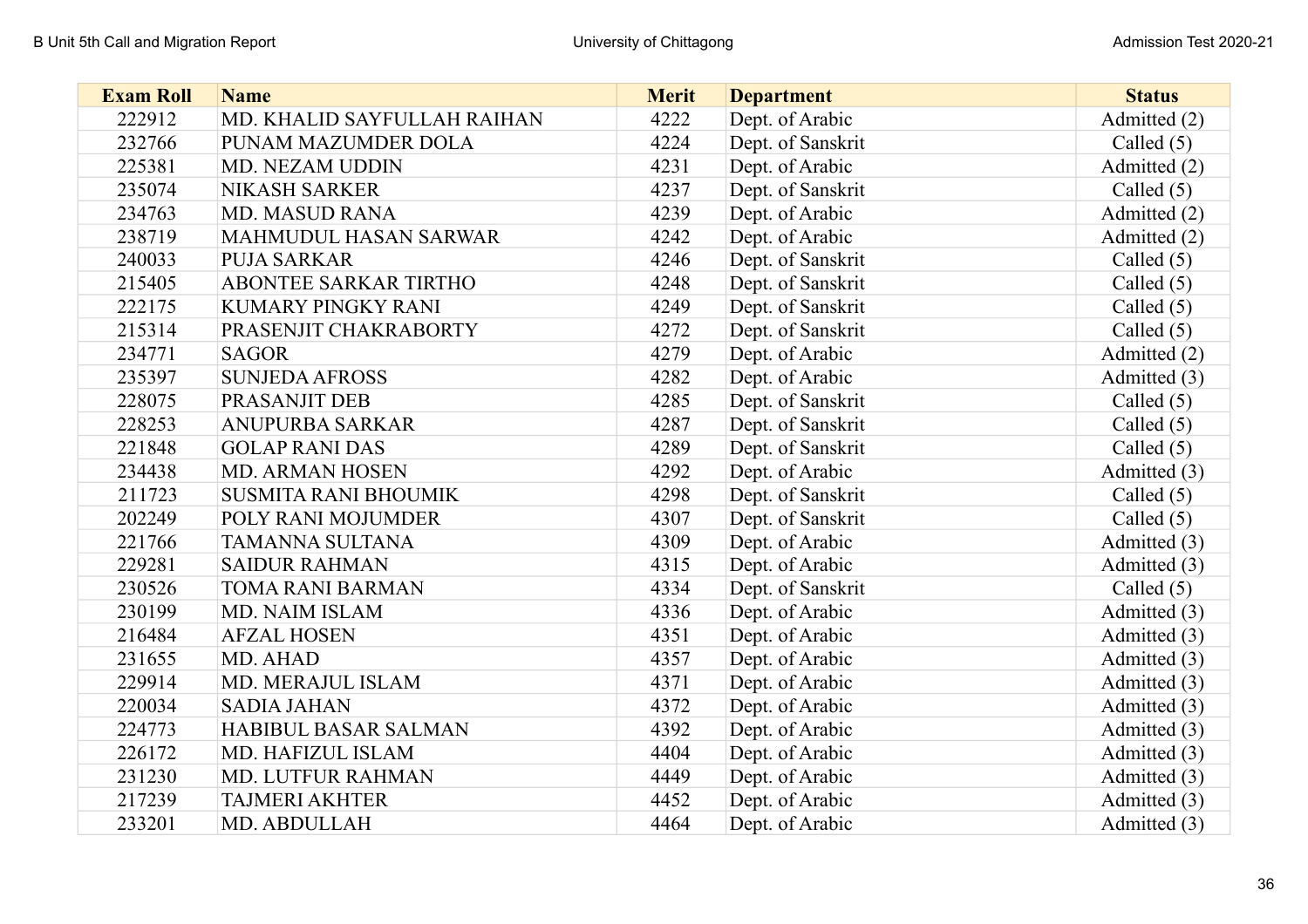| <b>Exam Roll</b> | <b>Name</b>                 | <b>Merit</b> | <b>Department</b> | <b>Status</b> |
|------------------|-----------------------------|--------------|-------------------|---------------|
| 222912           | MD. KHALID SAYFULLAH RAIHAN | 4222         | Dept. of Arabic   | Admitted (2)  |
| 232766           | PUNAM MAZUMDER DOLA         | 4224         | Dept. of Sanskrit | Called $(5)$  |
| 225381           | MD. NEZAM UDDIN             | 4231         | Dept. of Arabic   | Admitted (2)  |
| 235074           | <b>NIKASH SARKER</b>        | 4237         | Dept. of Sanskrit | Called $(5)$  |
| 234763           | <b>MD. MASUD RANA</b>       | 4239         | Dept. of Arabic   | Admitted (2)  |
| 238719           | MAHMUDUL HASAN SARWAR       | 4242         | Dept. of Arabic   | Admitted (2)  |
| 240033           | <b>PUJA SARKAR</b>          | 4246         | Dept. of Sanskrit | Called $(5)$  |
| 215405           | ABONTEE SARKAR TIRTHO       | 4248         | Dept. of Sanskrit | Called $(5)$  |
| 222175           | KUMARY PINGKY RANI          | 4249         | Dept. of Sanskrit | Called $(5)$  |
| 215314           | PRASENJIT CHAKRABORTY       | 4272         | Dept. of Sanskrit | Called $(5)$  |
| 234771           | <b>SAGOR</b>                | 4279         | Dept. of Arabic   | Admitted (2)  |
| 235397           | <b>SUNJEDA AFROSS</b>       | 4282         | Dept. of Arabic   | Admitted (3)  |
| 228075           | PRASANJIT DEB               | 4285         | Dept. of Sanskrit | Called $(5)$  |
| 228253           | <b>ANUPURBA SARKAR</b>      | 4287         | Dept. of Sanskrit | Called $(5)$  |
| 221848           | <b>GOLAP RANI DAS</b>       | 4289         | Dept. of Sanskrit | Called $(5)$  |
| 234438           | <b>MD. ARMAN HOSEN</b>      | 4292         | Dept. of Arabic   | Admitted (3)  |
| 211723           | <b>SUSMITA RANI BHOUMIK</b> | 4298         | Dept. of Sanskrit | Called $(5)$  |
| 202249           | POLY RANI MOJUMDER          | 4307         | Dept. of Sanskrit | Called $(5)$  |
| 221766           | TAMANNA SULTANA             | 4309         | Dept. of Arabic   | Admitted (3)  |
| 229281           | <b>SAIDUR RAHMAN</b>        | 4315         | Dept. of Arabic   | Admitted (3)  |
| 230526           | <b>TOMA RANI BARMAN</b>     | 4334         | Dept. of Sanskrit | Called $(5)$  |
| 230199           | MD. NAIM ISLAM              | 4336         | Dept. of Arabic   | Admitted (3)  |
| 216484           | <b>AFZAL HOSEN</b>          | 4351         | Dept. of Arabic   | Admitted (3)  |
| 231655           | MD. AHAD                    | 4357         | Dept. of Arabic   | Admitted (3)  |
| 229914           | MD. MERAJUL ISLAM           | 4371         | Dept. of Arabic   | Admitted (3)  |
| 220034           | <b>SADIA JAHAN</b>          | 4372         | Dept. of Arabic   | Admitted (3)  |
| 224773           | <b>HABIBUL BASAR SALMAN</b> | 4392         | Dept. of Arabic   | Admitted (3)  |
| 226172           | MD. HAFIZUL ISLAM           | 4404         | Dept. of Arabic   | Admitted (3)  |
| 231230           | MD. LUTFUR RAHMAN           | 4449         | Dept. of Arabic   | Admitted (3)  |
| 217239           | <b>TAJMERI AKHTER</b>       | 4452         | Dept. of Arabic   | Admitted (3)  |
| 233201           | MD. ABDULLAH                | 4464         | Dept. of Arabic   | Admitted (3)  |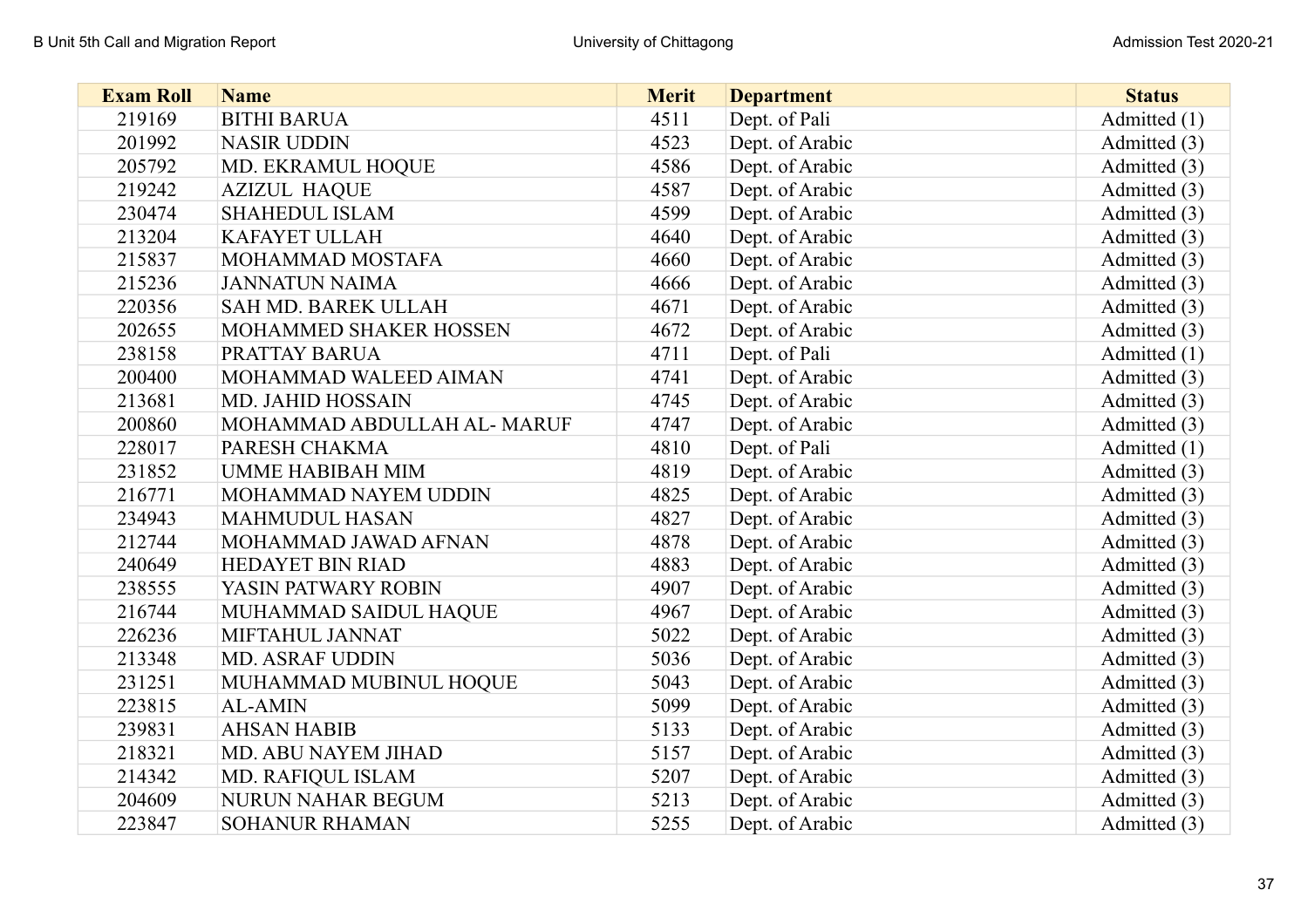| <b>Exam Roll</b> | <b>Name</b>                | <b>Merit</b> | <b>Department</b> | <b>Status</b> |
|------------------|----------------------------|--------------|-------------------|---------------|
| 219169           | <b>BITHI BARUA</b>         | 4511         | Dept. of Pali     | Admitted (1)  |
| 201992           | <b>NASIR UDDIN</b>         | 4523         | Dept. of Arabic   | Admitted (3)  |
| 205792           | MD. EKRAMUL HOQUE          | 4586         | Dept. of Arabic   | Admitted (3)  |
| 219242           | <b>AZIZUL HAQUE</b>        | 4587         | Dept. of Arabic   | Admitted (3)  |
| 230474           | <b>SHAHEDUL ISLAM</b>      | 4599         | Dept. of Arabic   | Admitted (3)  |
| 213204           | <b>KAFAYET ULLAH</b>       | 4640         | Dept. of Arabic   | Admitted (3)  |
| 215837           | MOHAMMAD MOSTAFA           | 4660         | Dept. of Arabic   | Admitted (3)  |
| 215236           | <b>JANNATUN NAIMA</b>      | 4666         | Dept. of Arabic   | Admitted (3)  |
| 220356           | <b>SAH MD. BAREK ULLAH</b> | 4671         | Dept. of Arabic   | Admitted (3)  |
| 202655           | MOHAMMED SHAKER HOSSEN     | 4672         | Dept. of Arabic   | Admitted (3)  |
| 238158           | PRATTAY BARUA              | 4711         | Dept. of Pali     | Admitted (1)  |
| 200400           | MOHAMMAD WALEED AIMAN      | 4741         | Dept. of Arabic   | Admitted (3)  |
| 213681           | <b>MD. JAHID HOSSAIN</b>   | 4745         | Dept. of Arabic   | Admitted (3)  |
| 200860           | MOHAMMAD ABDULLAH AL-MARUF | 4747         | Dept. of Arabic   | Admitted (3)  |
| 228017           | PARESH CHAKMA              | 4810         | Dept. of Pali     | Admitted (1)  |
| 231852           | <b>UMME HABIBAH MIM</b>    | 4819         | Dept. of Arabic   | Admitted (3)  |
| 216771           | MOHAMMAD NAYEM UDDIN       | 4825         | Dept. of Arabic   | Admitted (3)  |
| 234943           | <b>MAHMUDUL HASAN</b>      | 4827         | Dept. of Arabic   | Admitted (3)  |
| 212744           | MOHAMMAD JAWAD AFNAN       | 4878         | Dept. of Arabic   | Admitted (3)  |
| 240649           | HEDAYET BIN RIAD           | 4883         | Dept. of Arabic   | Admitted (3)  |
| 238555           | YASIN PATWARY ROBIN        | 4907         | Dept. of Arabic   | Admitted (3)  |
| 216744           | MUHAMMAD SAIDUL HAQUE      | 4967         | Dept. of Arabic   | Admitted (3)  |
| 226236           | MIFTAHUL JANNAT            | 5022         | Dept. of Arabic   | Admitted (3)  |
| 213348           | <b>MD. ASRAF UDDIN</b>     | 5036         | Dept. of Arabic   | Admitted (3)  |
| 231251           | MUHAMMAD MUBINUL HOQUE     | 5043         | Dept. of Arabic   | Admitted (3)  |
| 223815           | <b>AL-AMIN</b>             | 5099         | Dept. of Arabic   | Admitted (3)  |
| 239831           | <b>AHSAN HABIB</b>         | 5133         | Dept. of Arabic   | Admitted (3)  |
| 218321           | MD. ABU NAYEM JIHAD        | 5157         | Dept. of Arabic   | Admitted (3)  |
| 214342           | MD. RAFIQUL ISLAM          | 5207         | Dept. of Arabic   | Admitted (3)  |
| 204609           | NURUN NAHAR BEGUM          | 5213         | Dept. of Arabic   | Admitted (3)  |
| 223847           | <b>SOHANUR RHAMAN</b>      | 5255         | Dept. of Arabic   | Admitted (3)  |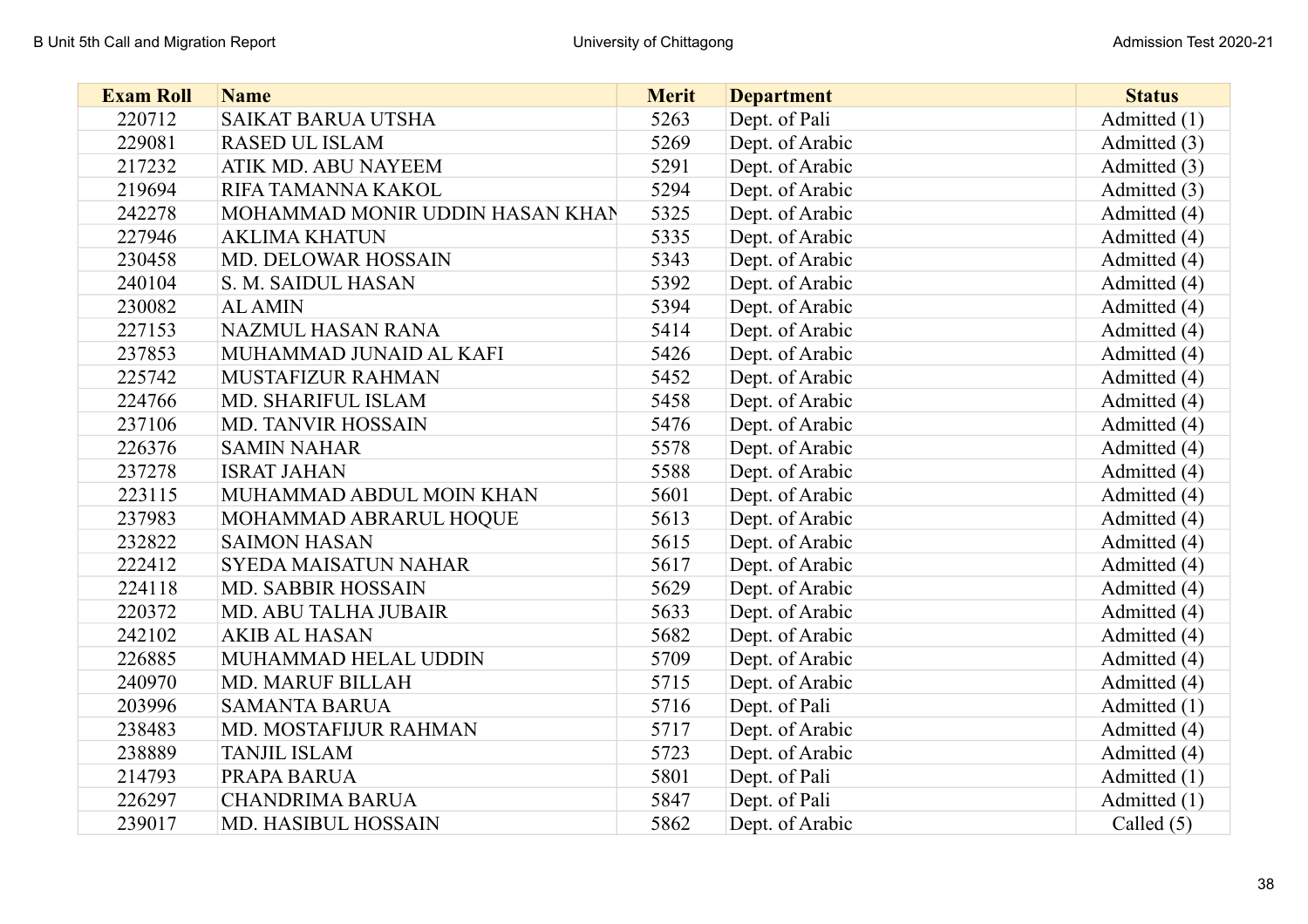| <b>Exam Roll</b> | <b>Name</b>                     | <b>Merit</b> | <b>Department</b> | <b>Status</b> |
|------------------|---------------------------------|--------------|-------------------|---------------|
| 220712           | SAIKAT BARUA UTSHA              | 5263         | Dept. of Pali     | Admitted (1)  |
| 229081           | <b>RASED UL ISLAM</b>           | 5269         | Dept. of Arabic   | Admitted (3)  |
| 217232           | ATIK MD. ABU NAYEEM             | 5291         | Dept. of Arabic   | Admitted (3)  |
| 219694           | RIFA TAMANNA KAKOL              | 5294         | Dept. of Arabic   | Admitted (3)  |
| 242278           | MOHAMMAD MONIR UDDIN HASAN KHAN | 5325         | Dept. of Arabic   | Admitted (4)  |
| 227946           | <b>AKLIMA KHATUN</b>            | 5335         | Dept. of Arabic   | Admitted (4)  |
| 230458           | MD. DELOWAR HOSSAIN             | 5343         | Dept. of Arabic   | Admitted (4)  |
| 240104           | S. M. SAIDUL HASAN              | 5392         | Dept. of Arabic   | Admitted (4)  |
| 230082           | <b>AL AMIN</b>                  | 5394         | Dept. of Arabic   | Admitted (4)  |
| 227153           | <b>NAZMUL HASAN RANA</b>        | 5414         | Dept. of Arabic   | Admitted (4)  |
| 237853           | MUHAMMAD JUNAID AL KAFI         | 5426         | Dept. of Arabic   | Admitted (4)  |
| 225742           | MUSTAFIZUR RAHMAN               | 5452         | Dept. of Arabic   | Admitted (4)  |
| 224766           | MD. SHARIFUL ISLAM              | 5458         | Dept. of Arabic   | Admitted (4)  |
| 237106           | <b>MD. TANVIR HOSSAIN</b>       | 5476         | Dept. of Arabic   | Admitted (4)  |
| 226376           | <b>SAMIN NAHAR</b>              | 5578         | Dept. of Arabic   | Admitted (4)  |
| 237278           | <b>ISRAT JAHAN</b>              | 5588         | Dept. of Arabic   | Admitted (4)  |
| 223115           | MUHAMMAD ABDUL MOIN KHAN        | 5601         | Dept. of Arabic   | Admitted (4)  |
| 237983           | MOHAMMAD ABRARUL HOQUE          | 5613         | Dept. of Arabic   | Admitted (4)  |
| 232822           | <b>SAIMON HASAN</b>             | 5615         | Dept. of Arabic   | Admitted (4)  |
| 222412           | <b>SYEDA MAISATUN NAHAR</b>     | 5617         | Dept. of Arabic   | Admitted (4)  |
| 224118           | <b>MD. SABBIR HOSSAIN</b>       | 5629         | Dept. of Arabic   | Admitted (4)  |
| 220372           | MD. ABU TALHA JUBAIR            | 5633         | Dept. of Arabic   | Admitted (4)  |
| 242102           | <b>AKIB AL HASAN</b>            | 5682         | Dept. of Arabic   | Admitted (4)  |
| 226885           | MUHAMMAD HELAL UDDIN            | 5709         | Dept. of Arabic   | Admitted (4)  |
| 240970           | <b>MD. MARUF BILLAH</b>         | 5715         | Dept. of Arabic   | Admitted (4)  |
| 203996           | <b>SAMANTA BARUA</b>            | 5716         | Dept. of Pali     | Admitted (1)  |
| 238483           | MD. MOSTAFIJUR RAHMAN           | 5717         | Dept. of Arabic   | Admitted (4)  |
| 238889           | <b>TANJIL ISLAM</b>             | 5723         | Dept. of Arabic   | Admitted (4)  |
| 214793           | PRAPA BARUA                     | 5801         | Dept. of Pali     | Admitted (1)  |
| 226297           | <b>CHANDRIMA BARUA</b>          | 5847         | Dept. of Pali     | Admitted (1)  |
| 239017           | MD. HASIBUL HOSSAIN             | 5862         | Dept. of Arabic   | Called $(5)$  |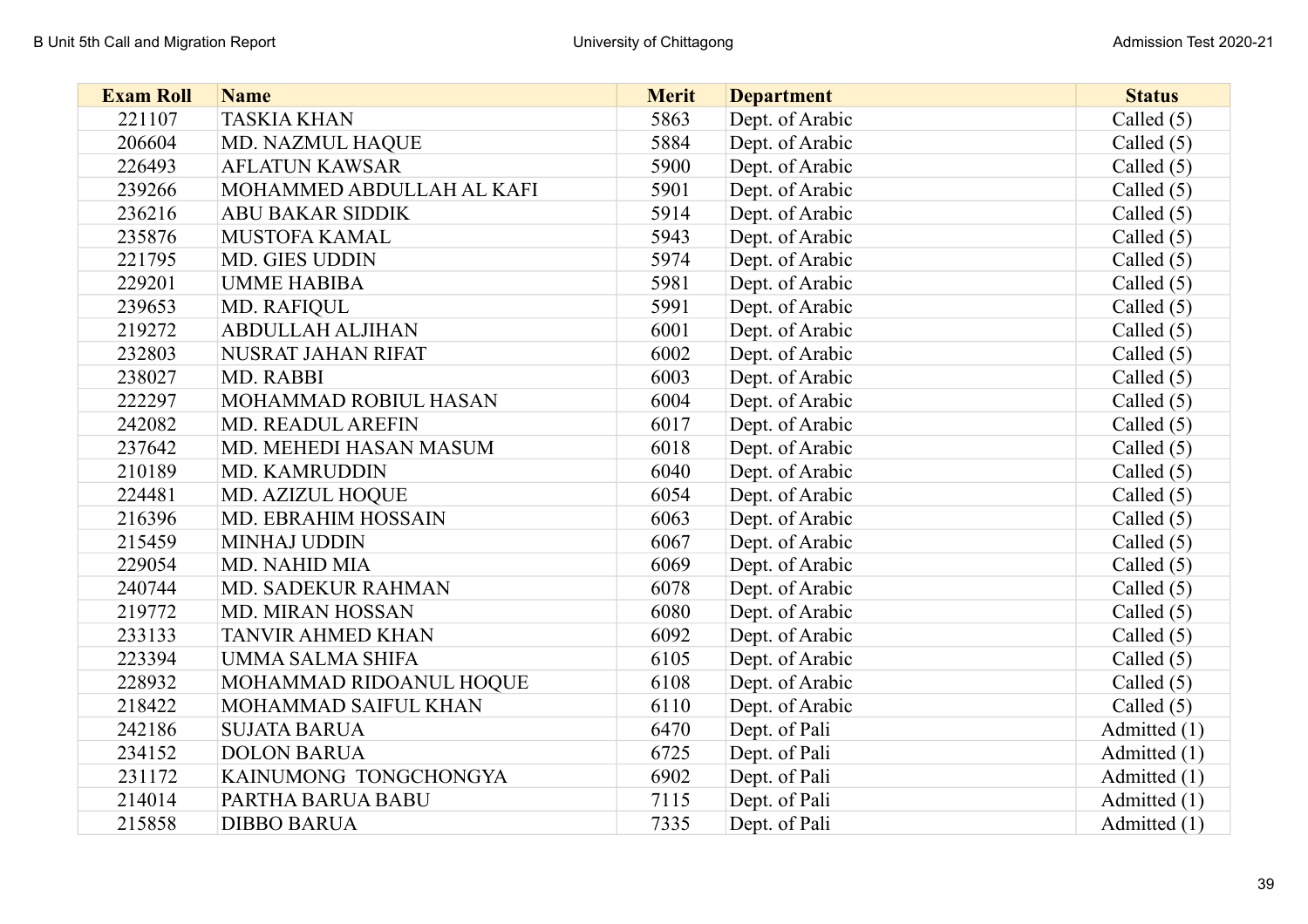| <b>Exam Roll</b> | <b>Name</b>               | <b>Merit</b> | <b>Department</b> | <b>Status</b> |
|------------------|---------------------------|--------------|-------------------|---------------|
| 221107           | <b>TASKIA KHAN</b>        | 5863         | Dept. of Arabic   | Called $(5)$  |
| 206604           | MD. NAZMUL HAQUE          | 5884         | Dept. of Arabic   | Called $(5)$  |
| 226493           | <b>AFLATUN KAWSAR</b>     | 5900         | Dept. of Arabic   | Called $(5)$  |
| 239266           | MOHAMMED ABDULLAH AL KAFI | 5901         | Dept. of Arabic   | Called $(5)$  |
| 236216           | <b>ABU BAKAR SIDDIK</b>   | 5914         | Dept. of Arabic   | Called $(5)$  |
| 235876           | MUSTOFA KAMAL             | 5943         | Dept. of Arabic   | Called $(5)$  |
| 221795           | MD. GIES UDDIN            | 5974         | Dept. of Arabic   | Called $(5)$  |
| 229201           | <b>UMME HABIBA</b>        | 5981         | Dept. of Arabic   | Called $(5)$  |
| 239653           | MD. RAFIQUL               | 5991         | Dept. of Arabic   | Called $(5)$  |
| 219272           | <b>ABDULLAH ALJIHAN</b>   | 6001         | Dept. of Arabic   | Called $(5)$  |
| 232803           | NUSRAT JAHAN RIFAT        | 6002         | Dept. of Arabic   | Called $(5)$  |
| 238027           | MD. RABBI                 | 6003         | Dept. of Arabic   | Called $(5)$  |
| 222297           | MOHAMMAD ROBIUL HASAN     | 6004         | Dept. of Arabic   | Called $(5)$  |
| 242082           | <b>MD. READUL AREFIN</b>  | 6017         | Dept. of Arabic   | Called $(5)$  |
| 237642           | MD. MEHEDI HASAN MASUM    | 6018         | Dept. of Arabic   | Called $(5)$  |
| 210189           | MD. KAMRUDDIN             | 6040         | Dept. of Arabic   | Called $(5)$  |
| 224481           | MD. AZIZUL HOQUE          | 6054         | Dept. of Arabic   | Called $(5)$  |
| 216396           | MD. EBRAHIM HOSSAIN       | 6063         | Dept. of Arabic   | Called $(5)$  |
| 215459           | <b>MINHAJ UDDIN</b>       | 6067         | Dept. of Arabic   | Called $(5)$  |
| 229054           | <b>MD. NAHID MIA</b>      | 6069         | Dept. of Arabic   | Called $(5)$  |
| 240744           | MD. SADEKUR RAHMAN        | 6078         | Dept. of Arabic   | Called $(5)$  |
| 219772           | MD. MIRAN HOSSAN          | 6080         | Dept. of Arabic   | Called $(5)$  |
| 233133           | <b>TANVIR AHMED KHAN</b>  | 6092         | Dept. of Arabic   | Called $(5)$  |
| 223394           | UMMA SALMA SHIFA          | 6105         | Dept. of Arabic   | Called $(5)$  |
| 228932           | MOHAMMAD RIDOANUL HOQUE   | 6108         | Dept. of Arabic   | Called $(5)$  |
| 218422           | MOHAMMAD SAIFUL KHAN      | 6110         | Dept. of Arabic   | Called $(5)$  |
| 242186           | <b>SUJATA BARUA</b>       | 6470         | Dept. of Pali     | Admitted (1)  |
| 234152           | <b>DOLON BARUA</b>        | 6725         | Dept. of Pali     | Admitted (1)  |
| 231172           | KAINUMONG TONGCHONGYA     | 6902         | Dept. of Pali     | Admitted (1)  |
| 214014           | PARTHA BARUA BABU         | 7115         | Dept. of Pali     | Admitted (1)  |
| 215858           | <b>DIBBO BARUA</b>        | 7335         | Dept. of Pali     | Admitted (1)  |